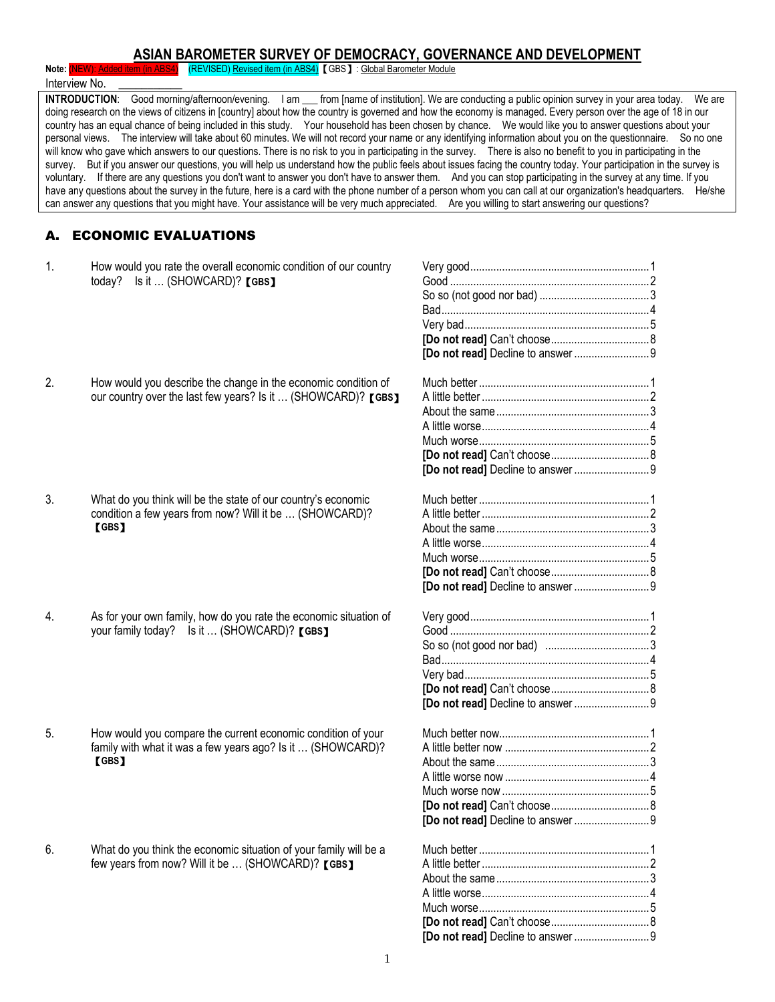# **ASIAN BAROMETER SURVEY OF DEMOCRACY, GOVERNANCE AND DEVELOPMENT**

Note: **(NEW): Added item (in ABS4)** (REVISED) Revised item (in ABS4) 【GBS】: Global Barometer Module

Interview No. **INTRODUCTION:** Good morning/afternoon/evening. I am \_\_\_ from [name of institution]. We are conducting a public opinion survey in your area today. We are doing research on the views of citizens in [country] about how the country is governed and how the economy is managed. Every person over the age of 18 in our country has an equal chance of being included in this study. Your household has been chosen by chance. We would like you to answer questions about your personal views. The interview will take about 60 minutes. We will not record your name or any identifying information about you on the questionnaire. So no one will know who gave which answers to our questions. There is no risk to you in participating in the survey. There is also no benefit to you in participating in the survey. But if you answer our questions, you will help us understand how the public feels about issues facing the country today. Your participation in the survey is voluntary. If there are any questions you don't want to answer you don't have to answer them. And you can stop participating in the survey at any time. If you have any questions about the survey in the future, here is a card with the phone number of a person whom you can call at our organization's headquarters. He/she can answer any questions that you might have. Your assistance will be very much appreciated. Are you willing to start answering our questions?

## A. ECONOMIC EVALUATIONS

| 1. | How would you rate the overall economic condition of our country<br>Is it  (SHOWCARD)? [GBS]<br>today?                               |  |
|----|--------------------------------------------------------------------------------------------------------------------------------------|--|
| 2. | How would you describe the change in the economic condition of<br>our country over the last few years? Is it  (SHOWCARD)? [GBS]      |  |
| 3. | What do you think will be the state of our country's economic<br>condition a few years from now? Will it be  (SHOWCARD)?<br>[GBS]    |  |
| 4. | As for your own family, how do you rate the economic situation of<br>your family today? Is it  (SHOWCARD)? [GBS]                     |  |
| 5. | How would you compare the current economic condition of your<br>family with what it was a few years ago? Is it  (SHOWCARD)?<br>[GBS] |  |
| 6. | What do you think the economic situation of your family will be a<br>few years from now? Will it be  (SHOWCARD)? [GBS]               |  |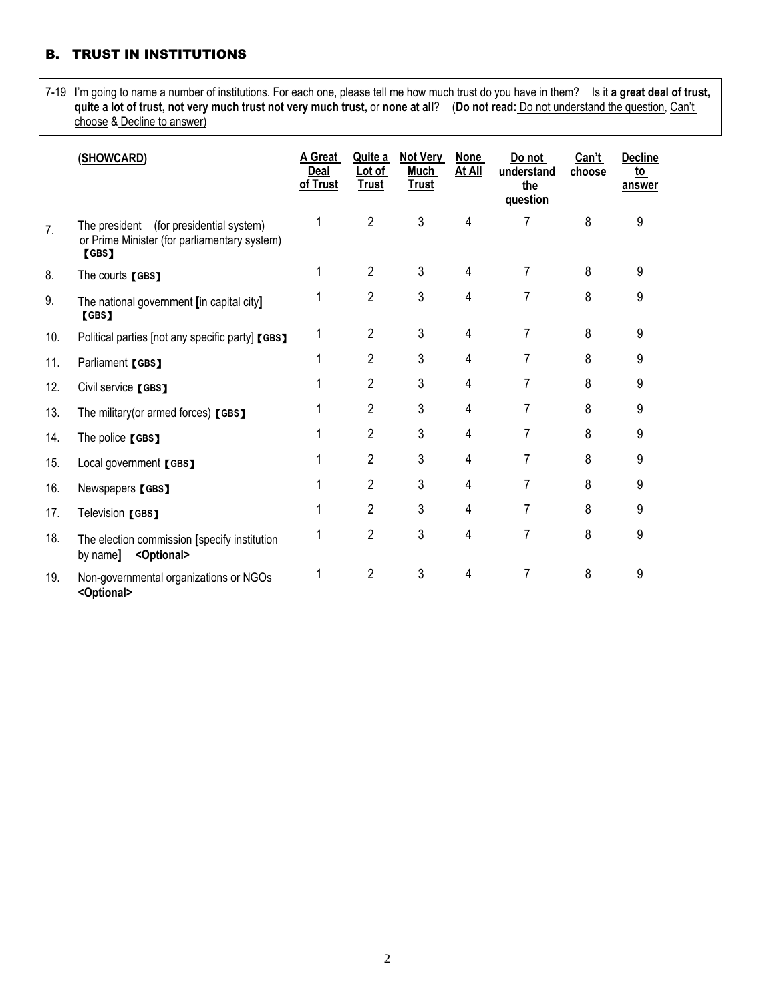# B. TRUST IN INSTITUTIONS

7-19 I'm going to name a number of institutions. For each one, please tell me how much trust do you have in them? Is it **a great deal of trust, quite a lot of trust, not very much trust not very much trust,** or **none at all**? (**Do not read:** Do not understand the question, Can't choose & Decline to answer)

|     | (SHOWCARD)                                                                                          | A Great<br><b>Deal</b><br>of Trust | Quite a<br>Lot of<br>Trust | <b>Not Very</b><br>Much<br><b>Trust</b> | <b>None</b><br>At All | Do not<br>understand<br>the<br>question | Can't<br>choose | <b>Decline</b><br><u>to</u><br>answer |
|-----|-----------------------------------------------------------------------------------------------------|------------------------------------|----------------------------|-----------------------------------------|-----------------------|-----------------------------------------|-----------------|---------------------------------------|
| 7.  | (for presidential system)<br>The president<br>or Prime Minister (for parliamentary system)<br>[GBS] |                                    | $\overline{2}$             | 3                                       | 4                     | 7                                       | 8               | 9                                     |
| 8.  | The courts [GBS]                                                                                    |                                    | $\overline{2}$             | 3                                       | 4                     | 7                                       | 8               | 9                                     |
| 9.  | The national government [in capital city]<br><b>[GBS]</b>                                           |                                    | 2                          | 3                                       | 4                     | 7                                       | 8               | 9                                     |
| 10. | Political parties [not any specific party] [GBS]                                                    |                                    | $\overline{2}$             | 3                                       | 4                     | 7                                       | 8               | 9                                     |
| 11. | Parliament [GBS]                                                                                    |                                    | $\overline{2}$             | 3                                       | 4                     | 7                                       | 8               | 9                                     |
| 12. | Civil service [GBS]                                                                                 |                                    | $\overline{2}$             | 3                                       | 4                     | 7                                       | 8               | 9                                     |
| 13. | The military (or armed forces) [GBS]                                                                |                                    | $\overline{2}$             | 3                                       | 4                     | 7                                       | 8               | 9                                     |
| 14. | The police [GBS]                                                                                    |                                    | $\overline{2}$             | 3                                       | 4                     | 7                                       | 8               | 9                                     |
| 15. | Local government [GBS]                                                                              |                                    | 2                          | 3                                       | 4                     | 7                                       | 8               | 9                                     |
| 16. | Newspapers [GBS]                                                                                    |                                    | 2                          | 3                                       | 4                     | 7                                       | 8               | 9                                     |
| 17. | Television [GBS]                                                                                    |                                    | $\overline{2}$             | 3                                       | 4                     | 7                                       | 8               | 9                                     |
| 18. | The election commission [specify institution<br><optional><br/>by name]</optional>                  |                                    | $\overline{2}$             | 3                                       | 4                     | 7                                       | 8               | 9                                     |
| 19. | Non-governmental organizations or NGOs<br><optional></optional>                                     |                                    | $\mathbf{2}$               | 3                                       | 4                     | 7                                       | 8               | 9                                     |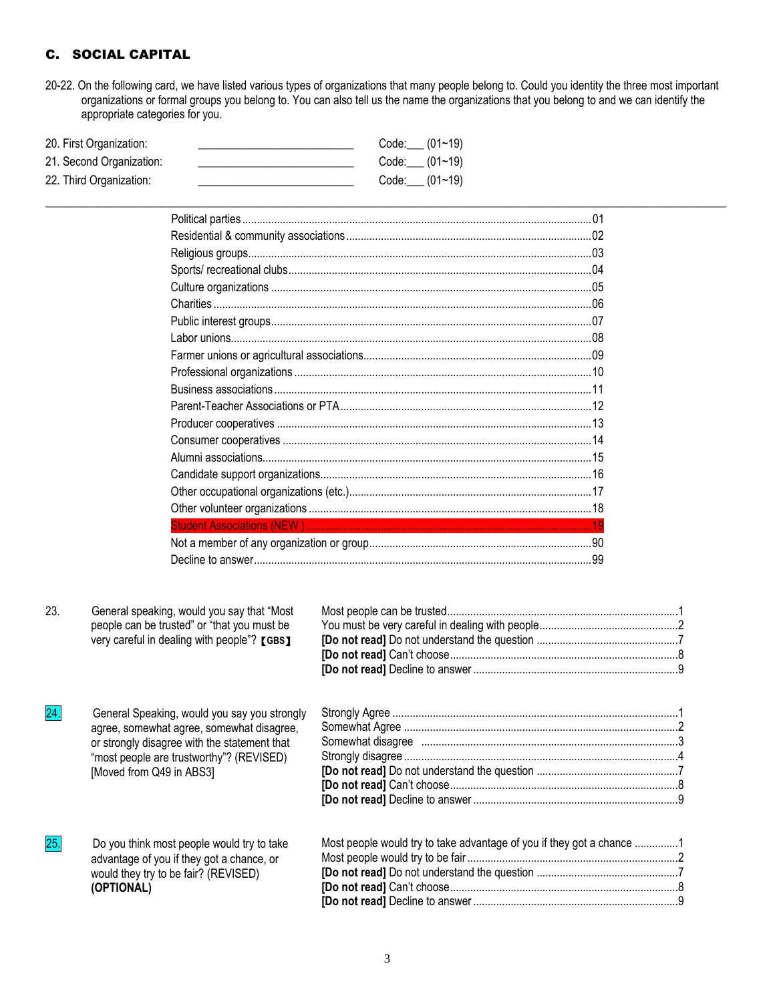# C. SOCIAL CAPITAL

20-22. On the following card, we have listed various types of organizations that many people belong to. Could you identity the three most important organizations or formal groups you belong to. You can also tell us the name the organizations that you belong to and we can identify the appropriate categories for you.

 $\_$  , and the set of the set of the set of the set of the set of the set of the set of the set of the set of the set of the set of the set of the set of the set of the set of the set of the set of the set of the set of th

| 20. First Organization:  | Code: $(01~19)$ |  |
|--------------------------|-----------------|--|
| 21. Second Organization: | Code: $(01~19)$ |  |
| 22. Third Organization:  | Code: $(01~19)$ |  |

| 23.               | General speaking, would you say that "Most<br>people can be trusted" or "that you must be<br>very careful in dealing with people"? [GBS]                                                                          |                                                                       |  |
|-------------------|-------------------------------------------------------------------------------------------------------------------------------------------------------------------------------------------------------------------|-----------------------------------------------------------------------|--|
| $\overline{24}$ . | General Speaking, would you say you strongly<br>agree, somewhat agree, somewhat disagree,<br>or strongly disagree with the statement that<br>"most people are trustworthy"? (REVISED)<br>[Moved from Q49 in ABS3] |                                                                       |  |
| 25.               | Do you think most people would try to take<br>advantage of you if they got a chance, or<br>would they try to be fair? (REVISED)<br>(OPTIONAL)                                                                     | Most people would try to take advantage of you if they got a chance 1 |  |

**[Do not read]** Decline to answer .......................................................................9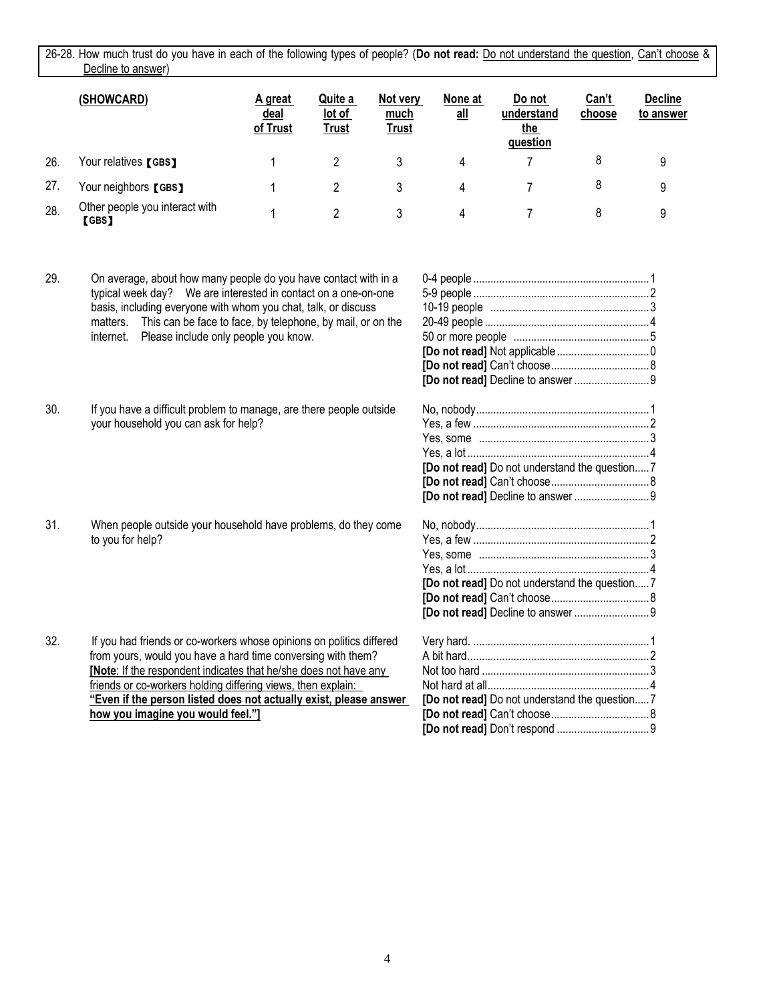26-28. How much trust do you have in each of the following types of people? (**Do not read:** Do not understand the question, Can't choose & Decline to answer)

|     | (SHOWCARD)                              | A great<br><u>deal</u><br>of Trust | Quite a<br>lot of<br>Trust | Not very<br>much<br><u>Trust</u> | None at<br>$all$ | Do not<br>understand<br>the<br>question | <u>Can't</u><br>choose | <b>Decline</b><br>to answer |
|-----|-----------------------------------------|------------------------------------|----------------------------|----------------------------------|------------------|-----------------------------------------|------------------------|-----------------------------|
| 26. | Your relatives [GBS]                    |                                    |                            |                                  | 4                |                                         | 8                      | 9                           |
| 27. | Your neighbors [GBS]                    |                                    |                            |                                  | 4                |                                         | 8                      | 9                           |
| 28. | Other people you interact with<br>(GBS) |                                    | 2                          | 3                                | 4                |                                         | 8                      | 9                           |

- 29. On average, about how many people do you have contact with in a typical week day? We are interested in contact on a one-on-one basis, including everyone with whom you chat, talk, or discuss matters. This can be face to face, by telephone, by mail, or on the internet. Please include only people you know.
- 30. If you have a difficult problem to manage, are there people outside your household you can ask for help?
- 31. When people outside your household have problems, do they come to you for help?
- 32. If you had friends or co-workers whose opinions on politics differed from yours, would you have a hard time conversing with them? **[Note**: If the respondent indicates that he/she does not have any friends or co-workers holding differing views, then explain: **"Even if the person listed does not actually exist, please answer how you imagine you would feel."]**

| [Do not read] Do not understand the question7 |  |
|-----------------------------------------------|--|
|                                               |  |
|                                               |  |
|                                               |  |
| [Do not read] Do not understand the question7 |  |
|                                               |  |
|                                               |  |
|                                               |  |
|                                               |  |
| [Do not read] Do not understand the question7 |  |
|                                               |  |
|                                               |  |

**[Do not read]** Don't respond ................................9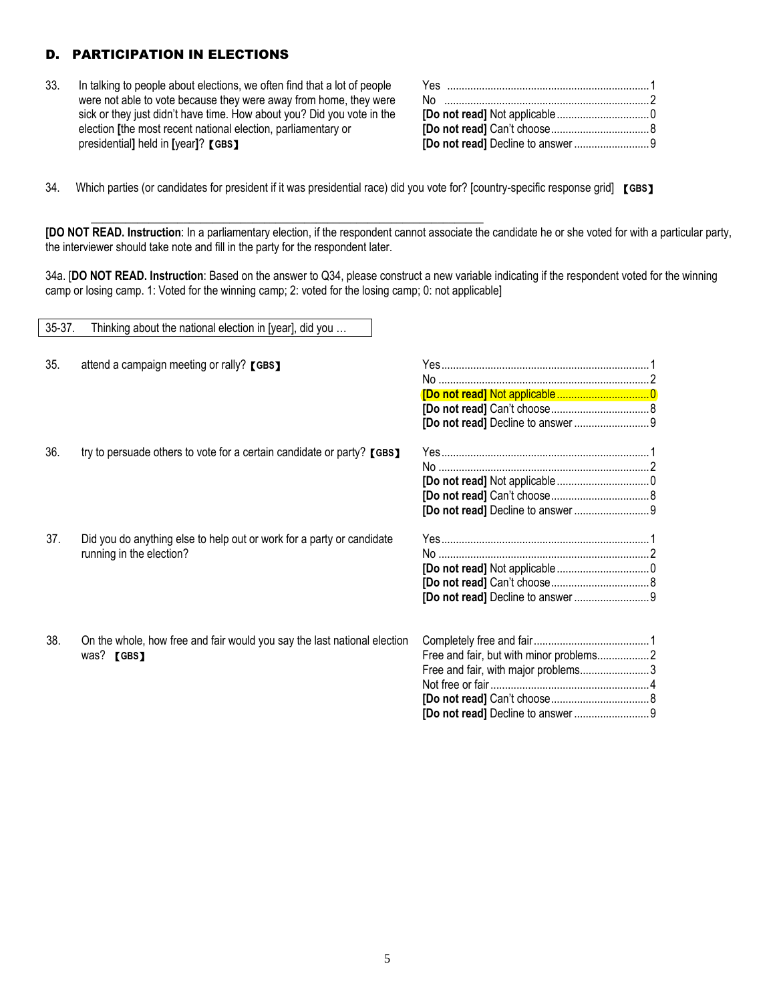# D. PARTICIPATION IN ELECTIONS

33. In talking to people about elections, we often find that a lot of people were not able to vote because they were away from home, they were sick or they just didn't have time. How about you? Did you vote in the election **[**the most recent national election, parliamentary or presidential**]** held in **[**year**]**?【**GBS**】

34. Which parties (or candidates for president if it was presidential race) did you vote for? [country-specific response grid] 【**GBS**】

\_\_\_\_\_\_\_\_\_\_\_\_\_\_\_\_\_\_\_\_\_\_\_\_\_\_\_\_\_\_\_\_\_\_\_\_\_\_\_\_\_\_\_\_\_\_\_\_\_\_\_\_\_\_\_\_\_\_\_\_\_\_\_\_\_\_\_\_

**[DO NOT READ. Instruction**: In a parliamentary election, if the respondent cannot associate the candidate he or she voted for with a particular party, the interviewer should take note and fill in the party for the respondent later.

34a. [**DO NOT READ. Instruction**: Based on the answer to Q34, please construct a new variable indicating if the respondent voted for the winning camp or losing camp. 1: Voted for the winning camp; 2: voted for the losing camp; 0: not applicable]

| $35-37.$ | Thinking about the national election in [year], did you                  |                                         |
|----------|--------------------------------------------------------------------------|-----------------------------------------|
|          |                                                                          |                                         |
| 35.      | attend a campaign meeting or rally? [GBS]                                |                                         |
|          |                                                                          |                                         |
|          |                                                                          |                                         |
|          |                                                                          |                                         |
|          |                                                                          |                                         |
| 36.      | try to persuade others to vote for a certain candidate or party? [GBS]   |                                         |
|          |                                                                          |                                         |
|          |                                                                          |                                         |
|          |                                                                          |                                         |
|          |                                                                          |                                         |
|          |                                                                          |                                         |
| 37.      | Did you do anything else to help out or work for a party or candidate    |                                         |
|          | running in the election?                                                 |                                         |
|          |                                                                          |                                         |
|          |                                                                          |                                         |
|          |                                                                          |                                         |
|          |                                                                          |                                         |
| 38.      | On the whole, how free and fair would you say the last national election |                                         |
|          | was? [GBS]                                                               | Free and fair, but with minor problems2 |
|          |                                                                          | Free and fair, with major problems3     |
|          |                                                                          |                                         |
|          |                                                                          |                                         |
|          |                                                                          |                                         |
|          |                                                                          |                                         |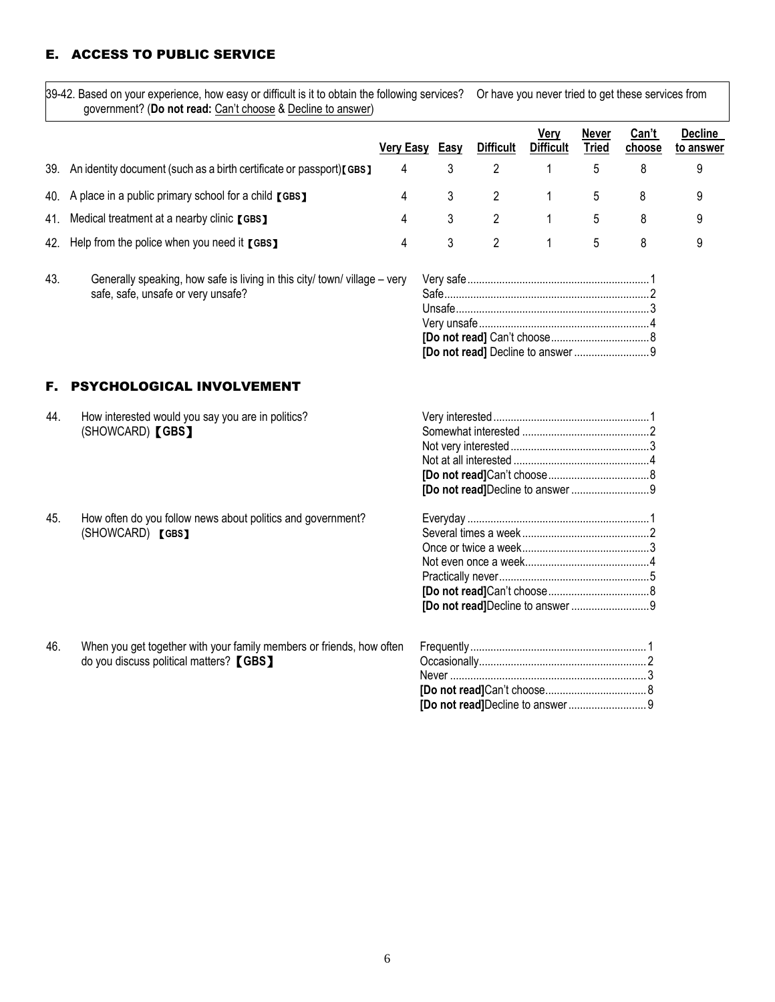# E. ACCESS TO PUBLIC SERVICE

39-42. Based on your experience, how easy or difficult is it to obtain the following services? Or have you never tried to get these services from government? (**Do not read:** Can't choose & Decline to answer)

|                                                                         | <b>Very Easy</b> | Easy | <b>Difficult</b> | Very<br><b>Difficult</b> | Never<br><b>Tried</b> | Can't<br>choose | <b>Decline</b><br>to answer |
|-------------------------------------------------------------------------|------------------|------|------------------|--------------------------|-----------------------|-----------------|-----------------------------|
| 39. An identity document (such as a birth certificate or passport)[GBS] | 4                |      |                  |                          |                       |                 | y                           |
| 40. A place in a public primary school for a child [GBS]                | 4                |      | - 2              |                          | 5                     |                 | 9                           |
| 41. Medical treatment at a nearby clinic [GBS]                          | 4                |      |                  |                          | $\mathfrak{b}$        |                 | 9                           |
| 42. Help from the police when you need it [GBS]                         | 4                |      |                  |                          | $5 -$                 |                 | 9                           |

43. Generally speaking, how safe is living in this city/ town/ village – very safe, safe, unsafe or very unsafe?

# F. PSYCHOLOGICAL INVOLVEMENT

| 44. | How interested would you say you are in politics?           |  |
|-----|-------------------------------------------------------------|--|
|     | (SHOWCARD) [GBS]                                            |  |
|     |                                                             |  |
|     |                                                             |  |
|     |                                                             |  |
|     |                                                             |  |
|     |                                                             |  |
| 45. | How often do you follow news about politics and government? |  |
|     | (SHOWCARD) [GBS]                                            |  |
|     |                                                             |  |
|     |                                                             |  |
|     |                                                             |  |
|     |                                                             |  |
|     |                                                             |  |

46. When you get together with your family members or friends, how often do you discuss political matters?【**GBS**】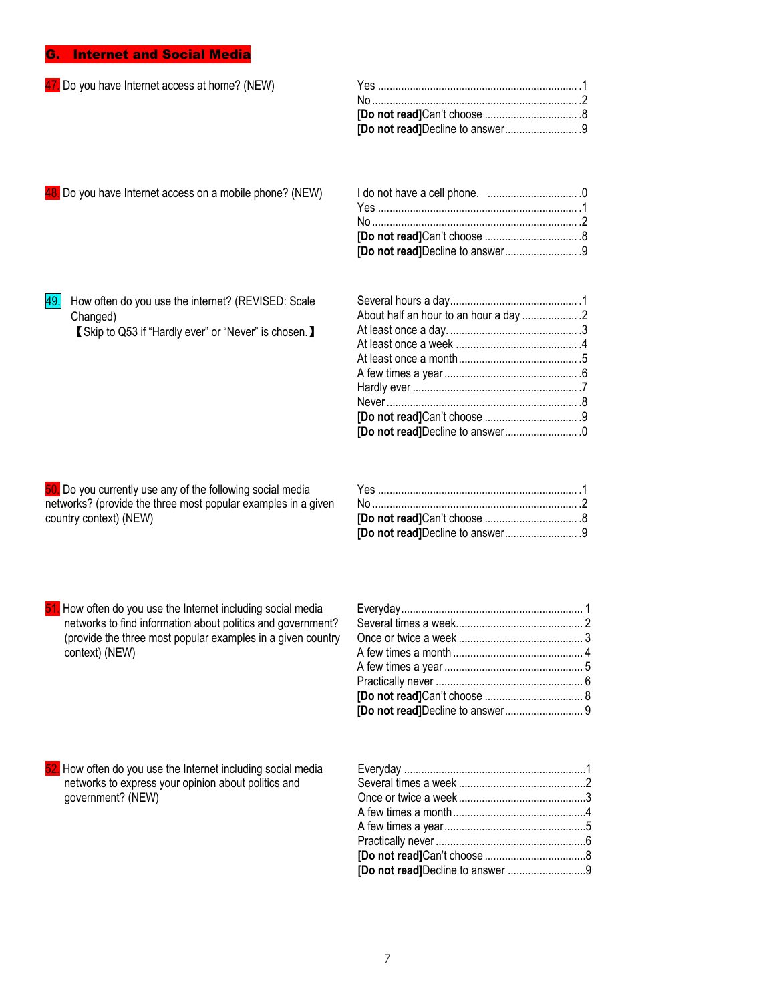# G. Internet and Social Media

| 47. Do you have Internet access at home? (NEW)                                                                                                                                                               |  |
|--------------------------------------------------------------------------------------------------------------------------------------------------------------------------------------------------------------|--|
|                                                                                                                                                                                                              |  |
|                                                                                                                                                                                                              |  |
|                                                                                                                                                                                                              |  |
| 48. Do you have Internet access on a mobile phone? (NEW)                                                                                                                                                     |  |
|                                                                                                                                                                                                              |  |
|                                                                                                                                                                                                              |  |
|                                                                                                                                                                                                              |  |
|                                                                                                                                                                                                              |  |
| 49.<br>How often do you use the internet? (REVISED: Scale                                                                                                                                                    |  |
| Changed)                                                                                                                                                                                                     |  |
| 【 Skip to Q53 if "Hardly ever" or "Never" is chosen. 】                                                                                                                                                       |  |
|                                                                                                                                                                                                              |  |
|                                                                                                                                                                                                              |  |
|                                                                                                                                                                                                              |  |
|                                                                                                                                                                                                              |  |
|                                                                                                                                                                                                              |  |
|                                                                                                                                                                                                              |  |
|                                                                                                                                                                                                              |  |
| 50. Do you currently use any of the following social media<br>networks? (provide the three most popular examples in a given<br>country context) (NEW)                                                        |  |
| 51. How often do you use the Internet including social media<br>networks to find information about politics and government?<br>(provide the three most popular examples in a given country<br>context) (NEW) |  |
| 52. How often do you use the Internet including social media<br>networks to express your opinion about politics and<br>government? (NEW)                                                                     |  |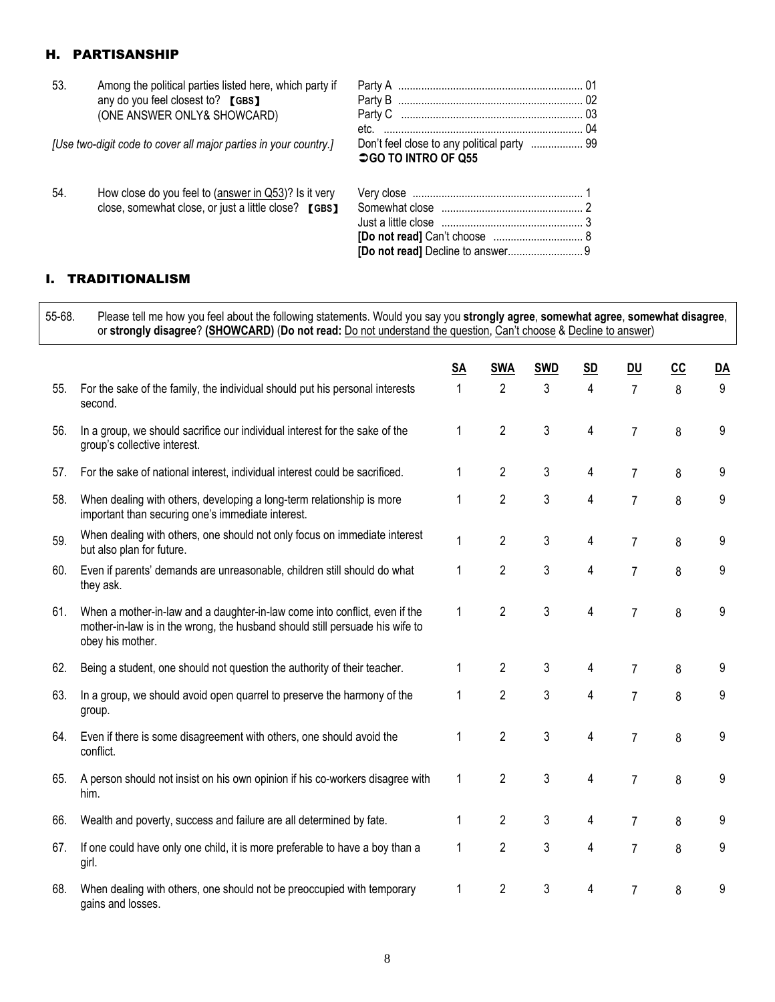## H. PARTISANSHIP

| 53. | Among the political parties listed here, which party if          |                            |  |
|-----|------------------------------------------------------------------|----------------------------|--|
|     | any do you feel closest to? [GBS]                                |                            |  |
|     | (ONE ANSWER ONLY& SHOWCARD)                                      |                            |  |
|     |                                                                  |                            |  |
|     | [Use two-digit code to cover all major parties in your country.] | <b>○GO TO INTRO OF Q55</b> |  |
| 54. | How close do you feel to $(answer in Q53)$ ? Is it very          |                            |  |

close, somewhat close, or just a little close? 【**GBS**】

# I. TRADITIONALISM

55-68. Please tell me how you feel about the following statements. Would you say you **strongly agree**, **somewhat agree**, **somewhat disagree**, or **strongly disagree**? **(SHOWCARD)** (**Do not read:** Do not understand the question, Can't choose & Decline to answer)

|     |                                                                                                                                                                                | <b>SA</b> | <b>SWA</b>     | <b>SWD</b> | <b>SD</b> | <b>DU</b>      | cc | <u>DA</u> |
|-----|--------------------------------------------------------------------------------------------------------------------------------------------------------------------------------|-----------|----------------|------------|-----------|----------------|----|-----------|
| 55. | For the sake of the family, the individual should put his personal interests<br>second.                                                                                        |           | $\overline{2}$ | 3          | 4         | $\overline{7}$ | 8  | 9         |
| 56. | In a group, we should sacrifice our individual interest for the sake of the<br>group's collective interest.                                                                    | 1         | $\overline{2}$ | 3          | 4         | 7              | 8  | 9         |
| 57. | For the sake of national interest, individual interest could be sacrificed.                                                                                                    |           | $\overline{2}$ | 3          | 4         | 7              | 8  | 9         |
| 58. | When dealing with others, developing a long-term relationship is more<br>important than securing one's immediate interest.                                                     | 1         | $\overline{2}$ | 3          | 4         | 7              | 8  | 9         |
| 59. | When dealing with others, one should not only focus on immediate interest<br>but also plan for future.                                                                         | 1         | 2              | 3          | 4         | 7              | 8  | 9         |
| 60. | Even if parents' demands are unreasonable, children still should do what<br>they ask.                                                                                          | 1         | 2              | 3          | 4         | $\overline{7}$ | 8  | 9         |
| 61. | When a mother-in-law and a daughter-in-law come into conflict, even if the<br>mother-in-law is in the wrong, the husband should still persuade his wife to<br>obey his mother. | 1         | $\overline{2}$ | 3          | 4         | 7              | 8  | 9         |
| 62. | Being a student, one should not question the authority of their teacher.                                                                                                       | 1         | 2              | 3          | 4         | 7              | 8  | 9         |
| 63. | In a group, we should avoid open quarrel to preserve the harmony of the<br>group.                                                                                              | 1         | $\overline{2}$ | 3          | 4         | $\overline{7}$ | 8  | 9         |
| 64. | Even if there is some disagreement with others, one should avoid the<br>conflict.                                                                                              |           | $\overline{2}$ | 3          | 4         | 7              | 8  | 9         |
| 65. | A person should not insist on his own opinion if his co-workers disagree with<br>him.                                                                                          | 1         | $\overline{2}$ | 3          | 4         | $\overline{7}$ | 8  | 9         |
| 66. | Wealth and poverty, success and failure are all determined by fate.                                                                                                            | 1         | $\overline{2}$ | 3          | 4         | 7              | 8  | 9         |
| 67. | If one could have only one child, it is more preferable to have a boy than a<br>girl.                                                                                          | 1         | $\overline{2}$ | 3          | 4         | 7              | 8  | 9         |
| 68. | When dealing with others, one should not be preoccupied with temporary<br>gains and losses.                                                                                    | 1         | $\overline{2}$ | 3          | 4         | 7              | 8  | 9         |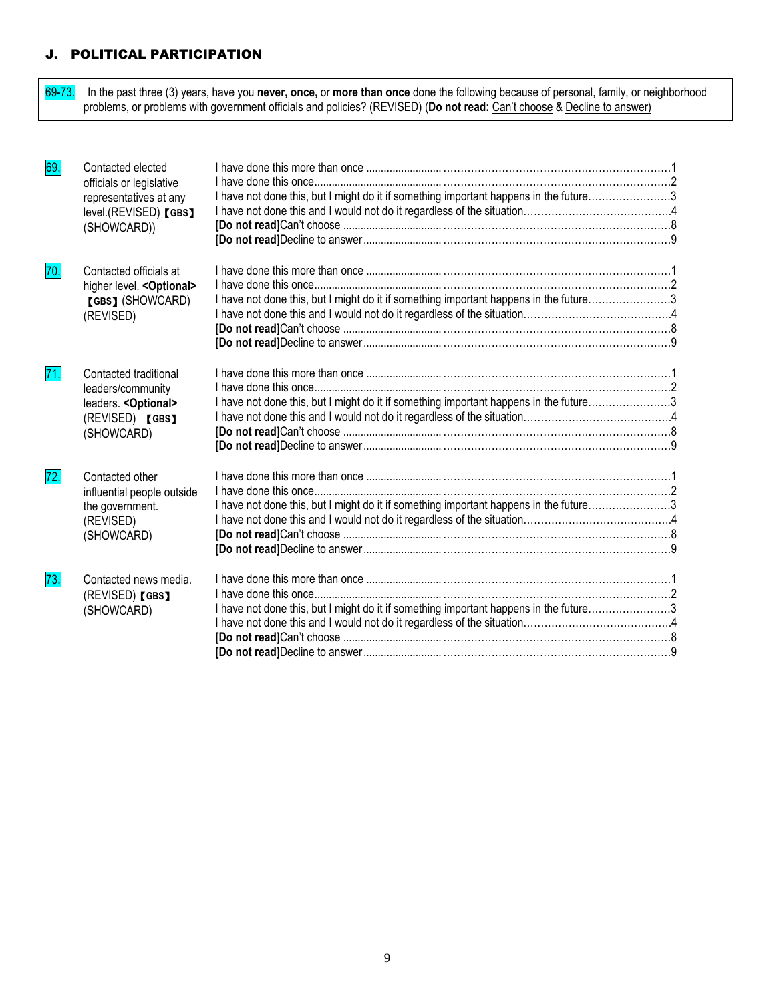# J. POLITICAL PARTICIPATION

69-73. In the past three (3) years, have you **never, once,** or **more than once** done the following because of personal, family, or neighborhood problems, or problems with government officials and policies? (REVISED) (**Do not read:** Can't choose & Decline to answer)

| 69. | Contacted elected<br>officials or legislative<br>representatives at any<br>level.(REVISED) [GBS]<br>(SHOWCARD)) | I have not done this, but I might do it if something important happens in the future3 |  |
|-----|-----------------------------------------------------------------------------------------------------------------|---------------------------------------------------------------------------------------|--|
| 70. | Contacted officials at<br>higher level. < Optional><br>[GBS] (SHOWCARD)<br>(REVISED)                            | I have not done this, but I might do it if something important happens in the future3 |  |
| 71. | Contacted traditional<br>leaders/community<br>leaders. < Optional><br>(REVISED) [GBS]<br>(SHOWCARD)             | I have not done this, but I might do it if something important happens in the future3 |  |
| 72. | Contacted other<br>influential people outside<br>the government.<br>(REVISED)<br>(SHOWCARD)                     | I have not done this, but I might do it if something important happens in the future3 |  |
| 73. | Contacted news media.<br>(REVISED) [GBS]<br>(SHOWCARD)                                                          | I have not done this, but I might do it if something important happens in the future3 |  |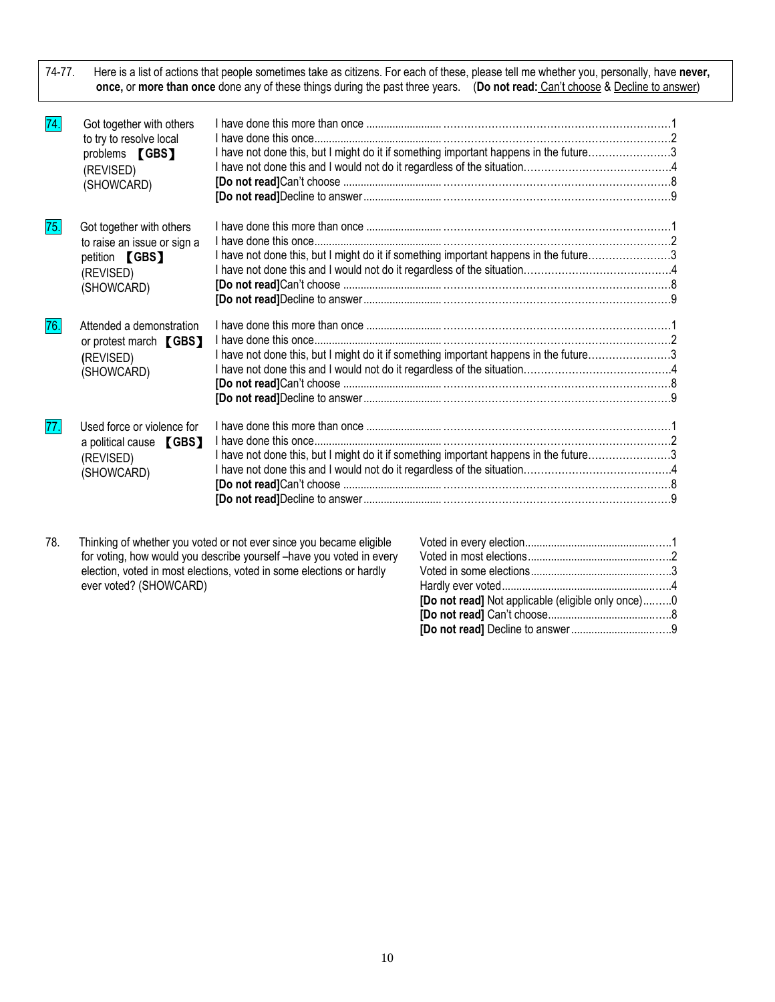74-77. Here is a list of actions that people sometimes take as citizens. For each of these, please tell me whether you, personally, have **never, once,** or **more than once** done any of these things during the past three years. (**Do not read:** Can't choose & Decline to answer)

| 74. | Got together with others<br>to try to resolve local<br>problems <b>[GBS]</b><br>(REVISED)<br>(SHOWCARD)     | I have not done this, but I might do it if something important happens in the future3 |  |
|-----|-------------------------------------------------------------------------------------------------------------|---------------------------------------------------------------------------------------|--|
| 75. | Got together with others<br>to raise an issue or sign a<br>petition <b>[GBS]</b><br>(REVISED)<br>(SHOWCARD) | I have not done this, but I might do it if something important happens in the future3 |  |
| 76. | Attended a demonstration<br>or protest march [GBS]<br>(REVISED)<br>(SHOWCARD)                               | I have not done this, but I might do it if something important happens in the future3 |  |
| 77. | Used force or violence for<br>a political cause [GBS]<br>(REVISED)<br>(SHOWCARD)                            | I have not done this, but I might do it if something important happens in the future3 |  |

78. Thinking of whether you voted or not ever since you became eligible for voting, how would you describe yourself –have you voted in every election, voted in most elections, voted in some elections or hardly ever voted? (SHOWCARD)

| <b>[Do not read]</b> Not applicable (eligible only once)0 |  |
|-----------------------------------------------------------|--|
|                                                           |  |
|                                                           |  |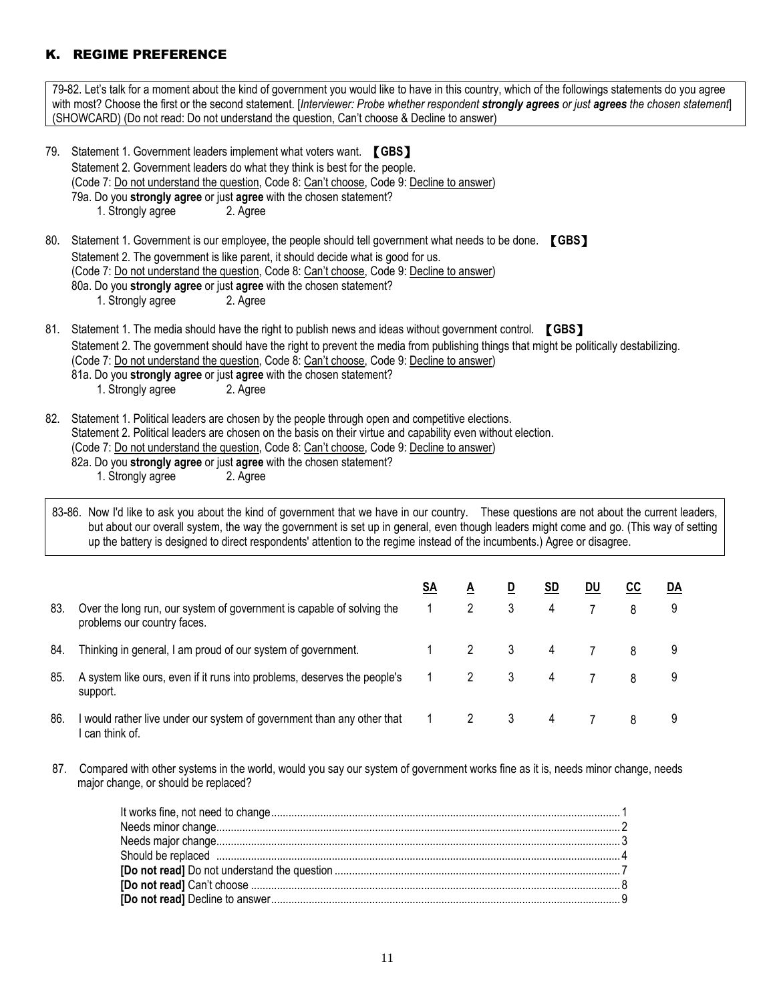# K. REGIME PREFERENCE

79-82. Let's talk for a moment about the kind of government you would like to have in this country, which of the followings statements do you agree with most? Choose the first or the second statement. [*Interviewer: Probe whether respondent strongly agrees or just agrees the chosen statement*] (SHOWCARD) (Do not read: Do not understand the question, Can't choose & Decline to answer) 79. Statement 1. Government leaders implement what voters want. 【**GBS**】 Statement 2. Government leaders do what they think is best for the people. (Code 7: Do not understand the question, Code 8: Can't choose, Code 9: Decline to answer) 79a. Do you **strongly agree** or just **agree** with the chosen statement? 1. Strongly agree 2. Agree 80. Statement 1. Government is our employee, the people should tell government what needs to be done. 【**GBS**】 Statement 2. The government is like parent, it should decide what is good for us. (Code 7: Do not understand the question, Code 8: Can't choose, Code 9: Decline to answer) 80a. Do you **strongly agree** or just **agree** with the chosen statement? 1. Strongly agree 2. Agree 81. Statement 1. The media should have the right to publish news and ideas without government control. 【**GBS**】 Statement 2. The government should have the right to prevent the media from publishing things that might be politically destabilizing. (Code 7: Do not understand the question, Code 8: Can't choose, Code 9: Decline to answer) 81a. Do you **strongly agree** or just **agree** with the chosen statement? 1. Strongly agree 2. Agree 82. Statement 1. Political leaders are chosen by the people through open and competitive elections. Statement 2. Political leaders are chosen on the basis on their virtue and capability even without election. (Code 7: Do not understand the question, Code 8: Can't choose, Code 9: Decline to answer) 82a. Do you **strongly agree** or just **agree** with the chosen statement? 1. Strongly agree 2. Agree 83-86. Now I'd like to ask you about the kind of government that we have in our country. These questions are not about the current leaders, but about our overall system, the way the government is set up in general, even though leaders might come and go. (This way of setting up the battery is designed to direct respondents' attention to the regime instead of the incumbents.) Agree or disagree. **SA A D SD DU CC DA** 83. Over the long run, our system of government is capable of solving the problems our country faces. 1 2 3 4 7 8 9 84. Thinking in general, I am proud of our system of government. 1 2 3 4 7 8 9 85. A system like ours, even if it runs into problems, deserves the people's support. 1 2 3 4 7 8 9 86. I would rather live under our system of government than any other that I can think of. 1 2 3 4 7 8 9

87. Compared with other systems in the world, would you say our system of government works fine as it is, needs minor change, needs major change, or should be replaced?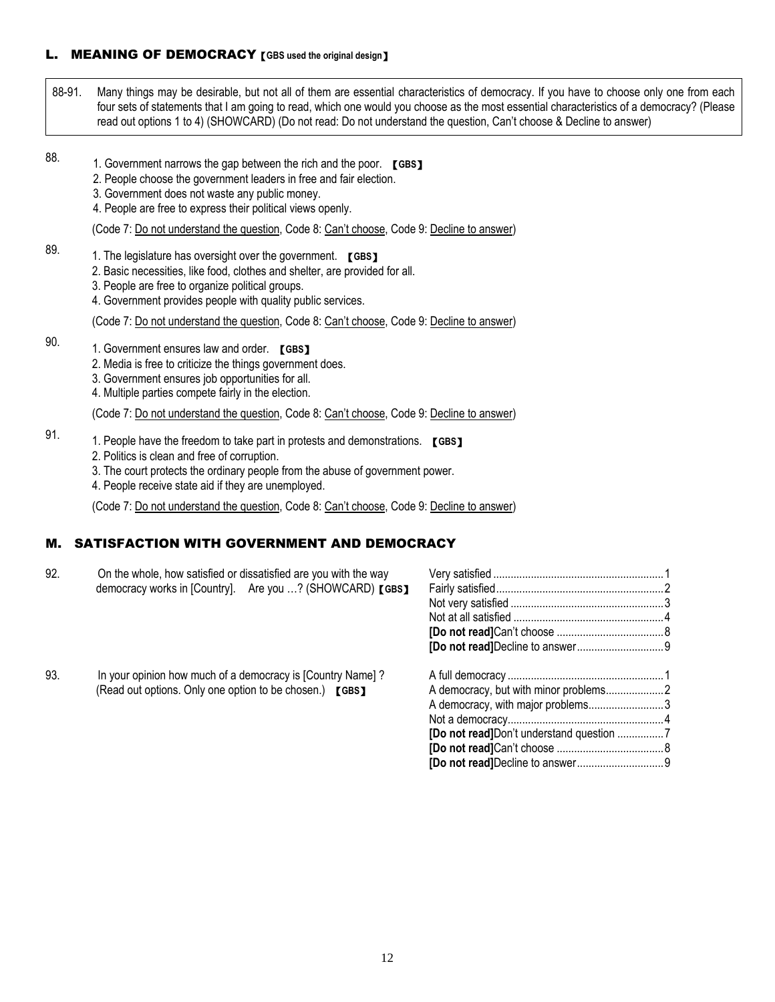# L. MEANING OF DEMOCRACY【**GBS used the original design**】

88-91. Many things may be desirable, but not all of them are essential characteristics of democracy. If you have to choose only one from each four sets of statements that I am going to read, which one would you choose as the most essential characteristics of a democracy? (Please read out options 1 to 4) (SHOWCARD) (Do not read: Do not understand the question, Can't choose & Decline to answer)

#### 88.

89.

- 1. Government narrows the gap between the rich and the poor. **[GBS]**
- 2. People choose the government leaders in free and fair election.
- 3. 3. Government does not waste any public money.
- 4. People are free to express their political views openly.
- (Code 7: Do not understand the question, Code 8: Can't choose, Code 9: Decline to answer)
- 1. The legislature has oversight over the government. 【**GBS**】
	- 2. Basic necessities, like food, clothes and shelter, are provided for all.
	- 3. People are free to organize political groups.
	- 4. Government provides people with quality public services.
	- (Code 7: Do not understand the question, Code 8: Can't choose, Code 9: Decline to answer)
- 90. 1. Government ensures law and order. 【**GBS**】
	- 2. Media is free to criticize the things government does.
	- 3. Government ensures job opportunities for all.
	- 4. Multiple parties compete fairly in the election.

(Code 7: Do not understand the question, Code 8: Can't choose, Code 9: Decline to answer)

- 91. 1. People have the freedom to take part in protests and demonstrations. 【**GBS**】
	- 2. Politics is clean and free of corruption.
	- 3. The court protects the ordinary people from the abuse of government power.
	- 4. People receive state aid if they are unemployed.

(Code 7: Do not understand the question, Code 8: Can't choose, Code 9: Decline to answer)

# M. SATISFACTION WITH GOVERNMENT AND DEMOCRACY

| 92. | On the whole, how satisfied or dissatisfied are you with the way |                                   |  |
|-----|------------------------------------------------------------------|-----------------------------------|--|
|     | democracy works in [Country]. Are you ? (SHOWCARD) [GBS]         |                                   |  |
|     |                                                                  |                                   |  |
|     |                                                                  |                                   |  |
|     |                                                                  |                                   |  |
|     |                                                                  |                                   |  |
| 93. | In your opinion how much of a democracy is [Country Name]?       |                                   |  |
|     | (Read out options. Only one option to be chosen.) [GBS]          |                                   |  |
|     |                                                                  | A democracy, with major problems3 |  |
|     |                                                                  |                                   |  |
|     |                                                                  |                                   |  |
|     |                                                                  |                                   |  |
|     |                                                                  |                                   |  |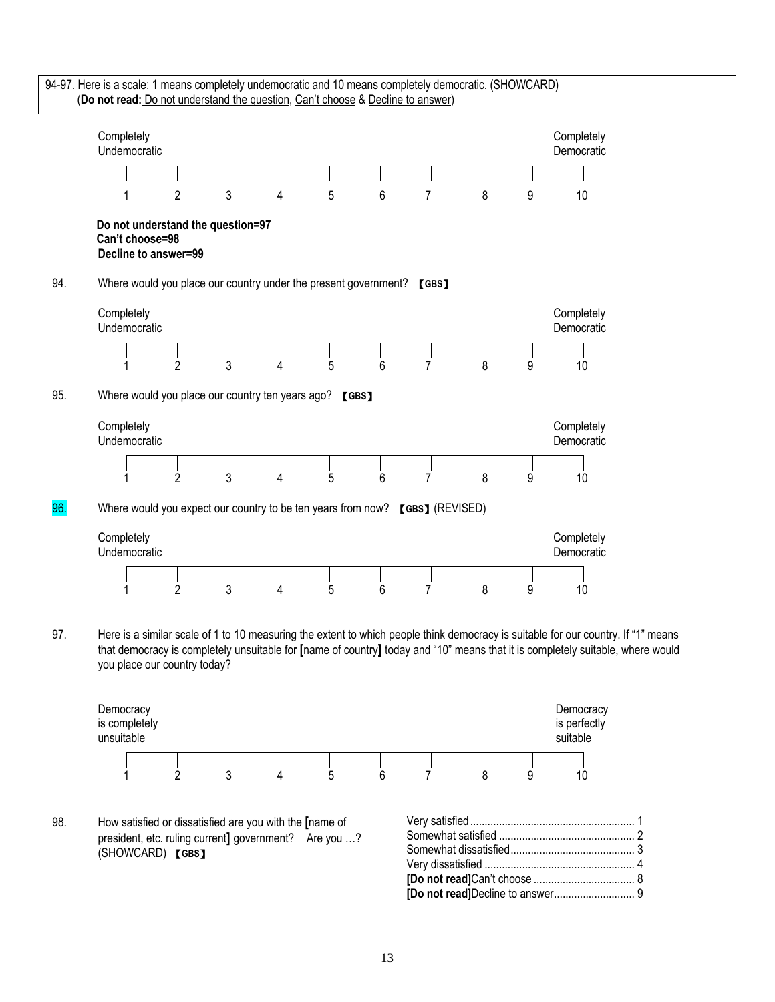



98. How satisfied or dissatisfied are you with the **[**name of president, etc. ruling current**]** government? Are you …? (SHOWCARD) 【**GBS**】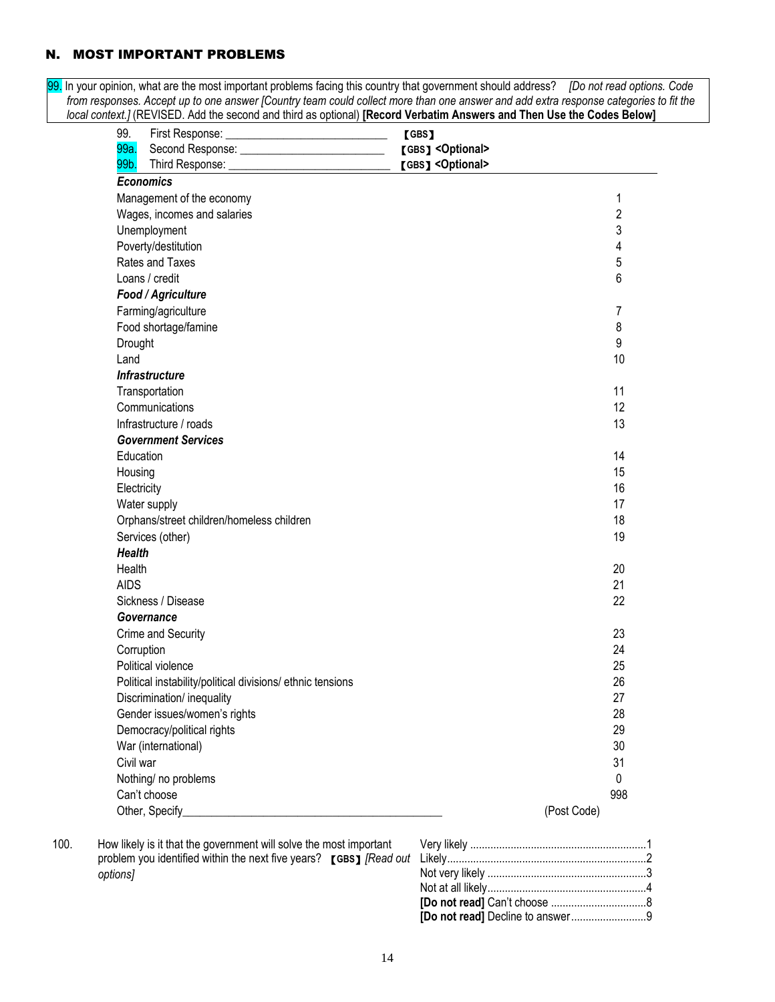## N. MOST IMPORTANT PROBLEMS

99. In your opinion, what are the most important problems facing this country that government should address? *[Do not read options. Code from responses. Accept up to one answer [Country team could collect more than one answer and add extra response categories to fit the local context.]* (REVISED. Add the second and third as optional) **[Record Verbatim Answers and Then Use the Codes Below]** 

| 99.              | First Response: _________________________________          | [GBS]                       |                |
|------------------|------------------------------------------------------------|-----------------------------|----------------|
| 99a.             |                                                            | [GBS] <optional></optional> |                |
| 99b.             |                                                            | [GBS] <optional></optional> |                |
| <b>Economics</b> |                                                            |                             |                |
|                  | Management of the economy                                  |                             | 1              |
|                  | Wages, incomes and salaries                                |                             | $\overline{2}$ |
|                  | Unemployment                                               |                             | 3              |
|                  | Poverty/destitution                                        |                             | 4              |
|                  | Rates and Taxes                                            |                             | 5              |
|                  | Loans / credit                                             |                             | 6              |
|                  | Food / Agriculture                                         |                             |                |
|                  | Farming/agriculture                                        |                             | 7              |
|                  | Food shortage/famine                                       |                             | 8              |
| Drought          |                                                            |                             | 9              |
| Land             |                                                            |                             | 10             |
|                  | <b>Infrastructure</b>                                      |                             |                |
|                  | Transportation                                             |                             | 11             |
|                  | Communications                                             |                             | 12             |
|                  | Infrastructure / roads                                     |                             | 13             |
|                  | <b>Government Services</b>                                 |                             |                |
| Education        |                                                            |                             | 14             |
| Housing          |                                                            |                             | 15             |
| Electricity      |                                                            |                             | 16             |
|                  | Water supply                                               |                             | 17             |
|                  | Orphans/street children/homeless children                  |                             | 18             |
|                  | Services (other)                                           |                             | 19             |
| <b>Health</b>    |                                                            |                             |                |
| Health           |                                                            |                             | 20             |
| <b>AIDS</b>      |                                                            |                             | 21             |
|                  | Sickness / Disease                                         |                             | 22             |
|                  | Governance                                                 |                             |                |
|                  | Crime and Security                                         |                             | 23             |
| Corruption       |                                                            |                             | 24             |
|                  | Political violence                                         |                             | 25             |
|                  | Political instability/political divisions/ ethnic tensions |                             | 26             |
|                  | Discrimination/ inequality                                 |                             | 27             |
|                  | Gender issues/women's rights                               |                             | 28             |
|                  | Democracy/political rights                                 |                             | 29             |
|                  | War (international)                                        |                             | 30             |
| Civil war        |                                                            |                             | 31             |
|                  | Nothing/ no problems                                       |                             | 0              |
|                  | Can't choose                                               |                             | 998            |
|                  | Other, Specify                                             |                             | (Post Code)    |

100. How likely is it that the government will solve the most important problem you identified within the next five years? 【**GBS**】*[Read out options]*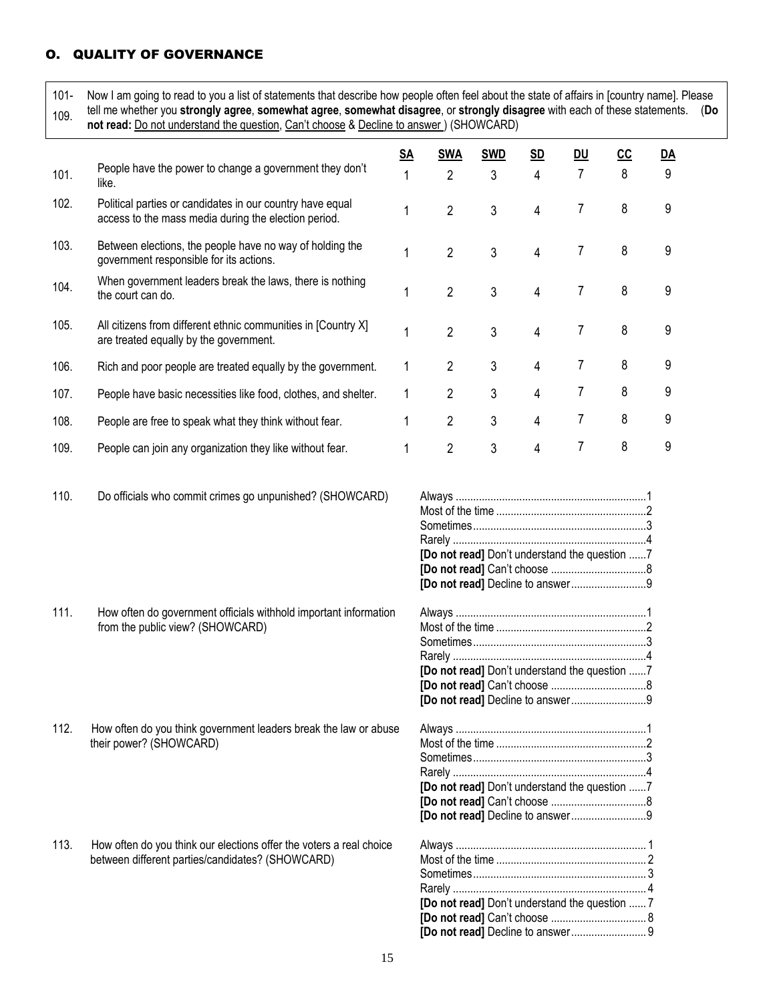# O. QUALITY OF GOVERNANCE

| $101 -$<br>109. | Now I am going to read to you a list of statements that describe how people often feel about the state of affairs in [country name]. Please<br>tell me whether you strongly agree, somewhat agree, somewhat disagree, or strongly disagree with each of these statements.<br>not read: Do not understand the question, Can't choose & Decline to answer ) (SHOWCARD) |           |                |            |           |           |     |    | (Do |
|-----------------|----------------------------------------------------------------------------------------------------------------------------------------------------------------------------------------------------------------------------------------------------------------------------------------------------------------------------------------------------------------------|-----------|----------------|------------|-----------|-----------|-----|----|-----|
|                 |                                                                                                                                                                                                                                                                                                                                                                      | <u>SA</u> | <b>SWA</b>     | <b>SWD</b> | <u>SD</u> | <b>DU</b> | CC. | DA |     |
| 101.            | People have the power to change a government they don't<br>like.                                                                                                                                                                                                                                                                                                     |           | 2              | 3          | 4         | 7         | 8   | 9  |     |
| 102.            | Political parties or candidates in our country have equal<br>access to the mass media during the election period.                                                                                                                                                                                                                                                    |           | $\mathfrak{p}$ | 3          | 4         |           | 8   | 9  |     |
| 103.            | Between elections, the people have no way of holding the<br>government responsible for its actions.                                                                                                                                                                                                                                                                  |           | 2              | 3          | 4         |           | 8   | 9  |     |
| 104.            | When government leaders break the laws, there is nothing<br>the court can do.                                                                                                                                                                                                                                                                                        |           | 2              | 3          | 4         |           | 8   | 9  |     |
| 105.            | All citizens from different ethnic communities in [Country X]<br>are treated equally by the government.                                                                                                                                                                                                                                                              |           | 2              | 3          | 4         |           | 8   | 9  |     |

- 106. Rich and poor people are treated equally by the government. 1 2 3 4 7 8 9
- 107. People have basic necessities like food, clothes, and shelter.  $1 \ 2 \ 3 \ 4 \ 7 \ 8 \ 9$
- 108. People are free to speak what they think without fear. 1 2 3 4 7 8 9
- 109. People can join any organization they like without fear. 1 2 3 4 7 8 9
- 110. Do officials who commit crimes go unpunished? (SHOWCARD) Always ..................................................................1

111. How often do government officials withhold important information

from the public view? (SHOWCARD)

- Most of the time ....................................................2 Sometimes............................................................3 Rarely ...................................................................4 **[Do not read]** Don't understand the question ......7 **[Do not read]** Can't choose .................................8 **[Do not read]** Decline to answer..........................9
- Always ..................................................................1 Most of the time ....................................................2 Sometimes............................................................3 Rarely ...................................................................4 **[Do not read]** Don't understand the question ......7 **[Do not read]** Can't choose .................................8 **[Do not read]** Decline to answer..........................9
- Always ..................................................................1 Most of the time ....................................................2 Sometimes............................................................3 Rarely ...................................................................4 **[Do not read]** Don't understand the question ......7 **[Do not read]** Can't choose .................................8 **[Do not read]** Decline to answer..........................9

| [Do not read] Don't understand the question  7 |
|------------------------------------------------|
|                                                |
|                                                |
|                                                |

- 112. How often do you think government leaders break the law or abuse their power? (SHOWCARD)
- 113. How often do you think our elections offer the voters a real choice between different parties/candidates? (SHOWCARD)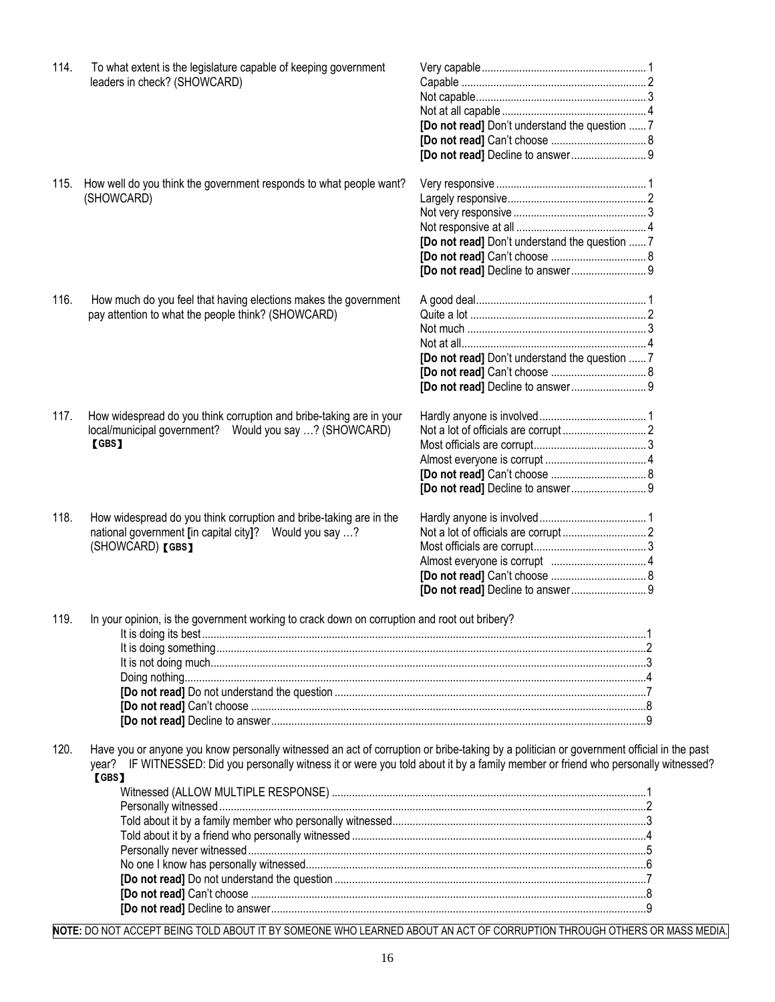| 114. | To what extent is the legislature capable of keeping government<br>leaders in check? (SHOWCARD)                                                                                                                                                                                         |                                                |  |
|------|-----------------------------------------------------------------------------------------------------------------------------------------------------------------------------------------------------------------------------------------------------------------------------------------|------------------------------------------------|--|
|      |                                                                                                                                                                                                                                                                                         |                                                |  |
|      |                                                                                                                                                                                                                                                                                         |                                                |  |
|      |                                                                                                                                                                                                                                                                                         | [Do not read] Don't understand the question  7 |  |
|      |                                                                                                                                                                                                                                                                                         |                                                |  |
|      |                                                                                                                                                                                                                                                                                         |                                                |  |
|      |                                                                                                                                                                                                                                                                                         |                                                |  |
| 115. | How well do you think the government responds to what people want?                                                                                                                                                                                                                      |                                                |  |
|      | (SHOWCARD)                                                                                                                                                                                                                                                                              |                                                |  |
|      |                                                                                                                                                                                                                                                                                         |                                                |  |
|      |                                                                                                                                                                                                                                                                                         |                                                |  |
|      |                                                                                                                                                                                                                                                                                         |                                                |  |
|      |                                                                                                                                                                                                                                                                                         | [Do not read] Don't understand the question  7 |  |
|      |                                                                                                                                                                                                                                                                                         |                                                |  |
|      |                                                                                                                                                                                                                                                                                         |                                                |  |
|      |                                                                                                                                                                                                                                                                                         |                                                |  |
| 116. | How much do you feel that having elections makes the government                                                                                                                                                                                                                         |                                                |  |
|      | pay attention to what the people think? (SHOWCARD)                                                                                                                                                                                                                                      |                                                |  |
|      |                                                                                                                                                                                                                                                                                         |                                                |  |
|      |                                                                                                                                                                                                                                                                                         |                                                |  |
|      |                                                                                                                                                                                                                                                                                         | [Do not read] Don't understand the question  7 |  |
|      |                                                                                                                                                                                                                                                                                         |                                                |  |
|      |                                                                                                                                                                                                                                                                                         |                                                |  |
|      |                                                                                                                                                                                                                                                                                         |                                                |  |
| 117. | How widespread do you think corruption and bribe-taking are in your                                                                                                                                                                                                                     |                                                |  |
|      | local/municipal government? Would you say ? (SHOWCARD)                                                                                                                                                                                                                                  |                                                |  |
|      | 【GBS】                                                                                                                                                                                                                                                                                   |                                                |  |
|      |                                                                                                                                                                                                                                                                                         |                                                |  |
|      |                                                                                                                                                                                                                                                                                         |                                                |  |
|      |                                                                                                                                                                                                                                                                                         |                                                |  |
|      |                                                                                                                                                                                                                                                                                         |                                                |  |
| 118. | How widespread do you think corruption and bribe-taking are in the                                                                                                                                                                                                                      |                                                |  |
|      | national government [in capital city]? Would you say ?                                                                                                                                                                                                                                  |                                                |  |
|      | (SHOWCARD) [GBS]                                                                                                                                                                                                                                                                        |                                                |  |
|      |                                                                                                                                                                                                                                                                                         |                                                |  |
|      |                                                                                                                                                                                                                                                                                         |                                                |  |
|      |                                                                                                                                                                                                                                                                                         |                                                |  |
|      |                                                                                                                                                                                                                                                                                         |                                                |  |
| 119. | In your opinion, is the government working to crack down on corruption and root out bribery?                                                                                                                                                                                            |                                                |  |
|      |                                                                                                                                                                                                                                                                                         |                                                |  |
|      |                                                                                                                                                                                                                                                                                         |                                                |  |
|      |                                                                                                                                                                                                                                                                                         |                                                |  |
|      |                                                                                                                                                                                                                                                                                         |                                                |  |
|      |                                                                                                                                                                                                                                                                                         |                                                |  |
|      |                                                                                                                                                                                                                                                                                         |                                                |  |
|      |                                                                                                                                                                                                                                                                                         |                                                |  |
|      |                                                                                                                                                                                                                                                                                         |                                                |  |
| 120. | Have you or anyone you know personally witnessed an act of corruption or bribe-taking by a politician or government official in the past<br>year? IF WITNESSED: Did you personally witness it or were you told about it by a family member or friend who personally witnessed?<br>[GBS] |                                                |  |
|      |                                                                                                                                                                                                                                                                                         |                                                |  |
|      |                                                                                                                                                                                                                                                                                         |                                                |  |
|      |                                                                                                                                                                                                                                                                                         |                                                |  |
|      |                                                                                                                                                                                                                                                                                         |                                                |  |
|      |                                                                                                                                                                                                                                                                                         |                                                |  |
|      |                                                                                                                                                                                                                                                                                         |                                                |  |
|      |                                                                                                                                                                                                                                                                                         |                                                |  |

**[Do not read]** Decline to answer..................................................................................................................................9 **NOTE:** DO NOT ACCEPT BEING TOLD ABOUT IT BY SOMEONE WHO LEARNED ABOUT AN ACT OF CORRUPTION THROUGH OTHERS OR MASS MEDIA.

**[Do not read]** Can't choose .........................................................................................................................................8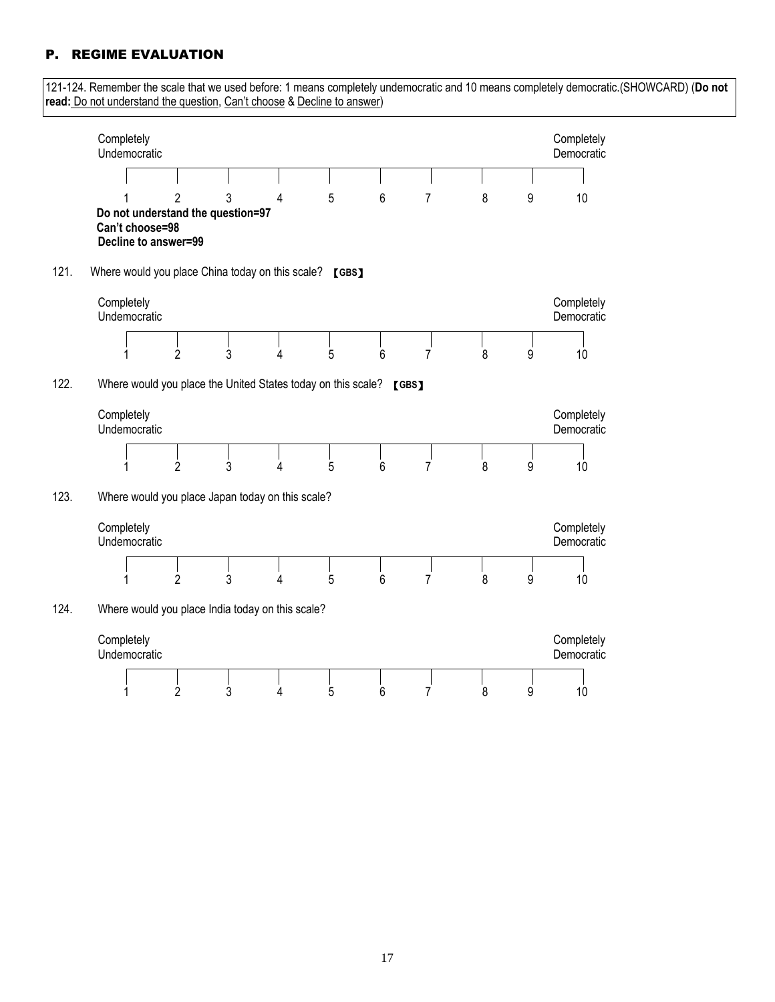# P. REGIME EVALUATION

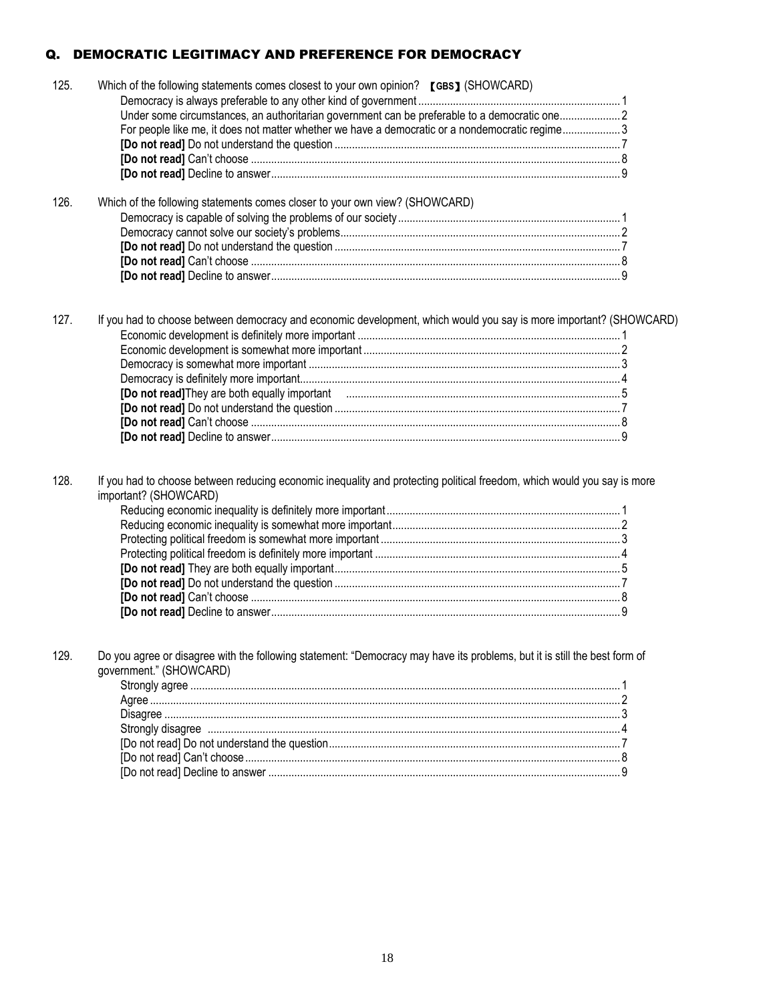# Q. DEMOCRATIC LEGITIMACY AND PREFERENCE FOR DEMOCRACY

| 125. | Which of the following statements comes closest to your own opinion? [GBS] (SHOWCARD)                                                                |  |
|------|------------------------------------------------------------------------------------------------------------------------------------------------------|--|
|      | Under some circumstances, an authoritarian government can be preferable to a democratic one2                                                         |  |
|      | For people like me, it does not matter whether we have a democratic or a nondemocratic regime3                                                       |  |
|      |                                                                                                                                                      |  |
|      |                                                                                                                                                      |  |
|      |                                                                                                                                                      |  |
|      |                                                                                                                                                      |  |
| 126. | Which of the following statements comes closer to your own view? (SHOWCARD)                                                                          |  |
|      |                                                                                                                                                      |  |
|      |                                                                                                                                                      |  |
|      |                                                                                                                                                      |  |
|      |                                                                                                                                                      |  |
|      |                                                                                                                                                      |  |
| 127. | If you had to choose between democracy and economic development, which would you say is more important? (SHOWCARD)                                   |  |
| 128. | If you had to choose between reducing economic inequality and protecting political freedom, which would you say is more<br>important? (SHOWCARD)     |  |
|      |                                                                                                                                                      |  |
|      |                                                                                                                                                      |  |
|      |                                                                                                                                                      |  |
| 129. | Do you agree or disagree with the following statement: "Democracy may have its problems, but it is still the best form of<br>government." (SHOWCARD) |  |
|      |                                                                                                                                                      |  |
|      |                                                                                                                                                      |  |
|      |                                                                                                                                                      |  |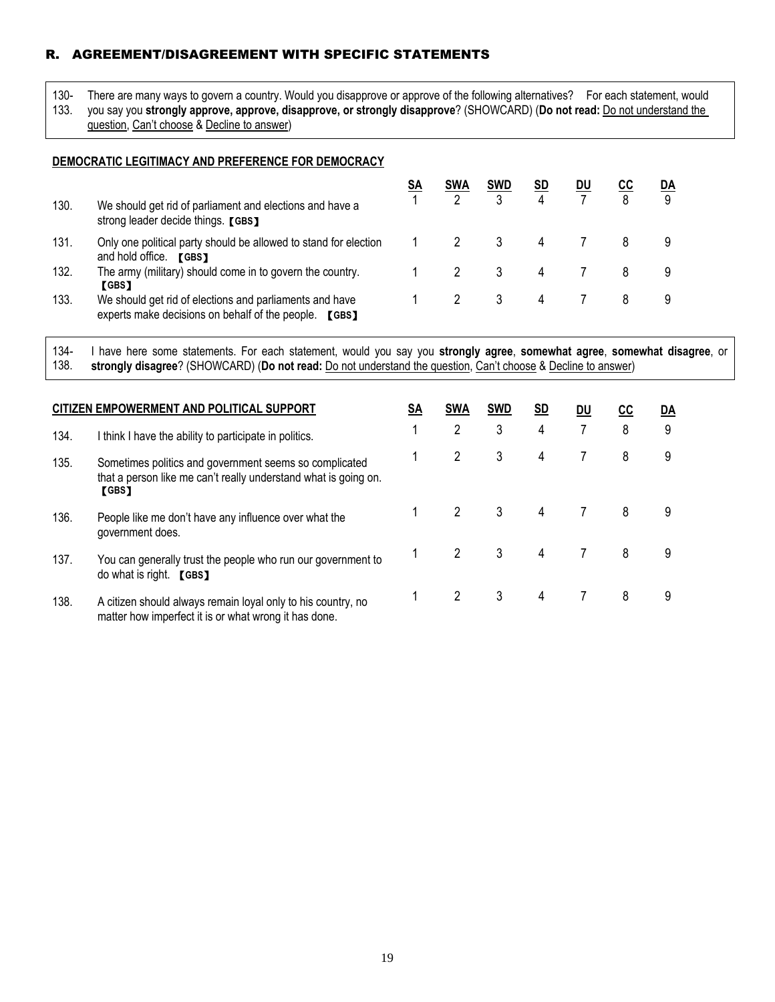# R. AGREEMENT/DISAGREEMENT WITH SPECIFIC STATEMENTS

130- There are many ways to govern a country. Would you disapprove or approve of the following alternatives? For each statement, would

133. you say you **strongly approve, approve, disapprove, or strongly disapprove**? (SHOWCARD) (**Do not read:** Do not understand the question, Can't choose & Decline to answer)

#### **DEMOCRATIC LEGITIMACY AND PREFERENCE FOR DEMOCRACY**

|      |                                                                                                                  | SΑ | <b>SWA</b> | <b>SWD</b> | <b>SD</b> | <u>DU</u> | <u>cc</u> | <u>DA</u> |
|------|------------------------------------------------------------------------------------------------------------------|----|------------|------------|-----------|-----------|-----------|-----------|
| 130. | We should get rid of parliament and elections and have a<br>strong leader decide things. [GBS]                   |    |            |            |           |           | 8         | 9         |
| 131. | Only one political party should be allowed to stand for election<br>and hold office.<br><b>TGBS</b>              |    |            |            | 4         |           |           |           |
| 132. | The army (military) should come in to govern the country.<br><b>L</b> GBS 1                                      |    |            |            | 4         |           |           |           |
| 133. | We should get rid of elections and parliaments and have<br>experts make decisions on behalf of the people. [GBS] |    |            |            | 4         |           |           |           |

134- 138. I have here some statements. For each statement, would you say you **strongly agree**, **somewhat agree**, **somewhat disagree**, or **strongly disagree**? (SHOWCARD) (**Do not read:** Do not understand the question, Can't choose & Decline to answer)

|      | CITIZEN EMPOWERMENT AND POLITICAL SUPPORT                                                                                                 | <u>SA</u> | <b>SWA</b> | <b>SWD</b> | <u>SD</u> | DU | CС | DA |  |
|------|-------------------------------------------------------------------------------------------------------------------------------------------|-----------|------------|------------|-----------|----|----|----|--|
| 134. | I think I have the ability to participate in politics.                                                                                    |           | 2          | 3          | 4         | 7  | 8  | 9  |  |
| 135. | Sometimes politics and government seems so complicated<br>that a person like me can't really understand what is going on.<br><b>[GBS]</b> |           | 2          | 3          | 4         |    | 8  | 9  |  |
| 136. | People like me don't have any influence over what the<br>government does.                                                                 |           |            | 3          | 4         |    | 8  | 9  |  |
| 137. | You can generally trust the people who run our government to<br>do what is right. [GBS]                                                   |           | 2          | 3          | 4         |    | 8  | 9  |  |
| 138. | A citizen should always remain loyal only to his country, no<br>matter how imperfect it is or what wrong it has done.                     |           | 2          | 3          | 4         |    | 8  | 9  |  |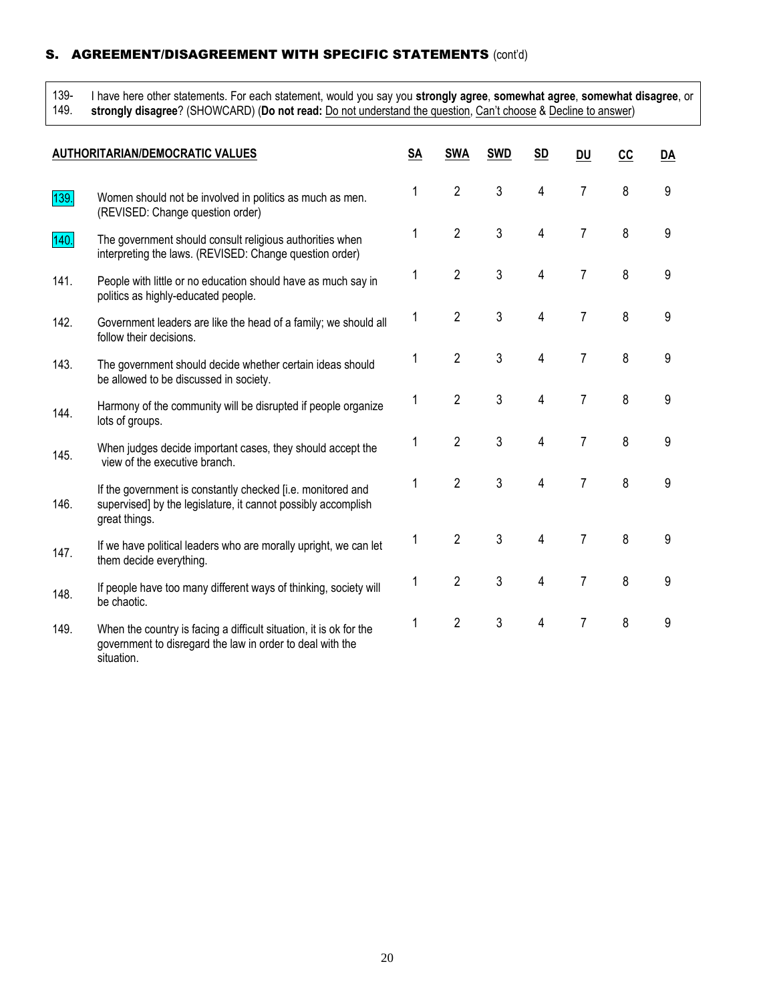# S. AGREEMENT/DISAGREEMENT WITH SPECIFIC STATEMENTS (cont'd)

139-

I have here other statements. For each statement, would you say you **strongly agree**, **somewhat agree**, **somewhat disagree**, or

149. **strongly disagree**? (SHOWCARD) (**Do not read:** Do not understand the question, Can't choose & Decline to answer)

|      | <b>AUTHORITARIAN/DEMOCRATIC VALUES</b>                                                                                                        | <b>SA</b> | <b>SWA</b>     | <b>SWD</b> | <u>SD</u>      | <b>DU</b>      | cc | DA |
|------|-----------------------------------------------------------------------------------------------------------------------------------------------|-----------|----------------|------------|----------------|----------------|----|----|
| 139. | Women should not be involved in politics as much as men.<br>(REVISED: Change question order)                                                  | 1         | $\overline{2}$ | 3          | 4              | 7              | 8  | 9  |
| 140. | The government should consult religious authorities when<br>interpreting the laws. (REVISED: Change question order)                           | 1         | $\overline{2}$ | 3          | 4              | 7              | 8  | 9  |
| 141. | People with little or no education should have as much say in<br>politics as highly-educated people.                                          | 1         | $\overline{2}$ | 3          | 4              | 7              | 8  | 9  |
| 142. | Government leaders are like the head of a family; we should all<br>follow their decisions.                                                    | 1         | $\overline{2}$ | 3          | 4              | $\overline{7}$ | 8  | 9  |
| 143. | The government should decide whether certain ideas should<br>be allowed to be discussed in society.                                           |           | $\overline{2}$ | 3          | $\overline{4}$ | $\overline{7}$ | 8  | 9  |
| 144. | Harmony of the community will be disrupted if people organize<br>lots of groups.                                                              | 1         | $\overline{2}$ | 3          | 4              | $\overline{7}$ | 8  | 9  |
| 145. | When judges decide important cases, they should accept the<br>view of the executive branch.                                                   | 1         | $\overline{2}$ | 3          | 4              | 7              | 8  | 9  |
| 146. | If the government is constantly checked [i.e. monitored and<br>supervised] by the legislature, it cannot possibly accomplish<br>great things. | 1         | $\overline{2}$ | 3          | 4              | 7              | 8  | 9  |
| 147. | If we have political leaders who are morally upright, we can let<br>them decide everything.                                                   | 1         | $\overline{2}$ | 3          | 4              | $\overline{7}$ | 8  | 9  |
| 148. | If people have too many different ways of thinking, society will<br>be chaotic.                                                               | 1         | $\overline{2}$ | 3          | $\overline{4}$ | 7              | 8  | 9  |
| 149. | When the country is facing a difficult situation, it is ok for the<br>government to disregard the law in order to deal with the<br>situation. | 1         | $\overline{2}$ | 3          | $\overline{4}$ | $\overline{7}$ | 8  | 9  |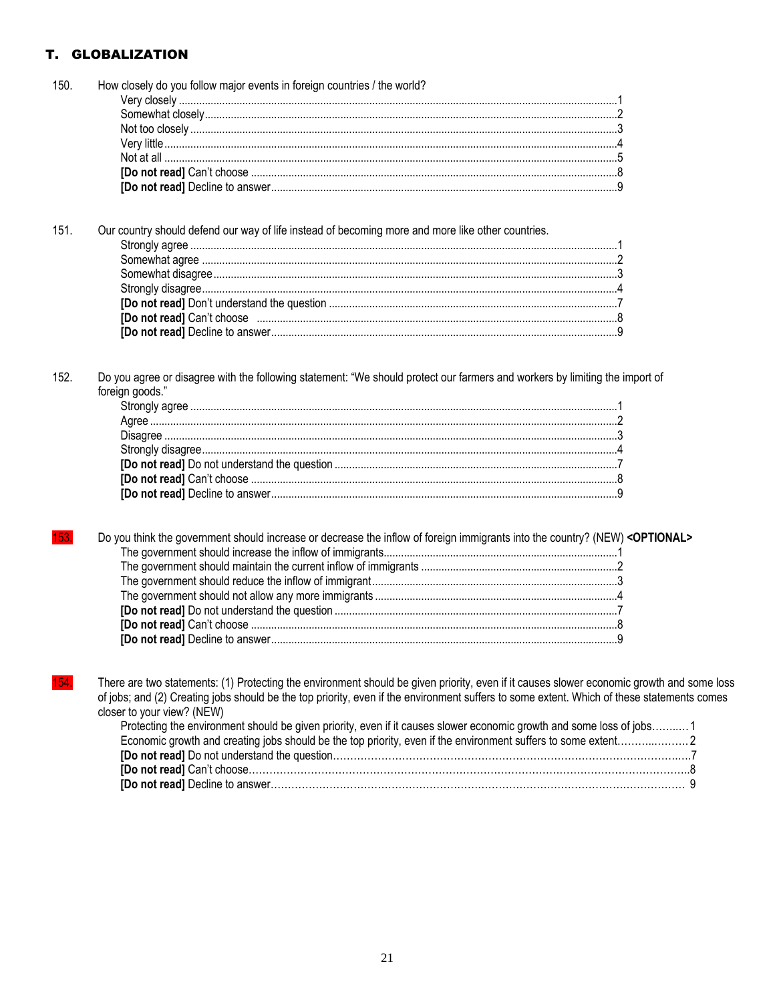# T. GLOBALIZATION

| 150. | How closely do you follow major events in foreign countries / the world?                                                                   |  |
|------|--------------------------------------------------------------------------------------------------------------------------------------------|--|
|      |                                                                                                                                            |  |
|      |                                                                                                                                            |  |
|      |                                                                                                                                            |  |
|      |                                                                                                                                            |  |
|      |                                                                                                                                            |  |
|      |                                                                                                                                            |  |
|      |                                                                                                                                            |  |
|      |                                                                                                                                            |  |
| 151. | Our country should defend our way of life instead of becoming more and more like other countries.                                          |  |
|      |                                                                                                                                            |  |
|      |                                                                                                                                            |  |
|      |                                                                                                                                            |  |
|      |                                                                                                                                            |  |
|      |                                                                                                                                            |  |
|      |                                                                                                                                            |  |
|      |                                                                                                                                            |  |
|      |                                                                                                                                            |  |
|      |                                                                                                                                            |  |
| 152. | Do you agree or disagree with the following statement: "We should protect our farmers and workers by limiting the import of                |  |
|      | foreign goods."                                                                                                                            |  |
|      |                                                                                                                                            |  |
|      |                                                                                                                                            |  |
|      |                                                                                                                                            |  |
|      |                                                                                                                                            |  |
|      |                                                                                                                                            |  |
|      |                                                                                                                                            |  |
|      |                                                                                                                                            |  |
|      |                                                                                                                                            |  |
|      |                                                                                                                                            |  |
| 153  | Do you think the government should increase or decrease the inflow of foreign immigrants into the country? (NEW) <optional></optional>     |  |
|      |                                                                                                                                            |  |
|      |                                                                                                                                            |  |
|      |                                                                                                                                            |  |
|      |                                                                                                                                            |  |
|      |                                                                                                                                            |  |
|      |                                                                                                                                            |  |
|      |                                                                                                                                            |  |
|      |                                                                                                                                            |  |
|      |                                                                                                                                            |  |
| 154. | There are two statements: (1) Protecting the environment should be given priority, even if it causes slower economic growth and some loss  |  |
|      | of jobs; and (2) Creating jobs should be the top priority, even if the environment suffers to some extent. Which of these statements comes |  |
|      | closer to your view? (NEW)                                                                                                                 |  |
|      | Protecting the environment should be given priority, even if it causes slower economic growth and some loss of jobs 1                      |  |
|      |                                                                                                                                            |  |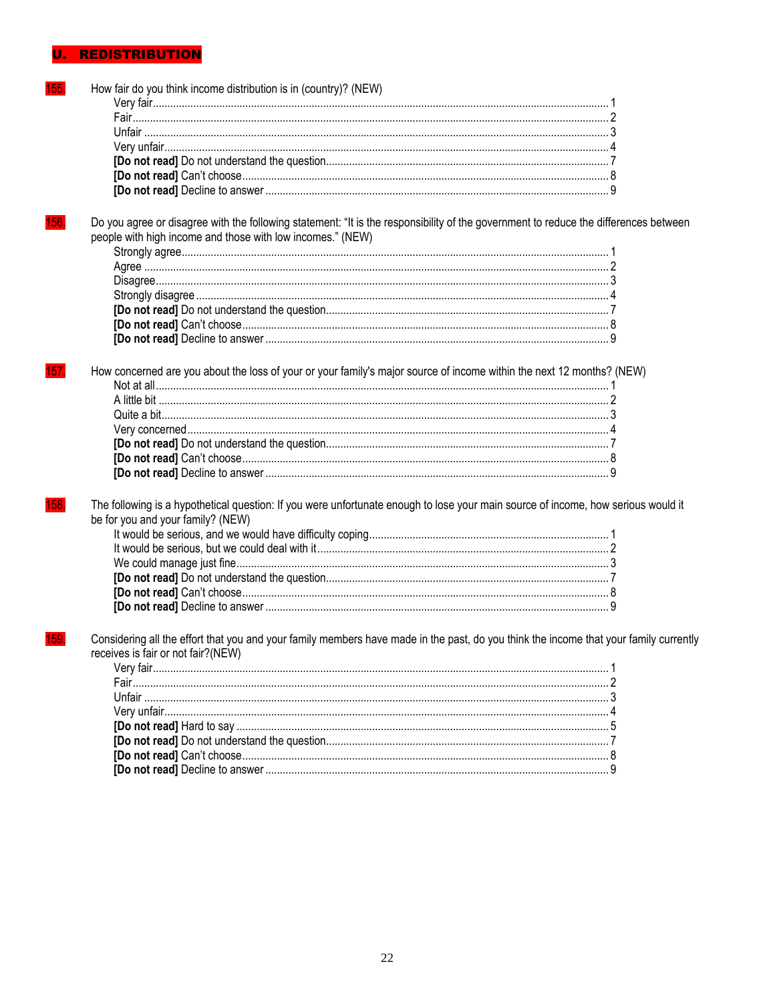#### REDISTRIBUTION U.

| How fair do you think income distribution is in (country)? (NEW)                                                                      |  |
|---------------------------------------------------------------------------------------------------------------------------------------|--|
|                                                                                                                                       |  |
|                                                                                                                                       |  |
|                                                                                                                                       |  |
|                                                                                                                                       |  |
|                                                                                                                                       |  |
|                                                                                                                                       |  |
|                                                                                                                                       |  |
|                                                                                                                                       |  |
| Do you agree or disagree with the following statement: "It is the responsibility of the government to reduce the differences between  |  |
| people with high income and those with low incomes." (NEW)                                                                            |  |
|                                                                                                                                       |  |
|                                                                                                                                       |  |
|                                                                                                                                       |  |
|                                                                                                                                       |  |
|                                                                                                                                       |  |
|                                                                                                                                       |  |
|                                                                                                                                       |  |
|                                                                                                                                       |  |
| How concerned are you about the loss of your or your family's major source of income within the next 12 months? (NEW)                 |  |
|                                                                                                                                       |  |
|                                                                                                                                       |  |
|                                                                                                                                       |  |
|                                                                                                                                       |  |
|                                                                                                                                       |  |
|                                                                                                                                       |  |
|                                                                                                                                       |  |
|                                                                                                                                       |  |
| The following is a hypothetical question: If you were unfortunate enough to lose your main source of income, how serious would it     |  |
| be for you and your family? (NEW)                                                                                                     |  |
|                                                                                                                                       |  |
|                                                                                                                                       |  |
|                                                                                                                                       |  |
|                                                                                                                                       |  |
|                                                                                                                                       |  |
|                                                                                                                                       |  |
|                                                                                                                                       |  |
| Considering all the effort that you and your family members have made in the past, do you think the income that your family currently |  |
| receives is fair or not fair?(NEW)                                                                                                    |  |
|                                                                                                                                       |  |
|                                                                                                                                       |  |
|                                                                                                                                       |  |
|                                                                                                                                       |  |
|                                                                                                                                       |  |
|                                                                                                                                       |  |
|                                                                                                                                       |  |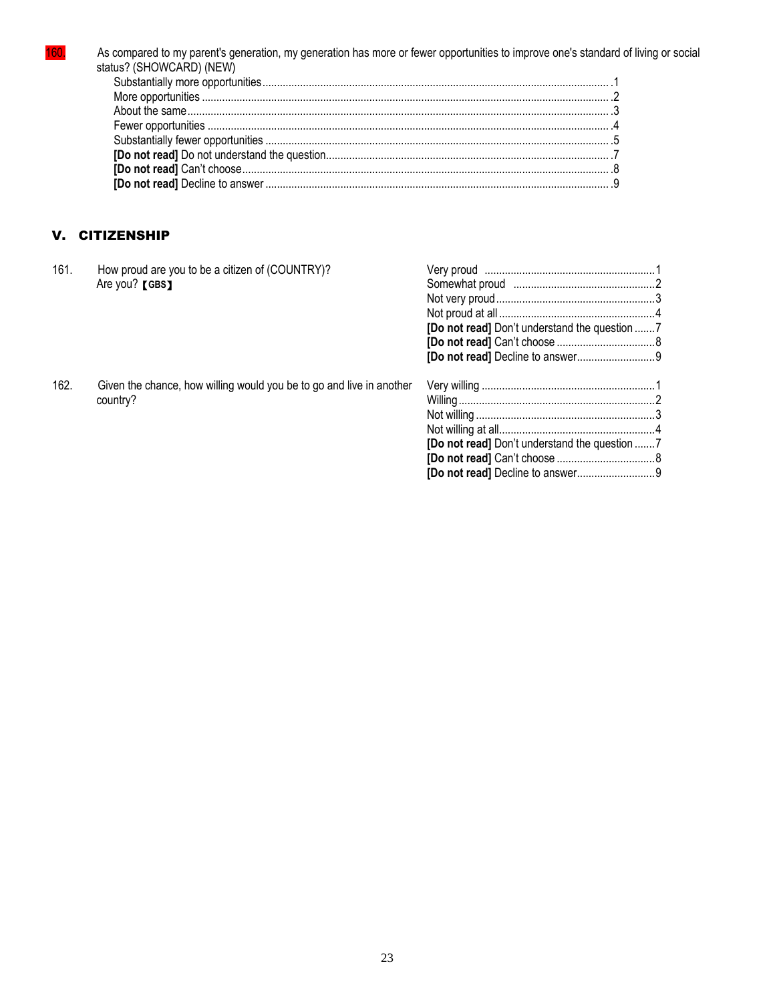162.

As compared to my parent's generation, my generation has more or fewer opportunities to improve one's standard of living or social status? (SHOWCARD) (NEW)

# V. CITIZENSHIP

country?

How proud are you to be a citizen of (COUNTRY)?<br>Are you? [GBS] 161.

Given the chance, how willing would you be to go and live in another

| [Do not read] Don't understand the question 7 |  |
|-----------------------------------------------|--|
|                                               |  |
|                                               |  |
|                                               |  |
|                                               |  |
|                                               |  |
|                                               |  |
|                                               |  |
|                                               |  |
|                                               |  |
| [Do not read] Don't understand the question 7 |  |
|                                               |  |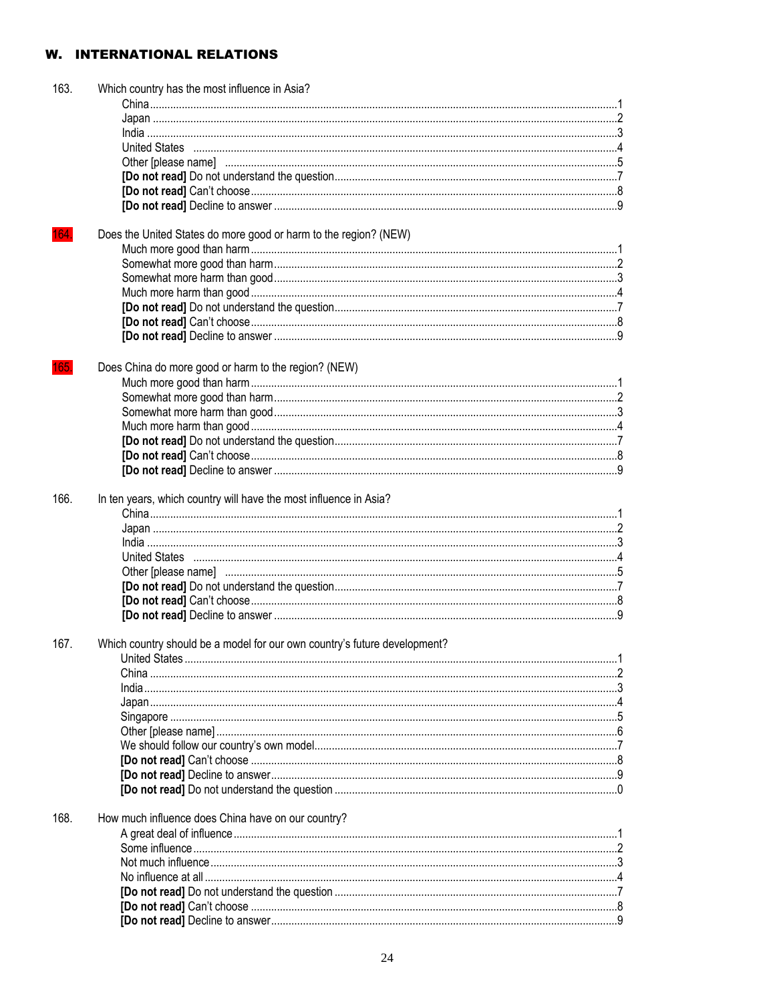# **W. INTERNATIONAL RELATIONS**

| 163. | Which country has the most influence in Asia?                             |  |
|------|---------------------------------------------------------------------------|--|
|      |                                                                           |  |
|      |                                                                           |  |
|      |                                                                           |  |
|      |                                                                           |  |
|      |                                                                           |  |
|      |                                                                           |  |
|      |                                                                           |  |
|      |                                                                           |  |
|      |                                                                           |  |
| 164. | Does the United States do more good or harm to the region? (NEW)          |  |
|      |                                                                           |  |
|      |                                                                           |  |
|      |                                                                           |  |
|      |                                                                           |  |
|      |                                                                           |  |
|      |                                                                           |  |
|      |                                                                           |  |
|      |                                                                           |  |
|      | Does China do more good or harm to the region? (NEW)                      |  |
|      |                                                                           |  |
|      |                                                                           |  |
|      |                                                                           |  |
|      |                                                                           |  |
|      |                                                                           |  |
|      |                                                                           |  |
|      |                                                                           |  |
|      |                                                                           |  |
| 166. | In ten years, which country will have the most influence in Asia?         |  |
|      |                                                                           |  |
|      |                                                                           |  |
|      |                                                                           |  |
|      |                                                                           |  |
|      |                                                                           |  |
|      |                                                                           |  |
|      |                                                                           |  |
|      |                                                                           |  |
| 167. | Which country should be a model for our own country's future development? |  |
|      |                                                                           |  |
|      |                                                                           |  |
|      |                                                                           |  |
|      |                                                                           |  |
|      |                                                                           |  |
|      |                                                                           |  |
|      |                                                                           |  |
|      |                                                                           |  |
|      |                                                                           |  |
|      |                                                                           |  |
|      |                                                                           |  |
| 168. | How much influence does China have on our country?                        |  |
|      |                                                                           |  |
|      |                                                                           |  |
|      |                                                                           |  |
|      |                                                                           |  |
|      |                                                                           |  |
|      |                                                                           |  |
|      |                                                                           |  |
|      |                                                                           |  |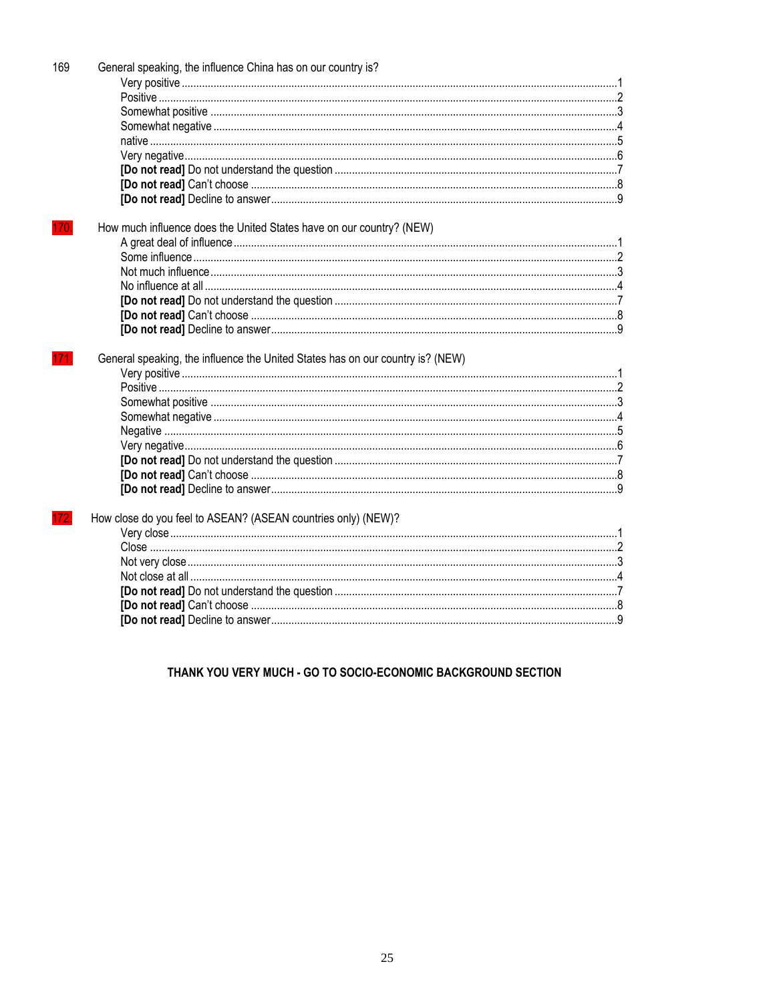| 169  | General speaking, the influence China has on our country is?                   |  |
|------|--------------------------------------------------------------------------------|--|
|      |                                                                                |  |
|      |                                                                                |  |
|      |                                                                                |  |
|      |                                                                                |  |
|      |                                                                                |  |
|      |                                                                                |  |
|      |                                                                                |  |
|      |                                                                                |  |
|      |                                                                                |  |
|      |                                                                                |  |
| 170. | How much influence does the United States have on our country? (NEW)           |  |
|      |                                                                                |  |
|      |                                                                                |  |
|      |                                                                                |  |
|      |                                                                                |  |
|      |                                                                                |  |
|      |                                                                                |  |
|      |                                                                                |  |
| 171. | General speaking, the influence the United States has on our country is? (NEW) |  |
|      |                                                                                |  |
|      |                                                                                |  |
|      |                                                                                |  |
|      |                                                                                |  |
|      |                                                                                |  |
|      |                                                                                |  |
|      |                                                                                |  |
| 172. | How close do you feel to ASEAN? (ASEAN countries only) (NEW)?                  |  |
|      |                                                                                |  |
|      |                                                                                |  |
|      |                                                                                |  |
|      |                                                                                |  |
|      |                                                                                |  |
|      |                                                                                |  |
|      |                                                                                |  |
|      |                                                                                |  |

THANK YOU VERY MUCH - GO TO SOCIO-ECONOMIC BACKGROUND SECTION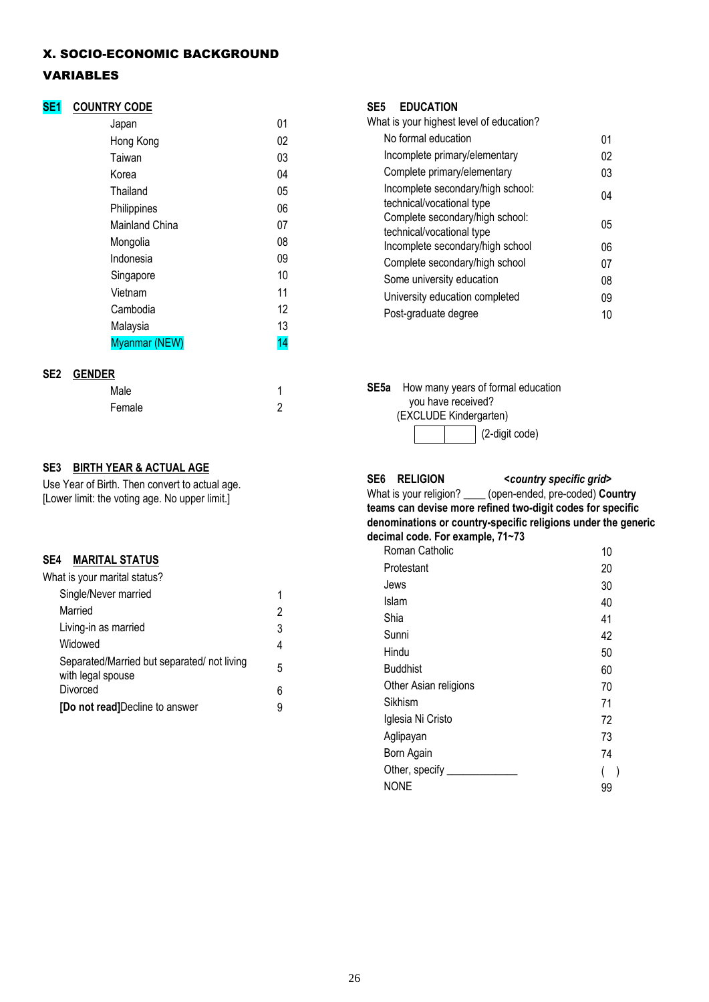#### X. SOCIO-ECONOMIC BACKGROUND

# VARIABLES

# **SE1 COUNTRY CODE**

| Japan          | 01 |
|----------------|----|
| Hong Kong      | 02 |
| Taiwan         | 03 |
| Korea          | 04 |
| Thailand       | 05 |
| Philippines    | 06 |
| Mainland China | 07 |
| Mongolia       | 08 |
| Indonesia      | 09 |
| Singapore      | 10 |
| Vietnam        | 11 |
| Cambodia       | 12 |
| Malaysia       | 13 |
| Myanmar (NEW)  | 14 |
|                |    |

# **SE2 GENDER**

| Male   |   |
|--------|---|
| Female | 2 |

# **SE3 BIRTH YEAR & ACTUAL AGE**

Use Year of Birth. Then convert to actual age. [Lower limit: the voting age. No upper limit.]

# **SE4 MARITAL STATUS**

| What is your marital status?                                    |   |
|-----------------------------------------------------------------|---|
| Single/Never married                                            | 1 |
| Married                                                         | 2 |
| Living-in as married                                            | 3 |
| Widowed                                                         | 4 |
| Separated/Married but separated/not living<br>with legal spouse | 5 |
| Divorced                                                        | 6 |
| [Do not read]Decline to answer                                  |   |

#### **SE5 EDUCATION**

| What is your highest level of education?                       |    |
|----------------------------------------------------------------|----|
| No formal education                                            | 01 |
| Incomplete primary/elementary                                  | 02 |
| Complete primary/elementary                                    | 03 |
| Incomplete secondary/high school:<br>technical/vocational type | 04 |
| Complete secondary/high school:<br>technical/vocational type   | 05 |
| Incomplete secondary/high school                               | 06 |
| Complete secondary/high school                                 | 07 |
| Some university education                                      | 08 |
| University education completed                                 | 09 |
| Post-graduate degree                                           | 10 |

**SE5a** How many years of formal education you have received? (EXCLUDE Kindergarten)



#### **SE6 RELIGION** *<country specific grid>* What is your religion? \_\_\_\_ (open-ended, pre-coded) **Country teams can devise more refined two-digit codes for specific denominations or country-specific religions under the generic decimal code. For example, 71~73**

| Roman Catholic        | 10 |
|-----------------------|----|
| Protestant            | 20 |
| Jews                  | 30 |
| Islam                 | 40 |
| Shia                  | 41 |
| Sunni                 | 42 |
| Hindu                 | 50 |
| <b>Buddhist</b>       | 60 |
| Other Asian religions | 70 |
| Sikhism               | 71 |
| Iglesia Ni Cristo     | 72 |
| Aglipayan             | 73 |
| Born Again            | 74 |
| Other, specify ____   |    |
| <b>NONE</b>           | 99 |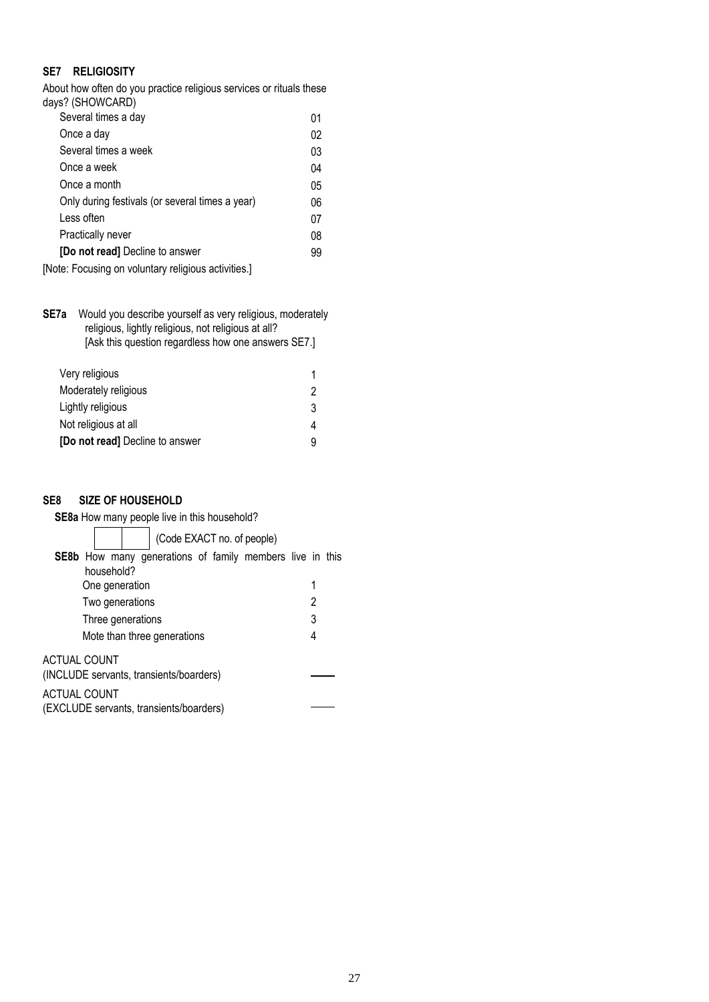# **SE7 RELIGIOSITY**

About how often do you practice religious services or rituals these days? (SHOWCARD)

| Several times a day                                 | 01 |
|-----------------------------------------------------|----|
| Once a day                                          | 02 |
| Several times a week                                | 03 |
| Once a week                                         | 04 |
| Once a month                                        | 05 |
| Only during festivals (or several times a year)     | 06 |
| Less often                                          | 07 |
| Practically never                                   | 08 |
| [Do not read] Decline to answer                     | 99 |
| [Note: Focusing on voluntary religious activities.] |    |
|                                                     |    |

**SE7a** Would you describe yourself as very religious, moderately religious, lightly religious, not religious at all? [Ask this question regardless how one answers SE7.]

| Very religious                         |   |
|----------------------------------------|---|
| Moderately religious                   | 2 |
| Lightly religious                      | 3 |
| Not religious at all                   | 4 |
| <b>[Do not read]</b> Decline to answer |   |

# **SE8 SIZE OF HOUSEHOLD**

| <b>SE8a</b> How many people live in this household? |                                                                 |   |
|-----------------------------------------------------|-----------------------------------------------------------------|---|
|                                                     | (Code EXACT no. of people)                                      |   |
|                                                     | <b>SE8b</b> How many generations of family members live in this |   |
| household?                                          |                                                                 |   |
| One generation                                      |                                                                 | 1 |
| Two generations                                     |                                                                 | 2 |
| Three generations                                   |                                                                 | 3 |
|                                                     | Mote than three generations                                     | 4 |
| ACTUAL COUNT                                        | (INCLUDE servants, transients/boarders)                         |   |
|                                                     |                                                                 |   |
| ACTUAL COUNT                                        |                                                                 |   |
|                                                     | (EXCLUDE servants, transients/boarders)                         |   |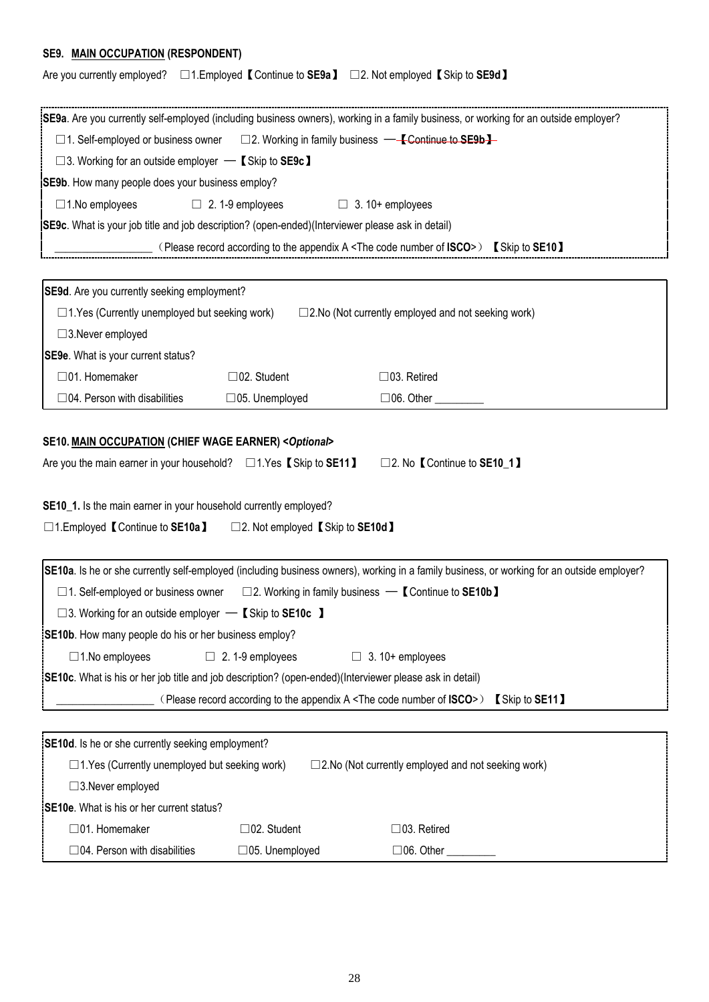# **SE9. MAIN OCCUPATION (RESPONDENT)**

|  |  | Are you currently employed? $\Box$ 1. Employed 【 Continue to SE9a 】 $\Box$ 2. Not employed 【 Skip to SE9d 】 |
|--|--|-------------------------------------------------------------------------------------------------------------|
|--|--|-------------------------------------------------------------------------------------------------------------|

|                                                                                                                                       |                                               | SE9a. Are you currently self-employed (including business owners), working in a family business, or working for an outside employer?       |  |
|---------------------------------------------------------------------------------------------------------------------------------------|-----------------------------------------------|--------------------------------------------------------------------------------------------------------------------------------------------|--|
| □1. Self-employed or business owner □2. Working in family business — K Continue to SE9b H                                             |                                               |                                                                                                                                            |  |
| $\square$ 3. Working for an outside employer $\blacksquare$ (Skip to SE9c)                                                            |                                               |                                                                                                                                            |  |
| SE9b. How many people does your business employ?                                                                                      |                                               |                                                                                                                                            |  |
| $\Box$ 1. No employees                                                                                                                | $\Box$ 2.1-9 employees $\Box$ 3.10+ employees |                                                                                                                                            |  |
| SE9c. What is your job title and job description? (open-ended)(Interviewer please ask in detail)                                      |                                               |                                                                                                                                            |  |
|                                                                                                                                       |                                               | (Please record according to the appendix A <the code="" isco="" number="" of="">) [Skip to SE10]</the>                                     |  |
|                                                                                                                                       |                                               |                                                                                                                                            |  |
| SE9d. Are you currently seeking employment?                                                                                           |                                               |                                                                                                                                            |  |
| $\Box$ 1. Yes (Currently unemployed but seeking work)                                                                                 |                                               | □ 2.No (Not currently employed and not seeking work)                                                                                       |  |
| $\square$ 3. Never employed                                                                                                           |                                               |                                                                                                                                            |  |
| SE9e. What is your current status?                                                                                                    |                                               |                                                                                                                                            |  |
| □01. Homemaker                                                                                                                        | $\Box$ 02. Student                            | $\Box$ 03. Retired                                                                                                                         |  |
| $\Box$ 04. Person with disabilities                                                                                                   | □05. Unemployed                               | □06. Other _________                                                                                                                       |  |
| SE10_1. Is the main earner in your household currently employed?<br>□1. Employed 【Continue to SE10a】 □2. Not employed 【Skip to SE10d】 |                                               |                                                                                                                                            |  |
|                                                                                                                                       |                                               | SE10a. Is he or she currently self-employed (including business owners), working in a family business, or working for an outside employer? |  |
| $\Box$ 1. Self-employed or business owner $\Box$ 2. Working in family business $\Box$ [Continue to SE10b ]                            |                                               |                                                                                                                                            |  |
| $\square$ 3. Working for an outside employer $\blacksquare$ Skip to SE10c $\blacksquare$                                              |                                               |                                                                                                                                            |  |
| SE10b. How many people do his or her business employ?                                                                                 |                                               |                                                                                                                                            |  |
| $\Box$ 1. No employees                                                                                                                | $\Box$ 2.1-9 employees                        | $\Box$ 3.10+ employees                                                                                                                     |  |
| [SE10c. What is his or her job title and job description? (open-ended)(Interviewer please ask in detail)                              |                                               |                                                                                                                                            |  |
|                                                                                                                                       |                                               | (Please record according to the appendix A <the code="" isco="" number="" of="">) [Skip to SE11]</the>                                     |  |
|                                                                                                                                       |                                               |                                                                                                                                            |  |
| SE10d. Is he or she currently seeking employment?                                                                                     |                                               |                                                                                                                                            |  |
| $\Box$ 1. Yes (Currently unemployed but seeking work)                                                                                 |                                               | □2.No (Not currently employed and not seeking work)                                                                                        |  |
| $\square$ 3. Never employed                                                                                                           |                                               |                                                                                                                                            |  |
| <b>SE10e.</b> What is his or her current status?                                                                                      |                                               |                                                                                                                                            |  |
| □01. Homemaker                                                                                                                        | $\Box$ 02. Student                            | $\Box$ 03. Retired                                                                                                                         |  |
| $\Box$ 04. Person with disabilities                                                                                                   | $\Box$ 05. Unemployed                         | $\Box$ 06. Other                                                                                                                           |  |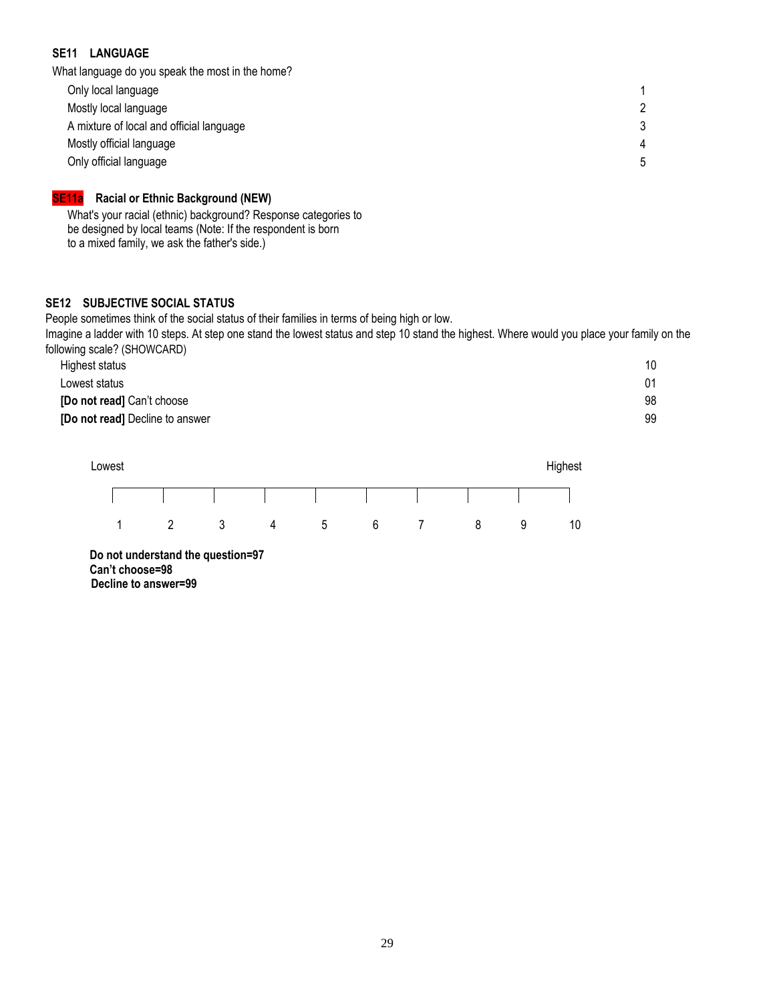## **SE11 LANGUAGE**

What language do you speak the most in the home?

| Only local language                      |  |
|------------------------------------------|--|
| Mostly local language                    |  |
| A mixture of local and official language |  |
| Mostly official language                 |  |
| Only official language                   |  |
|                                          |  |

# **SE11a Racial or Ethnic Background (NEW)**

What's your racial (ethnic) background? Response categories to be designed by local teams (Note: If the respondent is born to a mixed family, we ask the father's side.)

#### **SE12 SUBJECTIVE SOCIAL STATUS**

People sometimes think of the social status of their families in terms of being high or low.

Imagine a ladder with 10 steps. At step one stand the lowest status and step 10 stand the highest. Where would you place your family on the following scale? (SHOWCARD)

| Highest status                  | 10 |
|---------------------------------|----|
| Lowest status                   | 01 |
| [Do not read] Can't choose      | 98 |
| [Do not read] Decline to answer | 99 |
|                                 |    |



**Do not understand the question=97 Can't choose=98 Decline to answer=99**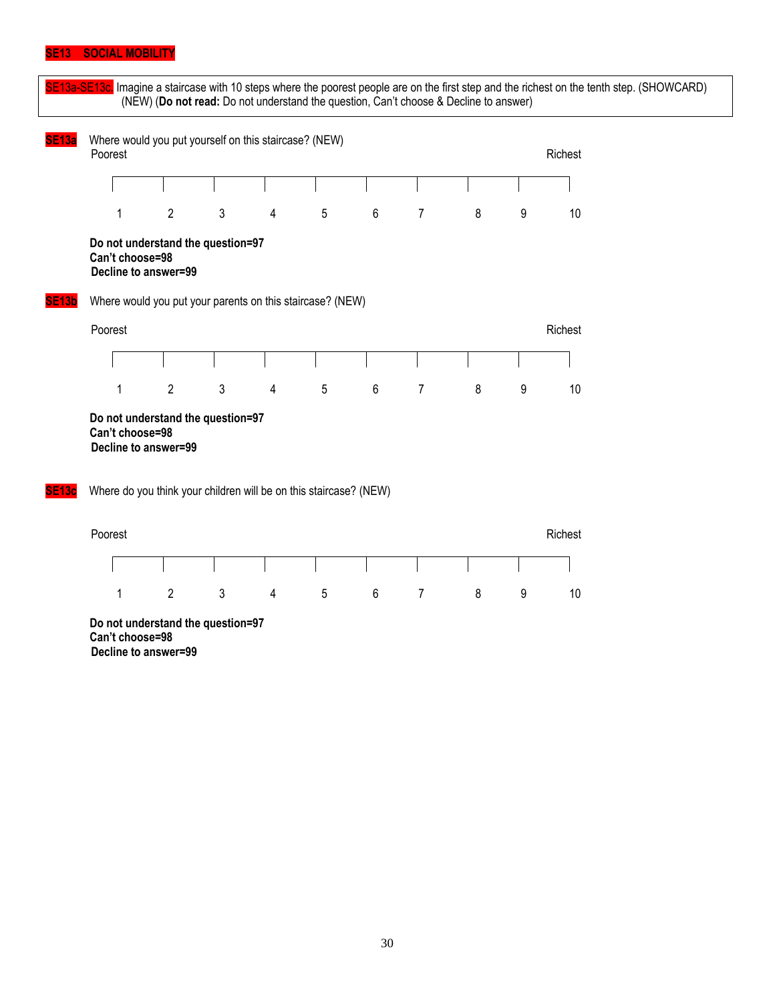#### **SE13 SOCIAL MOBILITY**

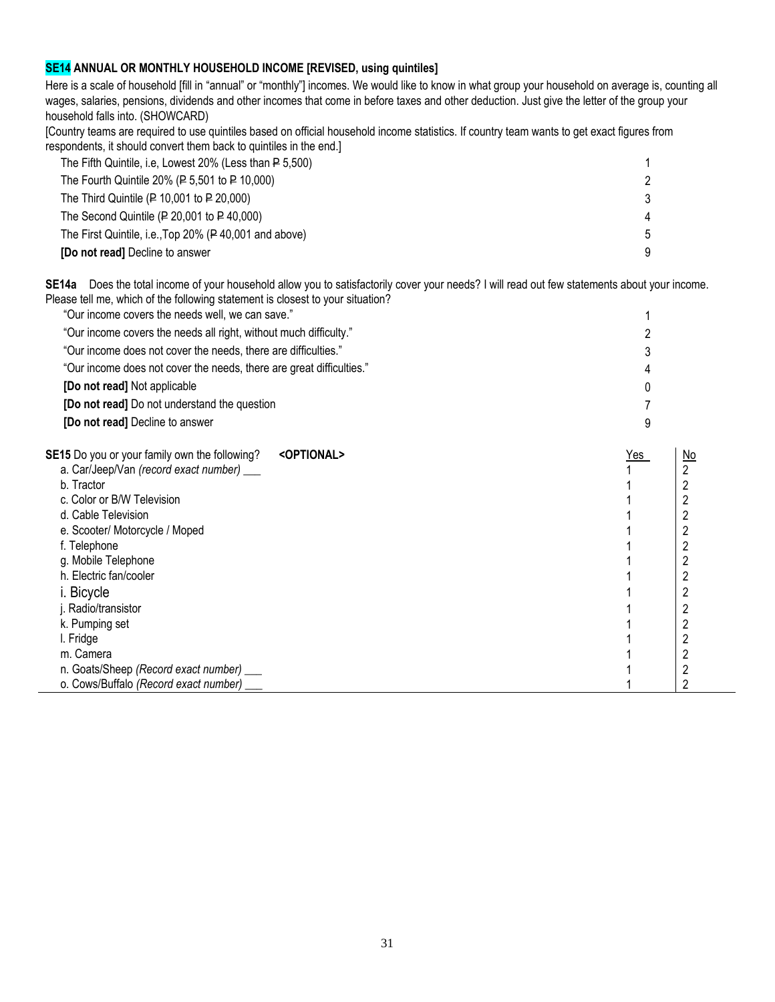# **SE14 ANNUAL OR MONTHLY HOUSEHOLD INCOME [REVISED, using quintiles]**

Here is a scale of household [fill in "annual" or "monthly"] incomes. We would like to know in what group your household on average is, counting all wages, salaries, pensions, dividends and other incomes that come in before taxes and other deduction. Just give the letter of the group your household falls into. (SHOWCARD)

[Country teams are required to use quintiles based on official household income statistics. If country team wants to get exact figures from respondents, it should convert them back to quintiles in the end.]

| The Fifth Quintile, i.e, Lowest 20% (Less than P 5,500) |   |
|---------------------------------------------------------|---|
| The Fourth Quintile 20% ( $P$ 5,501 to $P$ 10,000)      |   |
| The Third Quintile ( $P$ 10,001 to $P$ 20,000)          | c |
| The Second Quintile ( $P$ 20,001 to $P$ 40,000)         |   |
| The First Quintile, i.e., Top 20% (P40,001 and above)   |   |
| [Do not read] Decline to answer                         |   |

**SE14a** Does the total income of your household allow you to satisfactorily cover your needs? I will read out few statements about your income. Please tell me, which of the following statement is closest to your situation?

| "Our income covers the needs well, we can save."                     | $\mathbf{1}$  |
|----------------------------------------------------------------------|---------------|
| "Our income covers the needs all right, without much difficulty."    | 2             |
| "Our income does not cover the needs, there are difficulties."       | $\mathcal{S}$ |
| "Our income does not cover the needs, there are great difficulties." | 4             |
| [Do not read] Not applicable                                         | $\Omega$      |
| [Do not read] Do not understand the question                         | 7             |
| [Do not read] Decline to answer                                      |               |

| <optional><br/><b>SE15</b> Do you or your family own the following?</optional> | Yes | $\underline{\mathsf{No}}$ |
|--------------------------------------------------------------------------------|-----|---------------------------|
| a. Car/Jeep/Van (record exact number) ___                                      |     |                           |
| b. Tractor                                                                     |     |                           |
| c. Color or B/W Television                                                     |     |                           |
| d. Cable Television                                                            |     |                           |
| e. Scooter/ Motorcycle / Moped                                                 |     |                           |
| f. Telephone                                                                   |     |                           |
| g. Mobile Telephone                                                            |     |                           |
| h. Electric fan/cooler                                                         |     |                           |
| i. Bicycle                                                                     |     |                           |
| j. Radio/transistor                                                            |     |                           |
| k. Pumping set                                                                 |     |                           |
| I. Fridge                                                                      |     |                           |
| m. Camera                                                                      |     |                           |
| n. Goats/Sheep (Record exact number) ___                                       |     |                           |
| o. Cows/Buffalo (Record exact number)                                          |     |                           |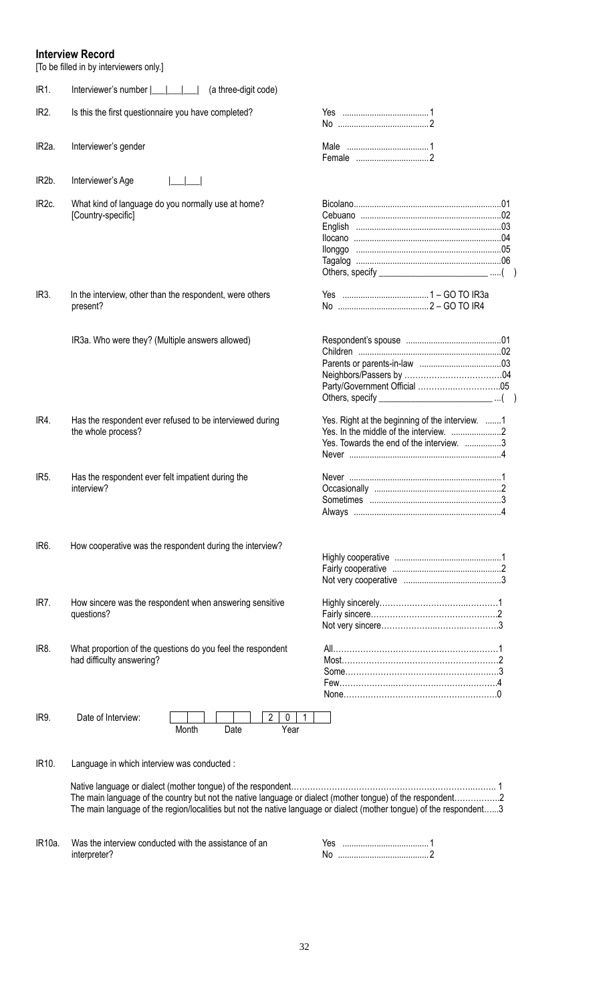# **Interview Record**

[To be filled in by interviewers only.]

| IR1.               | (a three-digit code)<br>Interviewer's number  ___                                                                                                                                                                                  |                                                                                             |  |
|--------------------|------------------------------------------------------------------------------------------------------------------------------------------------------------------------------------------------------------------------------------|---------------------------------------------------------------------------------------------|--|
| IR <sub>2</sub> .  | Is this the first questionnaire you have completed?                                                                                                                                                                                |                                                                                             |  |
| IR <sub>2a</sub> . | Interviewer's gender                                                                                                                                                                                                               |                                                                                             |  |
| IR <sub>2</sub> b. | Interviewer's Age                                                                                                                                                                                                                  |                                                                                             |  |
| IR <sub>2c</sub>   | What kind of language do you normally use at home?<br>[Country-specific]                                                                                                                                                           | Others, specify _________________________________()                                         |  |
| IR <sub>3</sub> .  | In the interview, other than the respondent, were others<br>present?                                                                                                                                                               |                                                                                             |  |
|                    | IR3a. Who were they? (Multiple answers allowed)                                                                                                                                                                                    | Others, specify $\sqrt{ }$                                                                  |  |
| IR4.               | Has the respondent ever refused to be interviewed during<br>the whole process?                                                                                                                                                     | Yes. Right at the beginning of the interview. 1<br>Yes. Towards the end of the interview. 3 |  |
| IR <sub>5</sub> .  | Has the respondent ever felt impatient during the<br>interview?                                                                                                                                                                    |                                                                                             |  |
| IR <sub>6</sub> .  | How cooperative was the respondent during the interview?                                                                                                                                                                           |                                                                                             |  |
| IR7.               | How sincere was the respondent when answering sensitive<br>questions?                                                                                                                                                              |                                                                                             |  |
| IR8.               | What proportion of the questions do you feel the respondent<br>had difficulty answering?                                                                                                                                           |                                                                                             |  |
| IR9.               | Date of Interview:<br>2<br>0<br>1<br>Month<br>Date<br>Year                                                                                                                                                                         |                                                                                             |  |
| IR <sub>10</sub> . | Language in which interview was conducted :                                                                                                                                                                                        |                                                                                             |  |
|                    | The main language of the country but not the native language or dialect (mother tongue) of the respondent2<br>The main language of the region/localities but not the native language or dialect (mother tongue) of the respondent3 |                                                                                             |  |
| IR10a.             | Was the interview conducted with the assistance of an                                                                                                                                                                              |                                                                                             |  |

interpreter?

| Yes |  |
|-----|--|
| No  |  |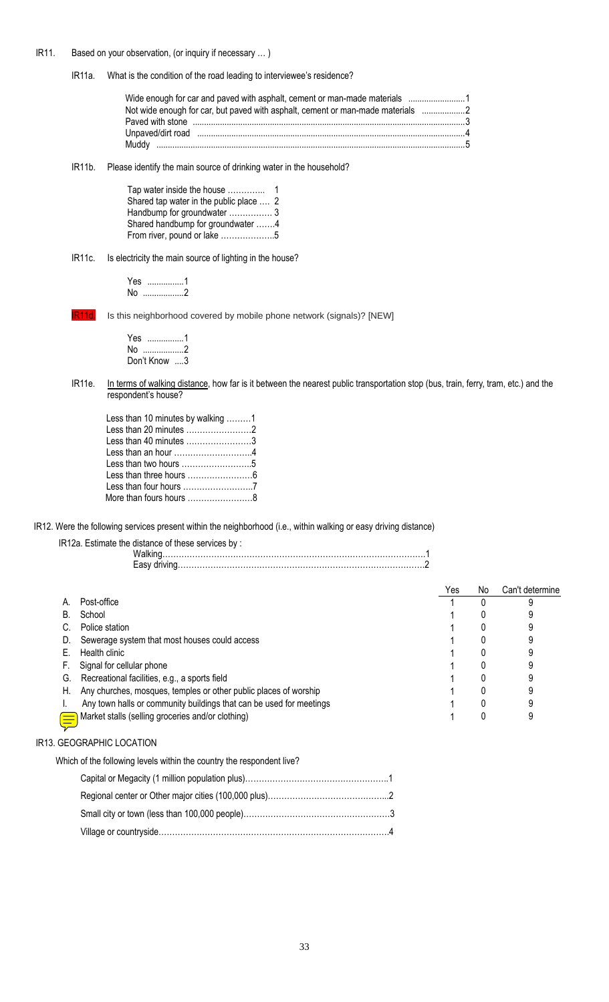# IR11. Based on your observation, (or inquiry if necessary … )

IR11a. What is the condition of the road leading to interviewee's residence?

| Not wide enough for car, but paved with asphalt, cement or man-made materials                                   |  |
|-----------------------------------------------------------------------------------------------------------------|--|
| Paved with stone measurements are constructed with stone measurements and all the stone measurements of the sto |  |
| Unpaved/dirt road minimum minimum minimum minimum minimum minimum 4                                             |  |
|                                                                                                                 |  |

IR11b. Please identify the main source of drinking water in the household?

| Shared tap water in the public place  2 |  |
|-----------------------------------------|--|
| Handbump for groundwater  3             |  |
| Shared handbump for groundwater 4       |  |
| From river, pound or lake 5             |  |

# IR11c. Is electricity the main source of lighting in the house?

Yes ................1 No ..................2

IR11d. Is this neighborhood covered by mobile phone network (signals)? [NEW]

Yes ................1 No ..................2 Don't Know ....3

IR11e. In terms of walking distance, how far is it between the nearest public transportation stop (bus, train, ferry, tram, etc.) and the respondent's house?

| Less than 10 minutes by walking 1                             |  |
|---------------------------------------------------------------|--|
|                                                               |  |
| Less than 40 minutes 3                                        |  |
| Less than an hour $\ldots, \ldots, \ldots, \ldots, \ldots, 4$ |  |
| Less than two hours 5                                         |  |
|                                                               |  |
|                                                               |  |
| More than fours hours ……………………8                               |  |
|                                                               |  |

IR12. Were the following services present within the neighborhood (i.e., within walking or easy driving distance)

IR12a. Estimate the distance of these services by :

|    |                                                                     | Yes | No. | Can't determine |
|----|---------------------------------------------------------------------|-----|-----|-----------------|
| A. | Post-office                                                         |     |     |                 |
| B. | School                                                              |     |     |                 |
|    | Police station                                                      |     |     |                 |
| D. | Sewerage system that most houses could access                       |     |     |                 |
|    | Health clinic                                                       |     |     |                 |
|    | Signal for cellular phone                                           |     |     |                 |
| G. | Recreational facilities, e.g., a sports field                       |     |     |                 |
| Н. | Any churches, mosques, temples or other public places of worship    |     |     |                 |
|    | Any town halls or community buildings that can be used for meetings |     |     |                 |
|    | Market stalls (selling groceries and/or clothing)                   |     |     |                 |

# IR13. GEOGRAPHIC LOCATION

Which of the following levels within the country the respondent live?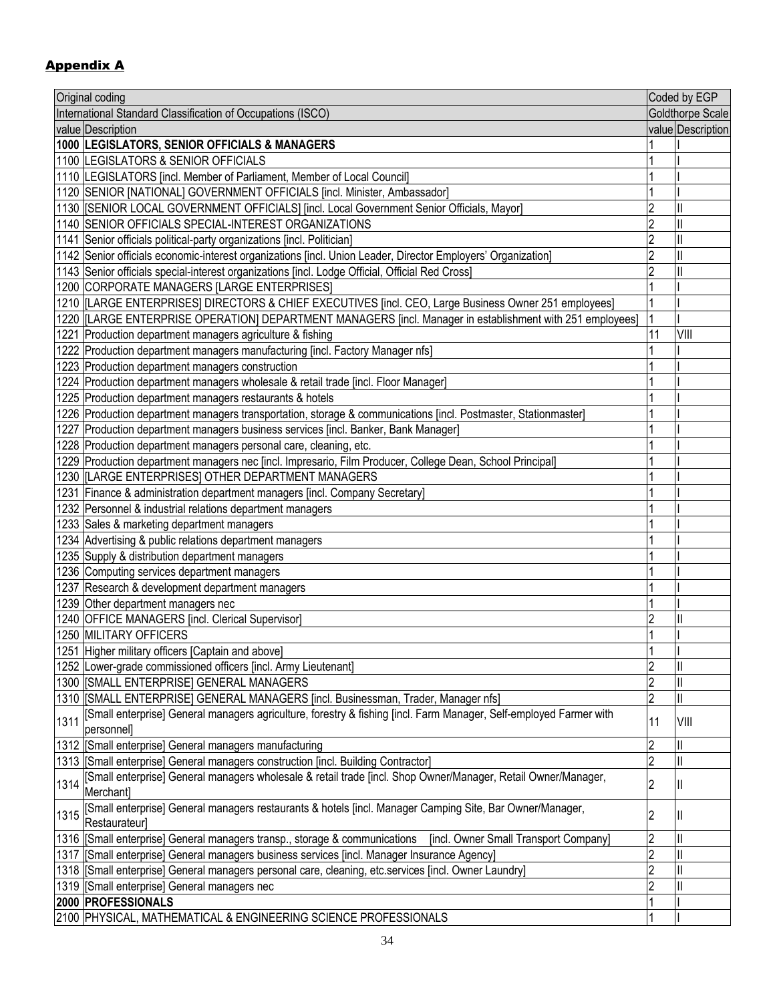# Appendix A

|      | Original coding                                                                                                                                                   |                | Coded by EGP      |
|------|-------------------------------------------------------------------------------------------------------------------------------------------------------------------|----------------|-------------------|
|      | International Standard Classification of Occupations (ISCO)                                                                                                       |                | Goldthorpe Scale  |
|      | value Description                                                                                                                                                 |                | value Description |
|      | 1000 LEGISLATORS, SENIOR OFFICIALS & MANAGERS                                                                                                                     |                |                   |
|      | 1100 LEGISLATORS & SENIOR OFFICIALS                                                                                                                               |                |                   |
|      | 1110  LEGISLATORS [incl. Member of Parliament, Member of Local Council]                                                                                           |                |                   |
|      | 1120 SENIOR [NATIONAL] GOVERNMENT OFFICIALS [incl. Minister, Ambassador]                                                                                          |                |                   |
|      | 1130  [SENIOR LOCAL GOVERNMENT OFFICIALS] [incl. Local Government Senior Officials, Mayor]                                                                        | 2              |                   |
|      | 1140 SENIOR OFFICIALS SPECIAL-INTEREST ORGANIZATIONS                                                                                                              | 2              |                   |
|      | 1141 Senior officials political-party organizations [incl. Politician]                                                                                            | $\overline{2}$ |                   |
|      | 1142 Senior officials economic-interest organizations [incl. Union Leader, Director Employers' Organization]                                                      | $\overline{2}$ |                   |
|      | 1143 Senior officials special-interest organizations [incl. Lodge Official, Official Red Cross]                                                                   |                |                   |
|      | 1200 CORPORATE MANAGERS [LARGE ENTERPRISES]                                                                                                                       |                |                   |
|      | 1210  LARGE ENTERPRISES] DIRECTORS & CHIEF EXECUTIVES [incl. CEO, Large Business Owner 251 employees]                                                             |                |                   |
|      | 1220  [LARGE ENTERPRISE OPERATION] DEPARTMENT MANAGERS [incl. Manager in establishment with 251 employees]                                                        |                |                   |
|      | 1221 Production department managers agriculture & fishing                                                                                                         | 11             | VIII              |
|      | 1222 Production department managers manufacturing [incl. Factory Manager nfs]                                                                                     |                |                   |
|      | 1223 Production department managers construction                                                                                                                  |                |                   |
|      | 1224 Production department managers wholesale & retail trade [incl. Floor Manager]                                                                                |                |                   |
|      | 1225 Production department managers restaurants & hotels                                                                                                          |                |                   |
|      | 1226 Production department managers transportation, storage & communications [incl. Postmaster, Stationmaster]                                                    |                |                   |
|      | 1227 Production department managers business services [incl. Banker, Bank Manager]                                                                                |                |                   |
|      |                                                                                                                                                                   |                |                   |
|      | 1228 Production department managers personal care, cleaning, etc.                                                                                                 |                |                   |
|      | 1229 Production department managers nec [incl. Impresario, Film Producer, College Dean, School Principal]<br>1230   [LARGE ENTERPRISES] OTHER DEPARTMENT MANAGERS |                |                   |
|      |                                                                                                                                                                   |                |                   |
|      | 1231 Finance & administration department managers [incl. Company Secretary]<br>1232 Personnel & industrial relations department managers                          |                |                   |
|      | 1233 Sales & marketing department managers                                                                                                                        |                |                   |
|      | 1234 Advertising & public relations department managers                                                                                                           |                |                   |
|      | 1235 Supply & distribution department managers                                                                                                                    |                |                   |
|      | 1236 Computing services department managers                                                                                                                       |                |                   |
|      | 1237 Research & development department managers                                                                                                                   |                |                   |
|      | 1239 Other department managers nec                                                                                                                                |                |                   |
|      | 1240 OFFICE MANAGERS [incl. Clerical Supervisor]                                                                                                                  | $\overline{c}$ |                   |
|      | 1250 MILITARY OFFICERS                                                                                                                                            |                |                   |
|      | 1251 Higher military officers [Captain and above]                                                                                                                 |                |                   |
|      | 1252 Lower-grade commissioned officers [incl. Army Lieutenant]                                                                                                    | 2              |                   |
|      | 1300   [SMALL ENTERPRISE] GENERAL MANAGERS                                                                                                                        |                |                   |
|      | 1310 [SMALL ENTERPRISE] GENERAL MANAGERS [incl. Businessman, Trader, Manager nfs]                                                                                 | 2              |                   |
|      | [Small enterprise] General managers agriculture, forestry & fishing [incl. Farm Manager, Self-employed Farmer with                                                |                |                   |
| 1311 | personnel]                                                                                                                                                        | 11             | VIII              |
|      | 1312   Small enterprise] General managers manufacturing                                                                                                           | $\overline{2}$ |                   |
|      | 1313 [Small enterprise] General managers construction [incl. Building Contractor]                                                                                 | 2              |                   |
|      | [Small enterprise] General managers wholesale & retail trade [incl. Shop Owner/Manager, Retail Owner/Manager,                                                     |                |                   |
| 1314 | Merchant]                                                                                                                                                         | $\overline{c}$ | Ш                 |
| 1315 | [Small enterprise] General managers restaurants & hotels [incl. Manager Camping Site, Bar Owner/Manager,<br>Restaurateur]                                         | 2              | Ш                 |
|      | 1316 [Small enterprise] General managers transp., storage & communications<br>[incl. Owner Small Transport Company]                                               | 2              |                   |
|      | 1317 [Small enterprise] General managers business services [incl. Manager Insurance Agency]                                                                       | $\overline{2}$ |                   |
|      | 1318 [Small enterprise] General managers personal care, cleaning, etc.services [incl. Owner Laundry]                                                              | $\overline{2}$ |                   |
|      | 1319 [Small enterprise] General managers nec                                                                                                                      | 2              |                   |
|      | 2000 PROFESSIONALS                                                                                                                                                |                |                   |
|      | 2100 PHYSICAL, MATHEMATICAL & ENGINEERING SCIENCE PROFESSIONALS                                                                                                   | 1              |                   |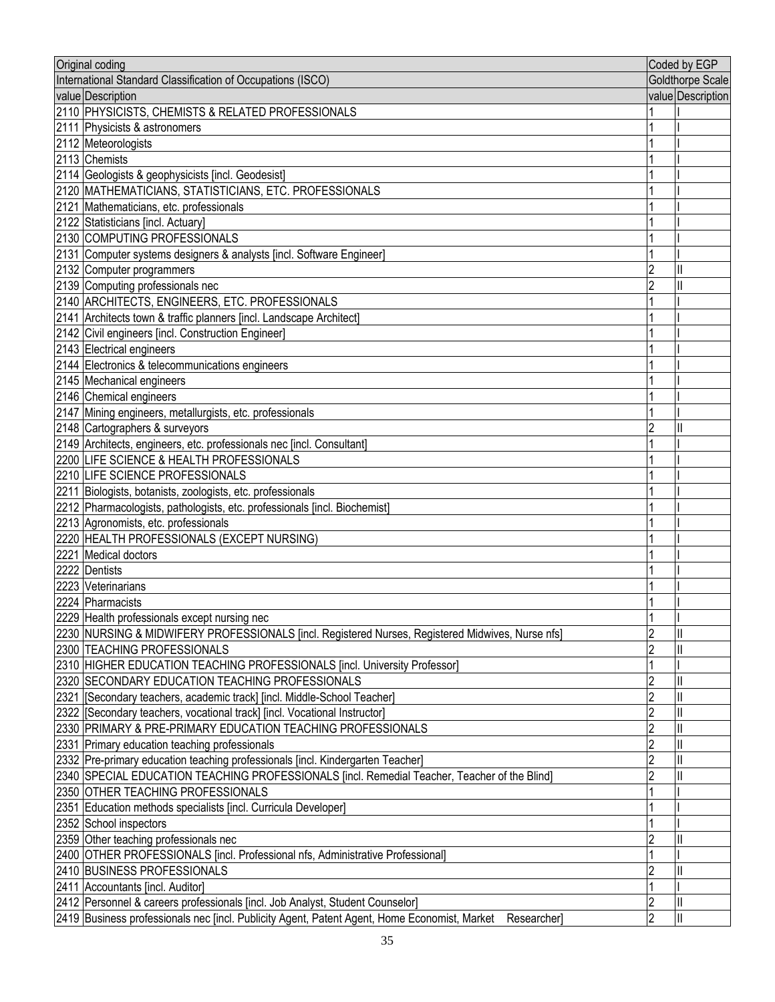| Original coding                                                                                            |                | Coded by EGP      |
|------------------------------------------------------------------------------------------------------------|----------------|-------------------|
| International Standard Classification of Occupations (ISCO)                                                |                | Goldthorpe Scale  |
| value Description                                                                                          |                | value Description |
| 2110 PHYSICISTS, CHEMISTS & RELATED PROFESSIONALS                                                          |                |                   |
| 2111 Physicists & astronomers                                                                              |                |                   |
| 2112 Meteorologists                                                                                        |                |                   |
| 2113 Chemists                                                                                              |                |                   |
| 2114 Geologists & geophysicists [incl. Geodesist]                                                          |                |                   |
| 2120 MATHEMATICIANS, STATISTICIANS, ETC. PROFESSIONALS                                                     |                |                   |
| 2121 Mathematicians, etc. professionals                                                                    |                |                   |
| 2122 Statisticians [incl. Actuary]                                                                         |                |                   |
| 2130 COMPUTING PROFESSIONALS                                                                               |                |                   |
| 2131 Computer systems designers & analysts [incl. Software Engineer]                                       |                |                   |
| 2132 Computer programmers                                                                                  | 2              |                   |
| 2139 Computing professionals nec                                                                           |                |                   |
| 2140 ARCHITECTS, ENGINEERS, ETC. PROFESSIONALS                                                             |                |                   |
| 2141 Architects town & traffic planners [incl. Landscape Architect]                                        |                |                   |
| 2142 Civil engineers [incl. Construction Engineer]                                                         |                |                   |
| 2143 Electrical engineers                                                                                  |                |                   |
| 2144 Electronics & telecommunications engineers                                                            |                |                   |
|                                                                                                            |                |                   |
| 2145 Mechanical engineers                                                                                  |                |                   |
| 2146 Chemical engineers                                                                                    |                |                   |
| 2147 Mining engineers, metallurgists, etc. professionals                                                   |                |                   |
| 2148 Cartographers & surveyors                                                                             |                |                   |
| 2149 Architects, engineers, etc. professionals nec [incl. Consultant]                                      |                |                   |
| 2200 LIFE SCIENCE & HEALTH PROFESSIONALS                                                                   |                |                   |
| 2210 LIFE SCIENCE PROFESSIONALS                                                                            |                |                   |
| 2211 Biologists, botanists, zoologists, etc. professionals                                                 |                |                   |
| 2212 Pharmacologists, pathologists, etc. professionals [incl. Biochemist]                                  |                |                   |
| 2213 Agronomists, etc. professionals                                                                       |                |                   |
| 2220 HEALTH PROFESSIONALS (EXCEPT NURSING)                                                                 |                |                   |
| 2221 Medical doctors                                                                                       |                |                   |
| 2222 Dentists                                                                                              |                |                   |
| 2223 Veterinarians                                                                                         |                |                   |
| 2224 Pharmacists                                                                                           |                |                   |
| 2229 Health professionals except nursing nec                                                               |                |                   |
| 2230 NURSING & MIDWIFERY PROFESSIONALS [incl. Registered Nurses, Registered Midwives, Nurse nfs]           | $\overline{2}$ | $\mathsf{I}$      |
| 2300 TEACHING PROFESSIONALS                                                                                | $\overline{2}$ |                   |
| 2310 HIGHER EDUCATION TEACHING PROFESSIONALS [incl. University Professor]                                  |                |                   |
| 2320 SECONDARY EDUCATION TEACHING PROFESSIONALS                                                            | $\overline{2}$ |                   |
| 2321   [Secondary teachers, academic track] [incl. Middle-School Teacher]                                  | $\overline{2}$ |                   |
| [2322 [[Secondary teachers, vocational track] [incl. Vocational Instructor]                                | $\overline{2}$ |                   |
| 2330 PRIMARY & PRE-PRIMARY EDUCATION TEACHING PROFESSIONALS                                                | 2              |                   |
| 2331 Primary education teaching professionals                                                              | $\overline{2}$ |                   |
| 2332 Pre-primary education teaching professionals [incl. Kindergarten Teacher]                             | $\overline{2}$ |                   |
| 2340 SPECIAL EDUCATION TEACHING PROFESSIONALS [incl. Remedial Teacher, Teacher of the Blind]               | 2              |                   |
| 2350 OTHER TEACHING PROFESSIONALS                                                                          |                |                   |
| 2351 Education methods specialists [incl. Curricula Developer]                                             |                |                   |
| 2352 School inspectors                                                                                     |                |                   |
| 2359 Other teaching professionals nec                                                                      | $\overline{c}$ |                   |
| 2400 OTHER PROFESSIONALS [incl. Professional nfs, Administrative Professional]                             |                |                   |
| 2410 BUSINESS PROFESSIONALS                                                                                | 2              |                   |
| 2411 Accountants [incl. Auditor]                                                                           |                |                   |
| 2412 Personnel & careers professionals [incl. Job Analyst, Student Counselor]                              | 2              |                   |
| 2419 Business professionals nec [incl. Publicity Agent, Patent Agent, Home Economist, Market<br>Researcher | $\overline{2}$ | $\mathsf{I}$      |
|                                                                                                            |                |                   |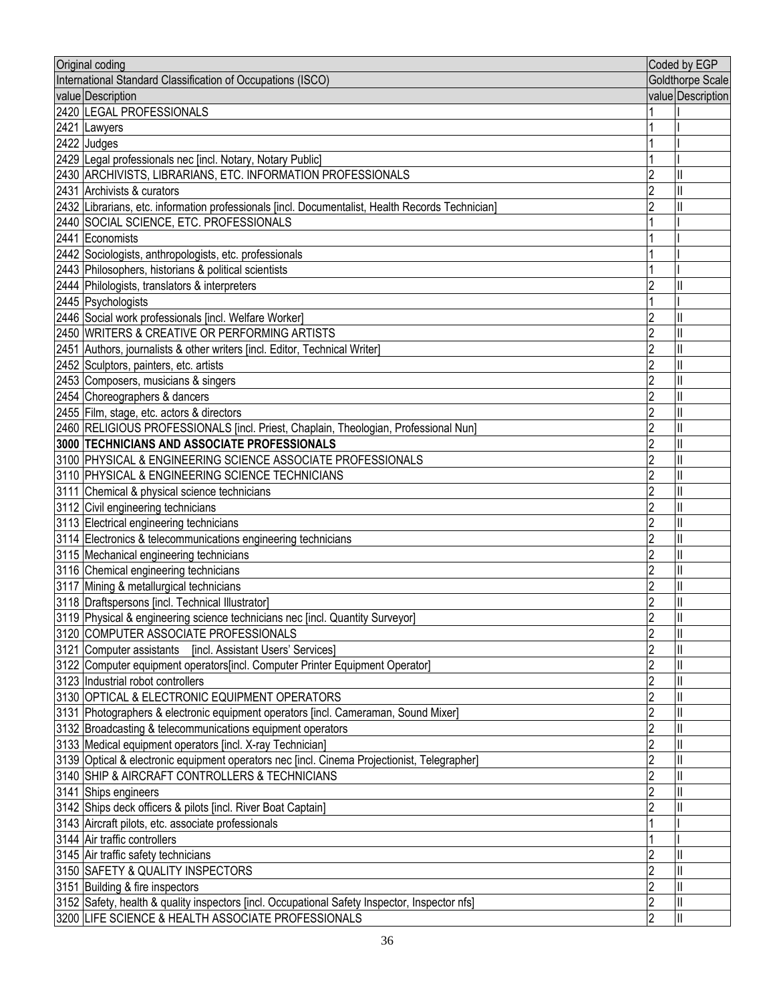| International Standard Classification of Occupations (ISCO)<br><b>Goldthorpe Scale</b><br>value Description<br>value Description<br>2420 LEGAL PROFESSIONALS<br>2421 Lawyers<br>2422 Judges<br>2429 Legal professionals nec [incl. Notary, Notary Public]<br>2430 ARCHIVISTS, LIBRARIANS, ETC. INFORMATION PROFESSIONALS<br>2431 Archivists & curators<br>2432 Librarians, etc. information professionals [incl. Documentalist, Health Records Technician]<br>2440 SOCIAL SCIENCE, ETC. PROFESSIONALS<br>2441 Economists<br>2442 Sociologists, anthropologists, etc. professionals<br>2443 Philosophers, historians & political scientists<br>2444 Philologists, translators & interpreters<br>2<br>Ш<br>2445 Psychologists<br>2446 Social work professionals [incl. Welfare Worker]<br>2450 WRITERS & CREATIVE OR PERFORMING ARTISTS<br>2<br>2451 Authors, journalists & other writers [incl. Editor, Technical Writer]<br>Ш<br>2452 Sculptors, painters, etc. artists<br>2453 Composers, musicians & singers<br>Ш<br>2454 Choreographers & dancers<br>2455 Film, stage, etc. actors & directors<br>2460 RELIGIOUS PROFESSIONALS [incl. Priest, Chaplain, Theologian, Professional Nun]<br>2<br>3000 TECHNICIANS AND ASSOCIATE PROFESSIONALS<br>3100 PHYSICAL & ENGINEERING SCIENCE ASSOCIATE PROFESSIONALS<br>3110 PHYSICAL & ENGINEERING SCIENCE TECHNICIANS<br>2<br>3111 Chemical & physical science technicians<br>2<br>3112 Civil engineering technicians<br>3113 Electrical engineering technicians<br>3114 Electronics & telecommunications engineering technicians<br>3115 Mechanical engineering technicians<br>3116 Chemical engineering technicians<br>3117 Mining & metallurgical technicians<br>3118 Draftspersons [incl. Technical Illustrator]<br>2<br>Ш<br>3119 Physical & engineering science technicians nec [incl. Quantity Surveyor]<br>3120 COMPUTER ASSOCIATE PROFESSIONALS<br>$\overline{2}$<br>Ш<br>3121 Computer assistants [incl. Assistant Users' Services]<br>3122 Computer equipment operators[incl. Computer Printer Equipment Operator]<br>3123 Industrial robot controllers<br>3130 OPTICAL & ELECTRONIC EQUIPMENT OPERATORS<br>3131 Photographers & electronic equipment operators [incl. Cameraman, Sound Mixer]<br>3132 Broadcasting & telecommunications equipment operators<br>3133 Medical equipment operators [incl. X-ray Technician]<br>3139 Optical & electronic equipment operators nec [incl. Cinema Projectionist, Telegrapher]<br>3140 SHIP & AIRCRAFT CONTROLLERS & TECHNICIANS<br>3141 Ships engineers<br>3142 Ships deck officers & pilots [incl. River Boat Captain]<br>3143 Aircraft pilots, etc. associate professionals<br>3144 Air traffic controllers<br>3145 Air traffic safety technicians<br>3150 SAFETY & QUALITY INSPECTORS<br>3151 Building & fire inspectors<br>3152 Safety, health & quality inspectors [incl. Occupational Safety Inspector, Inspector nfs]<br>3200 LIFE SCIENCE & HEALTH ASSOCIATE PROFESSIONALS | Original coding | Coded by EGP |
|------------------------------------------------------------------------------------------------------------------------------------------------------------------------------------------------------------------------------------------------------------------------------------------------------------------------------------------------------------------------------------------------------------------------------------------------------------------------------------------------------------------------------------------------------------------------------------------------------------------------------------------------------------------------------------------------------------------------------------------------------------------------------------------------------------------------------------------------------------------------------------------------------------------------------------------------------------------------------------------------------------------------------------------------------------------------------------------------------------------------------------------------------------------------------------------------------------------------------------------------------------------------------------------------------------------------------------------------------------------------------------------------------------------------------------------------------------------------------------------------------------------------------------------------------------------------------------------------------------------------------------------------------------------------------------------------------------------------------------------------------------------------------------------------------------------------------------------------------------------------------------------------------------------------------------------------------------------------------------------------------------------------------------------------------------------------------------------------------------------------------------------------------------------------------------------------------------------------------------------------------------------------------------------------------------------------------------------------------------------------------------------------------------------------------------------------------------------------------------------------------------------------------------------------------------------------------------------------------------------------------------------------------------------------------------------------------------------------------------------------------------------------------------------------------------------------------------------------------------------------------------------------------------------------------------------------------------------------------------|-----------------|--------------|
|                                                                                                                                                                                                                                                                                                                                                                                                                                                                                                                                                                                                                                                                                                                                                                                                                                                                                                                                                                                                                                                                                                                                                                                                                                                                                                                                                                                                                                                                                                                                                                                                                                                                                                                                                                                                                                                                                                                                                                                                                                                                                                                                                                                                                                                                                                                                                                                                                                                                                                                                                                                                                                                                                                                                                                                                                                                                                                                                                                                    |                 |              |
|                                                                                                                                                                                                                                                                                                                                                                                                                                                                                                                                                                                                                                                                                                                                                                                                                                                                                                                                                                                                                                                                                                                                                                                                                                                                                                                                                                                                                                                                                                                                                                                                                                                                                                                                                                                                                                                                                                                                                                                                                                                                                                                                                                                                                                                                                                                                                                                                                                                                                                                                                                                                                                                                                                                                                                                                                                                                                                                                                                                    |                 |              |
|                                                                                                                                                                                                                                                                                                                                                                                                                                                                                                                                                                                                                                                                                                                                                                                                                                                                                                                                                                                                                                                                                                                                                                                                                                                                                                                                                                                                                                                                                                                                                                                                                                                                                                                                                                                                                                                                                                                                                                                                                                                                                                                                                                                                                                                                                                                                                                                                                                                                                                                                                                                                                                                                                                                                                                                                                                                                                                                                                                                    |                 |              |
|                                                                                                                                                                                                                                                                                                                                                                                                                                                                                                                                                                                                                                                                                                                                                                                                                                                                                                                                                                                                                                                                                                                                                                                                                                                                                                                                                                                                                                                                                                                                                                                                                                                                                                                                                                                                                                                                                                                                                                                                                                                                                                                                                                                                                                                                                                                                                                                                                                                                                                                                                                                                                                                                                                                                                                                                                                                                                                                                                                                    |                 |              |
|                                                                                                                                                                                                                                                                                                                                                                                                                                                                                                                                                                                                                                                                                                                                                                                                                                                                                                                                                                                                                                                                                                                                                                                                                                                                                                                                                                                                                                                                                                                                                                                                                                                                                                                                                                                                                                                                                                                                                                                                                                                                                                                                                                                                                                                                                                                                                                                                                                                                                                                                                                                                                                                                                                                                                                                                                                                                                                                                                                                    |                 |              |
|                                                                                                                                                                                                                                                                                                                                                                                                                                                                                                                                                                                                                                                                                                                                                                                                                                                                                                                                                                                                                                                                                                                                                                                                                                                                                                                                                                                                                                                                                                                                                                                                                                                                                                                                                                                                                                                                                                                                                                                                                                                                                                                                                                                                                                                                                                                                                                                                                                                                                                                                                                                                                                                                                                                                                                                                                                                                                                                                                                                    |                 |              |
|                                                                                                                                                                                                                                                                                                                                                                                                                                                                                                                                                                                                                                                                                                                                                                                                                                                                                                                                                                                                                                                                                                                                                                                                                                                                                                                                                                                                                                                                                                                                                                                                                                                                                                                                                                                                                                                                                                                                                                                                                                                                                                                                                                                                                                                                                                                                                                                                                                                                                                                                                                                                                                                                                                                                                                                                                                                                                                                                                                                    |                 |              |
|                                                                                                                                                                                                                                                                                                                                                                                                                                                                                                                                                                                                                                                                                                                                                                                                                                                                                                                                                                                                                                                                                                                                                                                                                                                                                                                                                                                                                                                                                                                                                                                                                                                                                                                                                                                                                                                                                                                                                                                                                                                                                                                                                                                                                                                                                                                                                                                                                                                                                                                                                                                                                                                                                                                                                                                                                                                                                                                                                                                    |                 |              |
|                                                                                                                                                                                                                                                                                                                                                                                                                                                                                                                                                                                                                                                                                                                                                                                                                                                                                                                                                                                                                                                                                                                                                                                                                                                                                                                                                                                                                                                                                                                                                                                                                                                                                                                                                                                                                                                                                                                                                                                                                                                                                                                                                                                                                                                                                                                                                                                                                                                                                                                                                                                                                                                                                                                                                                                                                                                                                                                                                                                    |                 |              |
|                                                                                                                                                                                                                                                                                                                                                                                                                                                                                                                                                                                                                                                                                                                                                                                                                                                                                                                                                                                                                                                                                                                                                                                                                                                                                                                                                                                                                                                                                                                                                                                                                                                                                                                                                                                                                                                                                                                                                                                                                                                                                                                                                                                                                                                                                                                                                                                                                                                                                                                                                                                                                                                                                                                                                                                                                                                                                                                                                                                    |                 |              |
|                                                                                                                                                                                                                                                                                                                                                                                                                                                                                                                                                                                                                                                                                                                                                                                                                                                                                                                                                                                                                                                                                                                                                                                                                                                                                                                                                                                                                                                                                                                                                                                                                                                                                                                                                                                                                                                                                                                                                                                                                                                                                                                                                                                                                                                                                                                                                                                                                                                                                                                                                                                                                                                                                                                                                                                                                                                                                                                                                                                    |                 |              |
|                                                                                                                                                                                                                                                                                                                                                                                                                                                                                                                                                                                                                                                                                                                                                                                                                                                                                                                                                                                                                                                                                                                                                                                                                                                                                                                                                                                                                                                                                                                                                                                                                                                                                                                                                                                                                                                                                                                                                                                                                                                                                                                                                                                                                                                                                                                                                                                                                                                                                                                                                                                                                                                                                                                                                                                                                                                                                                                                                                                    |                 |              |
|                                                                                                                                                                                                                                                                                                                                                                                                                                                                                                                                                                                                                                                                                                                                                                                                                                                                                                                                                                                                                                                                                                                                                                                                                                                                                                                                                                                                                                                                                                                                                                                                                                                                                                                                                                                                                                                                                                                                                                                                                                                                                                                                                                                                                                                                                                                                                                                                                                                                                                                                                                                                                                                                                                                                                                                                                                                                                                                                                                                    |                 |              |
|                                                                                                                                                                                                                                                                                                                                                                                                                                                                                                                                                                                                                                                                                                                                                                                                                                                                                                                                                                                                                                                                                                                                                                                                                                                                                                                                                                                                                                                                                                                                                                                                                                                                                                                                                                                                                                                                                                                                                                                                                                                                                                                                                                                                                                                                                                                                                                                                                                                                                                                                                                                                                                                                                                                                                                                                                                                                                                                                                                                    |                 |              |
|                                                                                                                                                                                                                                                                                                                                                                                                                                                                                                                                                                                                                                                                                                                                                                                                                                                                                                                                                                                                                                                                                                                                                                                                                                                                                                                                                                                                                                                                                                                                                                                                                                                                                                                                                                                                                                                                                                                                                                                                                                                                                                                                                                                                                                                                                                                                                                                                                                                                                                                                                                                                                                                                                                                                                                                                                                                                                                                                                                                    |                 |              |
|                                                                                                                                                                                                                                                                                                                                                                                                                                                                                                                                                                                                                                                                                                                                                                                                                                                                                                                                                                                                                                                                                                                                                                                                                                                                                                                                                                                                                                                                                                                                                                                                                                                                                                                                                                                                                                                                                                                                                                                                                                                                                                                                                                                                                                                                                                                                                                                                                                                                                                                                                                                                                                                                                                                                                                                                                                                                                                                                                                                    |                 |              |
|                                                                                                                                                                                                                                                                                                                                                                                                                                                                                                                                                                                                                                                                                                                                                                                                                                                                                                                                                                                                                                                                                                                                                                                                                                                                                                                                                                                                                                                                                                                                                                                                                                                                                                                                                                                                                                                                                                                                                                                                                                                                                                                                                                                                                                                                                                                                                                                                                                                                                                                                                                                                                                                                                                                                                                                                                                                                                                                                                                                    |                 |              |
|                                                                                                                                                                                                                                                                                                                                                                                                                                                                                                                                                                                                                                                                                                                                                                                                                                                                                                                                                                                                                                                                                                                                                                                                                                                                                                                                                                                                                                                                                                                                                                                                                                                                                                                                                                                                                                                                                                                                                                                                                                                                                                                                                                                                                                                                                                                                                                                                                                                                                                                                                                                                                                                                                                                                                                                                                                                                                                                                                                                    |                 |              |
|                                                                                                                                                                                                                                                                                                                                                                                                                                                                                                                                                                                                                                                                                                                                                                                                                                                                                                                                                                                                                                                                                                                                                                                                                                                                                                                                                                                                                                                                                                                                                                                                                                                                                                                                                                                                                                                                                                                                                                                                                                                                                                                                                                                                                                                                                                                                                                                                                                                                                                                                                                                                                                                                                                                                                                                                                                                                                                                                                                                    |                 |              |
|                                                                                                                                                                                                                                                                                                                                                                                                                                                                                                                                                                                                                                                                                                                                                                                                                                                                                                                                                                                                                                                                                                                                                                                                                                                                                                                                                                                                                                                                                                                                                                                                                                                                                                                                                                                                                                                                                                                                                                                                                                                                                                                                                                                                                                                                                                                                                                                                                                                                                                                                                                                                                                                                                                                                                                                                                                                                                                                                                                                    |                 |              |
|                                                                                                                                                                                                                                                                                                                                                                                                                                                                                                                                                                                                                                                                                                                                                                                                                                                                                                                                                                                                                                                                                                                                                                                                                                                                                                                                                                                                                                                                                                                                                                                                                                                                                                                                                                                                                                                                                                                                                                                                                                                                                                                                                                                                                                                                                                                                                                                                                                                                                                                                                                                                                                                                                                                                                                                                                                                                                                                                                                                    |                 |              |
|                                                                                                                                                                                                                                                                                                                                                                                                                                                                                                                                                                                                                                                                                                                                                                                                                                                                                                                                                                                                                                                                                                                                                                                                                                                                                                                                                                                                                                                                                                                                                                                                                                                                                                                                                                                                                                                                                                                                                                                                                                                                                                                                                                                                                                                                                                                                                                                                                                                                                                                                                                                                                                                                                                                                                                                                                                                                                                                                                                                    |                 |              |
|                                                                                                                                                                                                                                                                                                                                                                                                                                                                                                                                                                                                                                                                                                                                                                                                                                                                                                                                                                                                                                                                                                                                                                                                                                                                                                                                                                                                                                                                                                                                                                                                                                                                                                                                                                                                                                                                                                                                                                                                                                                                                                                                                                                                                                                                                                                                                                                                                                                                                                                                                                                                                                                                                                                                                                                                                                                                                                                                                                                    |                 |              |
|                                                                                                                                                                                                                                                                                                                                                                                                                                                                                                                                                                                                                                                                                                                                                                                                                                                                                                                                                                                                                                                                                                                                                                                                                                                                                                                                                                                                                                                                                                                                                                                                                                                                                                                                                                                                                                                                                                                                                                                                                                                                                                                                                                                                                                                                                                                                                                                                                                                                                                                                                                                                                                                                                                                                                                                                                                                                                                                                                                                    |                 |              |
|                                                                                                                                                                                                                                                                                                                                                                                                                                                                                                                                                                                                                                                                                                                                                                                                                                                                                                                                                                                                                                                                                                                                                                                                                                                                                                                                                                                                                                                                                                                                                                                                                                                                                                                                                                                                                                                                                                                                                                                                                                                                                                                                                                                                                                                                                                                                                                                                                                                                                                                                                                                                                                                                                                                                                                                                                                                                                                                                                                                    |                 |              |
|                                                                                                                                                                                                                                                                                                                                                                                                                                                                                                                                                                                                                                                                                                                                                                                                                                                                                                                                                                                                                                                                                                                                                                                                                                                                                                                                                                                                                                                                                                                                                                                                                                                                                                                                                                                                                                                                                                                                                                                                                                                                                                                                                                                                                                                                                                                                                                                                                                                                                                                                                                                                                                                                                                                                                                                                                                                                                                                                                                                    |                 |              |
|                                                                                                                                                                                                                                                                                                                                                                                                                                                                                                                                                                                                                                                                                                                                                                                                                                                                                                                                                                                                                                                                                                                                                                                                                                                                                                                                                                                                                                                                                                                                                                                                                                                                                                                                                                                                                                                                                                                                                                                                                                                                                                                                                                                                                                                                                                                                                                                                                                                                                                                                                                                                                                                                                                                                                                                                                                                                                                                                                                                    |                 |              |
|                                                                                                                                                                                                                                                                                                                                                                                                                                                                                                                                                                                                                                                                                                                                                                                                                                                                                                                                                                                                                                                                                                                                                                                                                                                                                                                                                                                                                                                                                                                                                                                                                                                                                                                                                                                                                                                                                                                                                                                                                                                                                                                                                                                                                                                                                                                                                                                                                                                                                                                                                                                                                                                                                                                                                                                                                                                                                                                                                                                    |                 |              |
|                                                                                                                                                                                                                                                                                                                                                                                                                                                                                                                                                                                                                                                                                                                                                                                                                                                                                                                                                                                                                                                                                                                                                                                                                                                                                                                                                                                                                                                                                                                                                                                                                                                                                                                                                                                                                                                                                                                                                                                                                                                                                                                                                                                                                                                                                                                                                                                                                                                                                                                                                                                                                                                                                                                                                                                                                                                                                                                                                                                    |                 |              |
|                                                                                                                                                                                                                                                                                                                                                                                                                                                                                                                                                                                                                                                                                                                                                                                                                                                                                                                                                                                                                                                                                                                                                                                                                                                                                                                                                                                                                                                                                                                                                                                                                                                                                                                                                                                                                                                                                                                                                                                                                                                                                                                                                                                                                                                                                                                                                                                                                                                                                                                                                                                                                                                                                                                                                                                                                                                                                                                                                                                    |                 |              |
|                                                                                                                                                                                                                                                                                                                                                                                                                                                                                                                                                                                                                                                                                                                                                                                                                                                                                                                                                                                                                                                                                                                                                                                                                                                                                                                                                                                                                                                                                                                                                                                                                                                                                                                                                                                                                                                                                                                                                                                                                                                                                                                                                                                                                                                                                                                                                                                                                                                                                                                                                                                                                                                                                                                                                                                                                                                                                                                                                                                    |                 |              |
|                                                                                                                                                                                                                                                                                                                                                                                                                                                                                                                                                                                                                                                                                                                                                                                                                                                                                                                                                                                                                                                                                                                                                                                                                                                                                                                                                                                                                                                                                                                                                                                                                                                                                                                                                                                                                                                                                                                                                                                                                                                                                                                                                                                                                                                                                                                                                                                                                                                                                                                                                                                                                                                                                                                                                                                                                                                                                                                                                                                    |                 |              |
|                                                                                                                                                                                                                                                                                                                                                                                                                                                                                                                                                                                                                                                                                                                                                                                                                                                                                                                                                                                                                                                                                                                                                                                                                                                                                                                                                                                                                                                                                                                                                                                                                                                                                                                                                                                                                                                                                                                                                                                                                                                                                                                                                                                                                                                                                                                                                                                                                                                                                                                                                                                                                                                                                                                                                                                                                                                                                                                                                                                    |                 |              |
|                                                                                                                                                                                                                                                                                                                                                                                                                                                                                                                                                                                                                                                                                                                                                                                                                                                                                                                                                                                                                                                                                                                                                                                                                                                                                                                                                                                                                                                                                                                                                                                                                                                                                                                                                                                                                                                                                                                                                                                                                                                                                                                                                                                                                                                                                                                                                                                                                                                                                                                                                                                                                                                                                                                                                                                                                                                                                                                                                                                    |                 |              |
|                                                                                                                                                                                                                                                                                                                                                                                                                                                                                                                                                                                                                                                                                                                                                                                                                                                                                                                                                                                                                                                                                                                                                                                                                                                                                                                                                                                                                                                                                                                                                                                                                                                                                                                                                                                                                                                                                                                                                                                                                                                                                                                                                                                                                                                                                                                                                                                                                                                                                                                                                                                                                                                                                                                                                                                                                                                                                                                                                                                    |                 |              |
|                                                                                                                                                                                                                                                                                                                                                                                                                                                                                                                                                                                                                                                                                                                                                                                                                                                                                                                                                                                                                                                                                                                                                                                                                                                                                                                                                                                                                                                                                                                                                                                                                                                                                                                                                                                                                                                                                                                                                                                                                                                                                                                                                                                                                                                                                                                                                                                                                                                                                                                                                                                                                                                                                                                                                                                                                                                                                                                                                                                    |                 |              |
|                                                                                                                                                                                                                                                                                                                                                                                                                                                                                                                                                                                                                                                                                                                                                                                                                                                                                                                                                                                                                                                                                                                                                                                                                                                                                                                                                                                                                                                                                                                                                                                                                                                                                                                                                                                                                                                                                                                                                                                                                                                                                                                                                                                                                                                                                                                                                                                                                                                                                                                                                                                                                                                                                                                                                                                                                                                                                                                                                                                    |                 |              |
|                                                                                                                                                                                                                                                                                                                                                                                                                                                                                                                                                                                                                                                                                                                                                                                                                                                                                                                                                                                                                                                                                                                                                                                                                                                                                                                                                                                                                                                                                                                                                                                                                                                                                                                                                                                                                                                                                                                                                                                                                                                                                                                                                                                                                                                                                                                                                                                                                                                                                                                                                                                                                                                                                                                                                                                                                                                                                                                                                                                    |                 |              |
|                                                                                                                                                                                                                                                                                                                                                                                                                                                                                                                                                                                                                                                                                                                                                                                                                                                                                                                                                                                                                                                                                                                                                                                                                                                                                                                                                                                                                                                                                                                                                                                                                                                                                                                                                                                                                                                                                                                                                                                                                                                                                                                                                                                                                                                                                                                                                                                                                                                                                                                                                                                                                                                                                                                                                                                                                                                                                                                                                                                    |                 |              |
|                                                                                                                                                                                                                                                                                                                                                                                                                                                                                                                                                                                                                                                                                                                                                                                                                                                                                                                                                                                                                                                                                                                                                                                                                                                                                                                                                                                                                                                                                                                                                                                                                                                                                                                                                                                                                                                                                                                                                                                                                                                                                                                                                                                                                                                                                                                                                                                                                                                                                                                                                                                                                                                                                                                                                                                                                                                                                                                                                                                    |                 |              |
|                                                                                                                                                                                                                                                                                                                                                                                                                                                                                                                                                                                                                                                                                                                                                                                                                                                                                                                                                                                                                                                                                                                                                                                                                                                                                                                                                                                                                                                                                                                                                                                                                                                                                                                                                                                                                                                                                                                                                                                                                                                                                                                                                                                                                                                                                                                                                                                                                                                                                                                                                                                                                                                                                                                                                                                                                                                                                                                                                                                    |                 |              |
|                                                                                                                                                                                                                                                                                                                                                                                                                                                                                                                                                                                                                                                                                                                                                                                                                                                                                                                                                                                                                                                                                                                                                                                                                                                                                                                                                                                                                                                                                                                                                                                                                                                                                                                                                                                                                                                                                                                                                                                                                                                                                                                                                                                                                                                                                                                                                                                                                                                                                                                                                                                                                                                                                                                                                                                                                                                                                                                                                                                    |                 |              |
|                                                                                                                                                                                                                                                                                                                                                                                                                                                                                                                                                                                                                                                                                                                                                                                                                                                                                                                                                                                                                                                                                                                                                                                                                                                                                                                                                                                                                                                                                                                                                                                                                                                                                                                                                                                                                                                                                                                                                                                                                                                                                                                                                                                                                                                                                                                                                                                                                                                                                                                                                                                                                                                                                                                                                                                                                                                                                                                                                                                    |                 |              |
|                                                                                                                                                                                                                                                                                                                                                                                                                                                                                                                                                                                                                                                                                                                                                                                                                                                                                                                                                                                                                                                                                                                                                                                                                                                                                                                                                                                                                                                                                                                                                                                                                                                                                                                                                                                                                                                                                                                                                                                                                                                                                                                                                                                                                                                                                                                                                                                                                                                                                                                                                                                                                                                                                                                                                                                                                                                                                                                                                                                    |                 |              |
|                                                                                                                                                                                                                                                                                                                                                                                                                                                                                                                                                                                                                                                                                                                                                                                                                                                                                                                                                                                                                                                                                                                                                                                                                                                                                                                                                                                                                                                                                                                                                                                                                                                                                                                                                                                                                                                                                                                                                                                                                                                                                                                                                                                                                                                                                                                                                                                                                                                                                                                                                                                                                                                                                                                                                                                                                                                                                                                                                                                    |                 |              |
|                                                                                                                                                                                                                                                                                                                                                                                                                                                                                                                                                                                                                                                                                                                                                                                                                                                                                                                                                                                                                                                                                                                                                                                                                                                                                                                                                                                                                                                                                                                                                                                                                                                                                                                                                                                                                                                                                                                                                                                                                                                                                                                                                                                                                                                                                                                                                                                                                                                                                                                                                                                                                                                                                                                                                                                                                                                                                                                                                                                    |                 |              |
|                                                                                                                                                                                                                                                                                                                                                                                                                                                                                                                                                                                                                                                                                                                                                                                                                                                                                                                                                                                                                                                                                                                                                                                                                                                                                                                                                                                                                                                                                                                                                                                                                                                                                                                                                                                                                                                                                                                                                                                                                                                                                                                                                                                                                                                                                                                                                                                                                                                                                                                                                                                                                                                                                                                                                                                                                                                                                                                                                                                    |                 |              |
|                                                                                                                                                                                                                                                                                                                                                                                                                                                                                                                                                                                                                                                                                                                                                                                                                                                                                                                                                                                                                                                                                                                                                                                                                                                                                                                                                                                                                                                                                                                                                                                                                                                                                                                                                                                                                                                                                                                                                                                                                                                                                                                                                                                                                                                                                                                                                                                                                                                                                                                                                                                                                                                                                                                                                                                                                                                                                                                                                                                    |                 |              |
|                                                                                                                                                                                                                                                                                                                                                                                                                                                                                                                                                                                                                                                                                                                                                                                                                                                                                                                                                                                                                                                                                                                                                                                                                                                                                                                                                                                                                                                                                                                                                                                                                                                                                                                                                                                                                                                                                                                                                                                                                                                                                                                                                                                                                                                                                                                                                                                                                                                                                                                                                                                                                                                                                                                                                                                                                                                                                                                                                                                    |                 |              |
|                                                                                                                                                                                                                                                                                                                                                                                                                                                                                                                                                                                                                                                                                                                                                                                                                                                                                                                                                                                                                                                                                                                                                                                                                                                                                                                                                                                                                                                                                                                                                                                                                                                                                                                                                                                                                                                                                                                                                                                                                                                                                                                                                                                                                                                                                                                                                                                                                                                                                                                                                                                                                                                                                                                                                                                                                                                                                                                                                                                    |                 |              |
|                                                                                                                                                                                                                                                                                                                                                                                                                                                                                                                                                                                                                                                                                                                                                                                                                                                                                                                                                                                                                                                                                                                                                                                                                                                                                                                                                                                                                                                                                                                                                                                                                                                                                                                                                                                                                                                                                                                                                                                                                                                                                                                                                                                                                                                                                                                                                                                                                                                                                                                                                                                                                                                                                                                                                                                                                                                                                                                                                                                    |                 |              |
|                                                                                                                                                                                                                                                                                                                                                                                                                                                                                                                                                                                                                                                                                                                                                                                                                                                                                                                                                                                                                                                                                                                                                                                                                                                                                                                                                                                                                                                                                                                                                                                                                                                                                                                                                                                                                                                                                                                                                                                                                                                                                                                                                                                                                                                                                                                                                                                                                                                                                                                                                                                                                                                                                                                                                                                                                                                                                                                                                                                    |                 |              |
|                                                                                                                                                                                                                                                                                                                                                                                                                                                                                                                                                                                                                                                                                                                                                                                                                                                                                                                                                                                                                                                                                                                                                                                                                                                                                                                                                                                                                                                                                                                                                                                                                                                                                                                                                                                                                                                                                                                                                                                                                                                                                                                                                                                                                                                                                                                                                                                                                                                                                                                                                                                                                                                                                                                                                                                                                                                                                                                                                                                    |                 |              |
|                                                                                                                                                                                                                                                                                                                                                                                                                                                                                                                                                                                                                                                                                                                                                                                                                                                                                                                                                                                                                                                                                                                                                                                                                                                                                                                                                                                                                                                                                                                                                                                                                                                                                                                                                                                                                                                                                                                                                                                                                                                                                                                                                                                                                                                                                                                                                                                                                                                                                                                                                                                                                                                                                                                                                                                                                                                                                                                                                                                    |                 |              |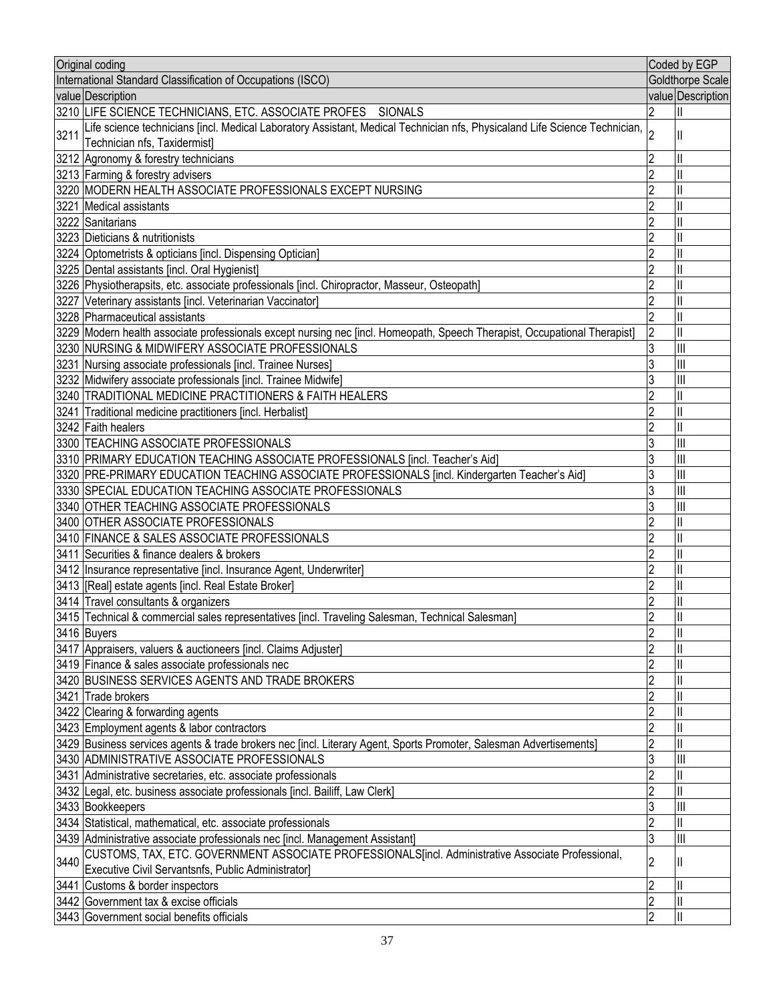| Original coding                                                                                                                                                       |                | Coded by EGP            |
|-----------------------------------------------------------------------------------------------------------------------------------------------------------------------|----------------|-------------------------|
| International Standard Classification of Occupations (ISCO)                                                                                                           |                | <b>Goldthorpe Scale</b> |
| value Description                                                                                                                                                     |                | value Description       |
| 3210 LIFE SCIENCE TECHNICIANS, ETC. ASSOCIATE PROFES SIONALS                                                                                                          |                |                         |
| Life science technicians [incl. Medical Laboratory Assistant, Medical Technician nfs, Physicaland Life Science Technician,  2<br>3211<br>Technician nfs, Taxidermist] |                |                         |
| 3212 Agronomy & forestry technicians                                                                                                                                  | 2              |                         |
| 3213 Farming & forestry advisers                                                                                                                                      | 2              |                         |
| 3220 MODERN HEALTH ASSOCIATE PROFESSIONALS EXCEPT NURSING                                                                                                             | $\overline{2}$ |                         |
| 3221 Medical assistants                                                                                                                                               |                |                         |
| 3222 Sanitarians                                                                                                                                                      |                |                         |
| 3223 Dieticians & nutritionists                                                                                                                                       | 2              |                         |
| 3224 Optometrists & opticians [incl. Dispensing Optician]                                                                                                             |                |                         |
| 3225 Dental assistants [incl. Oral Hygienist]                                                                                                                         |                |                         |
| 3226 Physiotherapsits, etc. associate professionals [incl. Chiropractor, Masseur, Osteopath]                                                                          | 2              |                         |
| 3227 Veterinary assistants [incl. Veterinarian Vaccinator]                                                                                                            | 2              |                         |
| 3228 Pharmaceutical assistants                                                                                                                                        |                |                         |
| 3229 Modern health associate professionals except nursing nec [incl. Homeopath, Speech Therapist, Occupational Therapist]                                             | $\overline{2}$ | $\mathsf{I}$            |
| 3230 NURSING & MIDWIFERY ASSOCIATE PROFESSIONALS                                                                                                                      | 3              | Ш                       |
| 3231 Nursing associate professionals [incl. Trainee Nurses]                                                                                                           | 3              | $\mathbf{III}$          |
| 3232 Midwifery associate professionals [incl. Trainee Midwife]                                                                                                        | 3              | $\mathsf{III}$          |
| 3240 TRADITIONAL MEDICINE PRACTITIONERS & FAITH HEALERS                                                                                                               | $\overline{2}$ |                         |
| 3241 Traditional medicine practitioners [incl. Herbalist]                                                                                                             | 2              |                         |
| 3242 Faith healers                                                                                                                                                    | 2              | $\mathsf{II}$           |
| 3300 TEACHING ASSOCIATE PROFESSIONALS                                                                                                                                 | 3              | $\mathbb{H}$            |
| 3310 PRIMARY EDUCATION TEACHING ASSOCIATE PROFESSIONALS [incl. Teacher's Aid]                                                                                         | 3              | Ш                       |
| 3320 PRE-PRIMARY EDUCATION TEACHING ASSOCIATE PROFESSIONALS [incl. Kindergarten Teacher's Aid]                                                                        | 3              | $\mathbb{H}$            |
| 3330 SPECIAL EDUCATION TEACHING ASSOCIATE PROFESSIONALS                                                                                                               | 3              | $\mathsf{III}$          |
| 3340 OTHER TEACHING ASSOCIATE PROFESSIONALS                                                                                                                           | 3              | $\mathbf{III}$          |
| 3400 OTHER ASSOCIATE PROFESSIONALS                                                                                                                                    | 2              |                         |
| 3410 FINANCE & SALES ASSOCIATE PROFESSIONALS                                                                                                                          | 2              |                         |
| 3411 Securities & finance dealers & brokers                                                                                                                           | 2              |                         |
| 3412 Insurance representative [incl. Insurance Agent, Underwriter]                                                                                                    | 2              |                         |
| 3413 [Real] estate agents [incl. Real Estate Broker]                                                                                                                  | 2              |                         |
| 3414 Travel consultants & organizers                                                                                                                                  | 2              |                         |
| 3415 Technical & commercial sales representatives [incl. Traveling Salesman, Technical Salesman]                                                                      | $\overline{2}$ | $\mathbf{II}$           |
| 3416 Buyers                                                                                                                                                           | $\overline{c}$ | II                      |
| 3417 Appraisers, valuers & auctioneers [incl. Claims Adjuster]                                                                                                        | 2              | Ш                       |
| 3419 Finance & sales associate professionals nec                                                                                                                      | 2              | $\mathsf{I}$            |
| 3420 BUSINESS SERVICES AGENTS AND TRADE BROKERS                                                                                                                       | $\overline{2}$ | $\mathsf{I}$            |
| 3421 Trade brokers                                                                                                                                                    | 2              | $\mathsf{I}$            |
| 3422 Clearing & forwarding agents                                                                                                                                     | 2              | $\mathsf{I}$            |
| 3423 Employment agents & labor contractors                                                                                                                            | $\overline{2}$ | $\mathsf{I}$            |
| 3429 Business services agents & trade brokers nec [incl. Literary Agent, Sports Promoter, Salesman Advertisements]                                                    | $\overline{2}$ | $\mathsf{I}$            |
| 3430 ADMINISTRATIVE ASSOCIATE PROFESSIONALS                                                                                                                           | 3              | $\mathsf{III}$          |
| 3431 Administrative secretaries, etc. associate professionals                                                                                                         | $\overline{2}$ | $\mathsf{I}$            |
| 3432 Legal, etc. business associate professionals [incl. Bailiff, Law Clerk]                                                                                          | $\overline{2}$ | $\mathsf{I}$            |
| 3433 Bookkeepers                                                                                                                                                      | 3              | $\mathbf{III}$          |
| 3434 Statistical, mathematical, etc. associate professionals                                                                                                          | $\overline{c}$ | $\mathsf{I}$            |
| 3439 Administrative associate professionals nec [incl. Management Assistant]                                                                                          | 3              | Ш                       |
| 3440 CUSTOMS, TAX, ETC. GOVERNMENT ASSOCIATE PROFESSIONALS[incl. Administrative Associate Professional,                                                               |                |                         |
| Executive Civil Servantsnfs, Public Administrator]                                                                                                                    | 2              | Ш                       |
| 3441 Customs & border inspectors                                                                                                                                      | $\overline{c}$ | Ш                       |
| 3442 Government tax & excise officials                                                                                                                                | $\overline{c}$ |                         |
| 3443 Government social benefits officials                                                                                                                             | $\overline{2}$ | $\mathbf{II}$           |
|                                                                                                                                                                       |                |                         |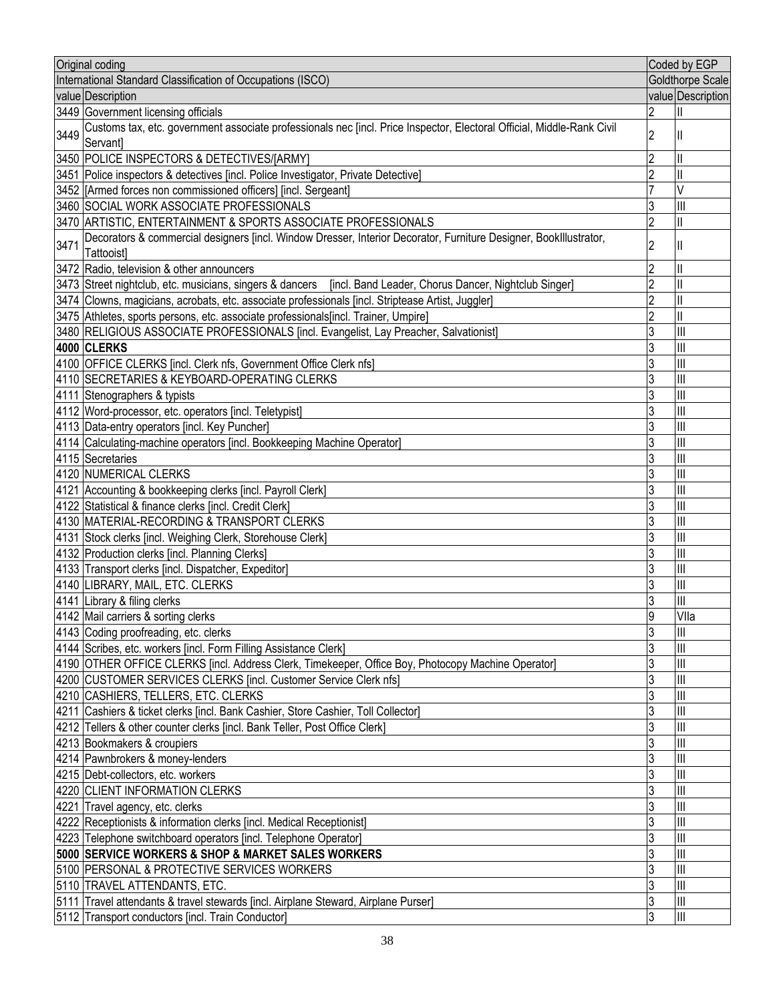| Original coding                                                                                                                                |                | Coded by EGP                          |
|------------------------------------------------------------------------------------------------------------------------------------------------|----------------|---------------------------------------|
| International Standard Classification of Occupations (ISCO)                                                                                    |                | <b>Goldthorpe Scale</b>               |
| value Description                                                                                                                              |                | value Description                     |
| 3449 Government licensing officials                                                                                                            |                |                                       |
| Customs tax, etc. government associate professionals nec [incl. Price Inspector, Electoral Official, Middle-Rank Civil<br>3449<br>Servant]     | $\overline{2}$ |                                       |
| 3450 POLICE INSPECTORS & DETECTIVES/[ARMY]                                                                                                     | 2              |                                       |
| 3451 Police inspectors & detectives [incl. Police Investigator, Private Detective]                                                             | $\overline{2}$ |                                       |
| 3452 [Armed forces non commissioned officers] [incl. Sergeant]                                                                                 |                | V                                     |
| 3460 SOCIAL WORK ASSOCIATE PROFESSIONALS                                                                                                       | 3              | Ш                                     |
| 3470 ARTISTIC, ENTERTAINMENT & SPORTS ASSOCIATE PROFESSIONALS                                                                                  | $\overline{2}$ |                                       |
| Decorators & commercial designers [incl. Window Dresser, Interior Decorator, Furniture Designer, BookIllustrator,<br>3471<br><b>Tattooistl</b> | 2              |                                       |
| 3472 Radio, television & other announcers                                                                                                      | $\overline{2}$ |                                       |
| 3473 Street nightclub, etc. musicians, singers & dancers [incl. Band Leader, Chorus Dancer, Nightclub Singer]                                  | $\overline{2}$ |                                       |
| 3474 Clowns, magicians, acrobats, etc. associate professionals [incl. Striptease Artist, Juggler]                                              | $\overline{2}$ |                                       |
| 3475 Athletes, sports persons, etc. associate professionals[incl. Trainer, Umpire]                                                             | $\overline{2}$ |                                       |
| 3480 RELIGIOUS ASSOCIATE PROFESSIONALS [incl. Evangelist, Lay Preacher, Salvationist]                                                          | 3              | Ш                                     |
| 4000 CLERKS                                                                                                                                    | 3              | IШ                                    |
| 4100 OFFICE CLERKS [incl. Clerk nfs, Government Office Clerk nfs]                                                                              | 3              | Ш                                     |
| 4110 SECRETARIES & KEYBOARD-OPERATING CLERKS                                                                                                   | 3              | $\mathbf{  }$                         |
| 4111 Stenographers & typists                                                                                                                   | 3              | $\mathbf{III}$                        |
| 4112 Word-processor, etc. operators [incl. Teletypist]                                                                                         | 3              | $\mathbb{H}$                          |
| 4113 Data-entry operators [incl. Key Puncher]                                                                                                  | 3              | Ш                                     |
| 4114 Calculating-machine operators [incl. Bookkeeping Machine Operator]                                                                        | 3              | IШ                                    |
| 4115 Secretaries                                                                                                                               | 3              | IШ                                    |
| 4120 NUMERICAL CLERKS                                                                                                                          | 3              | Ш                                     |
| 4121 Accounting & bookkeeping clerks [incl. Payroll Clerk]                                                                                     | 3              | IШ                                    |
| 4122 Statistical & finance clerks [incl. Credit Clerk]                                                                                         | 3              | Ш                                     |
| 4130 MATERIAL-RECORDING & TRANSPORT CLERKS                                                                                                     | 3              | Ш                                     |
| 4131 Stock clerks [incl. Weighing Clerk, Storehouse Clerk]                                                                                     | 3              | IШ                                    |
| 4132 Production clerks [incl. Planning Clerks]                                                                                                 | 3              | Ш                                     |
| 4133 Transport clerks [incl. Dispatcher, Expeditor]                                                                                            | 3              | $\mathbf{  }$                         |
| 4140 LIBRARY, MAIL, ETC. CLERKS                                                                                                                | 3              | Ш                                     |
| 4141 Library & filing clerks                                                                                                                   | 3              | $\begin{array}{c} \hline \end{array}$ |
| 4142 Mail carriers & sorting clerks                                                                                                            | ļ9             | VIIa                                  |
| 4143 Coding proofreading, etc. clerks                                                                                                          | 3              | Ш                                     |
| 4144 Scribes, etc. workers [incl. Form Filling Assistance Clerk]                                                                               | 3              | IШ                                    |
| 4190 OTHER OFFICE CLERKS [incl. Address Clerk, Timekeeper, Office Boy, Photocopy Machine Operator]                                             | 3              | III                                   |
| 4200 CUSTOMER SERVICES CLERKS [incl. Customer Service Clerk nfs]                                                                               | 3              | IШ                                    |
| 4210 CASHIERS, TELLERS, ETC. CLERKS                                                                                                            | 3              | III                                   |
| 4211 Cashiers & ticket clerks [incl. Bank Cashier, Store Cashier, Toll Collector]                                                              | 3              | Ш                                     |
| 4212 Tellers & other counter clerks [incl. Bank Teller, Post Office Clerk]                                                                     | 3              | III                                   |
|                                                                                                                                                | 3              | Ш                                     |
| 4213 Bookmakers & croupiers<br>4214 Pawnbrokers & money-lenders                                                                                | 3              | III                                   |
|                                                                                                                                                | 3              | III                                   |
| 4215 Debt-collectors, etc. workers                                                                                                             |                |                                       |
| 4220 CLIENT INFORMATION CLERKS                                                                                                                 | 3              | Ш<br>Ш                                |
| 4221 Travel agency, etc. clerks                                                                                                                | 3<br>3         | III                                   |
| 4222 Receptionists & information clerks [incl. Medical Receptionist]                                                                           |                |                                       |
| 4223 Telephone switchboard operators [incl. Telephone Operator]                                                                                | 3              | Ш                                     |
| 5000 SERVICE WORKERS & SHOP & MARKET SALES WORKERS                                                                                             | 3              | Ш                                     |
| 5100 PERSONAL & PROTECTIVE SERVICES WORKERS                                                                                                    | 3              | III                                   |
| 5110 TRAVEL ATTENDANTS, ETC.                                                                                                                   | 3              | III                                   |
| 5111 Travel attendants & travel stewards [incl. Airplane Steward, Airplane Purser]                                                             | 3              | III                                   |
| 5112 Transport conductors [incl. Train Conductor]                                                                                              | 3              | Ш                                     |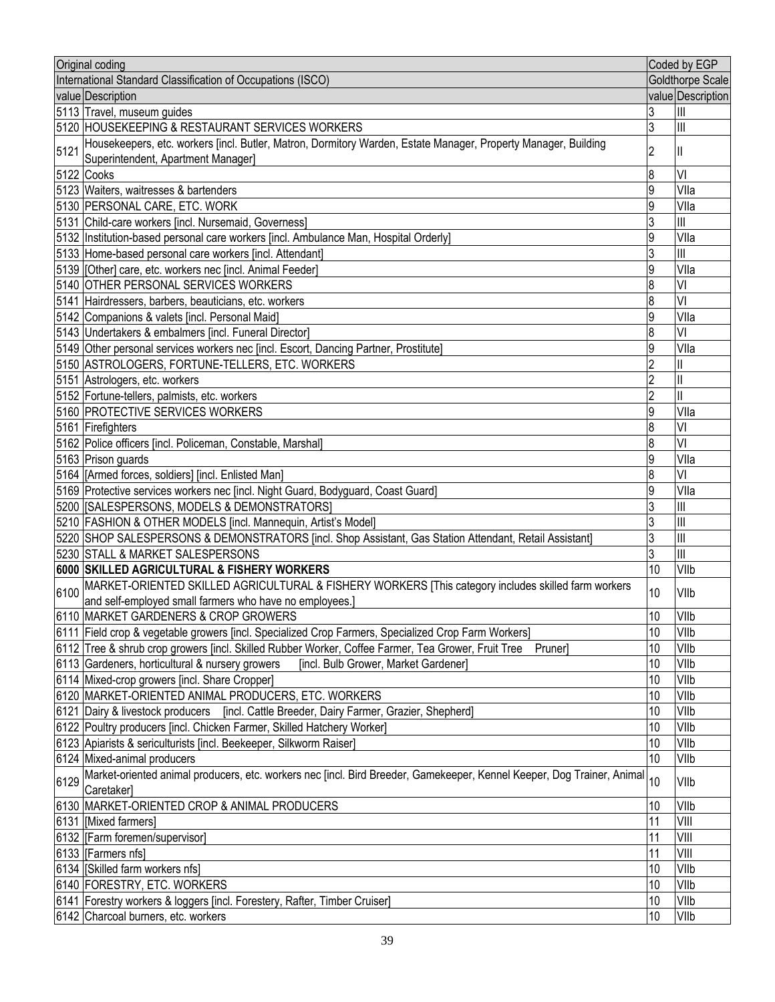| Original coding                                                                                                                              |                 | Coded by EGP      |
|----------------------------------------------------------------------------------------------------------------------------------------------|-----------------|-------------------|
| International Standard Classification of Occupations (ISCO)                                                                                  |                 | Goldthorpe Scale  |
| value Description                                                                                                                            |                 | value Description |
| 5113 Travel, museum guides                                                                                                                   | 3               | Ш                 |
| 5120 HOUSEKEEPING & RESTAURANT SERVICES WORKERS                                                                                              | 3               | $\mathbb{H}$      |
| Housekeepers, etc. workers [incl. Butler, Matron, Dormitory Warden, Estate Manager, Property Manager, Building<br>5121                       | 2               | Ш                 |
| Superintendent, Apartment Manager]                                                                                                           |                 |                   |
| 5122 Cooks                                                                                                                                   | 8               | VI                |
| 5123 Waiters, waitresses & bartenders                                                                                                        | 9               | Vlla              |
| 5130 PERSONAL CARE, ETC. WORK                                                                                                                | 9               | Vlla              |
| 5131 Child-care workers [incl. Nursemaid, Governess]                                                                                         | 3               | Ш                 |
| 5132 Institution-based personal care workers [incl. Ambulance Man, Hospital Orderly]                                                         | 9               | Vlla              |
| 5133 Home-based personal care workers [incl. Attendant]                                                                                      | 3               | $\mathbf{III}$    |
| 5139 [Other] care, etc. workers nec [incl. Animal Feeder]                                                                                    | 9               | Vlla              |
| 5140 OTHER PERSONAL SERVICES WORKERS                                                                                                         | 8               | VI                |
| 5141 Hairdressers, barbers, beauticians, etc. workers                                                                                        | 8               | VI                |
| 5142 Companions & valets [incl. Personal Maid]                                                                                               | 9               | Vlla              |
| 5143 Undertakers & embalmers [incl. Funeral Director]                                                                                        | 8               | VI                |
| 5149 Other personal services workers nec [incl. Escort, Dancing Partner, Prostitute]                                                         | 9               | Vlla              |
| 5150 ASTROLOGERS, FORTUNE-TELLERS, ETC. WORKERS                                                                                              | $\overline{2}$  |                   |
| 5151 Astrologers, etc. workers                                                                                                               | 2               | II                |
| 5152 Fortune-tellers, palmists, etc. workers                                                                                                 | 2               | II                |
| 5160 PROTECTIVE SERVICES WORKERS                                                                                                             | 9               | Vlla              |
| 5161 Firefighters                                                                                                                            | 8               | VI                |
| 5162 Police officers [incl. Policeman, Constable, Marshal]                                                                                   | 8               | VI                |
| 5163 Prison guards                                                                                                                           | 9               | Vlla              |
| 5164 [Armed forces, soldiers] [incl. Enlisted Man]                                                                                           | 8               | VI                |
| 5169 Protective services workers nec [incl. Night Guard, Bodyguard, Coast Guard]                                                             | 9               | Vlla              |
| 5200   [SALESPERSONS, MODELS & DEMONSTRATORS]                                                                                                | 3               | $\mathbb{H}$      |
| 5210 FASHION & OTHER MODELS [incl. Mannequin, Artist's Model]                                                                                | 3               | $\mathbb{H}$      |
| 5220 SHOP SALESPERSONS & DEMONSTRATORS [incl. Shop Assistant, Gas Station Attendant, Retail Assistant]                                       | 3               | $\mathbb{H}$      |
| 5230 STALL & MARKET SALESPERSONS                                                                                                             | 3               | Ш                 |
| 6000 SKILLED AGRICULTURAL & FISHERY WORKERS                                                                                                  | 10              | VIIb              |
| 6100 MARKET-ORIENTED SKILLED AGRICULTURAL & FISHERY WORKERS [This category includes skilled farm workers                                     | 10              | VIIb              |
| and self-employed small farmers who have no employees.]                                                                                      |                 |                   |
| 6110 MARKET GARDENERS & CROP GROWERS                                                                                                         | $\overline{10}$ | VIIb              |
| 6111 Field crop & vegetable growers [incl. Specialized Crop Farmers, Specialized Crop Farm Workers]                                          | 10              | VIIb              |
| 6112 Tree & shrub crop growers [incl. Skilled Rubber Worker, Coffee Farmer, Tea Grower, Fruit Tree<br>Pruner]                                | 10              | VIIb              |
| 6113 Gardeners, horticultural & nursery growers<br>[incl. Bulb Grower, Market Gardener]                                                      | 10              | VIIb              |
| 6114 Mixed-crop growers [incl. Share Cropper]                                                                                                | 10              | VIIb              |
| 6120 MARKET-ORIENTED ANIMAL PRODUCERS, ETC. WORKERS                                                                                          | 10              | VIIb              |
| 6121 Dairy & livestock producers [incl. Cattle Breeder, Dairy Farmer, Grazier, Shepherd]                                                     | 10              | VIIb              |
| 6122 Poultry producers [incl. Chicken Farmer, Skilled Hatchery Worker]                                                                       | 10              | VIIb              |
| 6123 Apiarists & sericulturists [incl. Beekeeper, Silkworm Raiser]                                                                           | 10              | VIIb              |
| 6124 Mixed-animal producers                                                                                                                  | 10              | VIIb              |
| Market-oriented animal producers, etc. workers nec [incl. Bird Breeder, Gamekeeper, Kennel Keeper, Dog Trainer, Animal<br>6129<br>Caretaker] | 10              | VIIb              |
| 6130 MARKET-ORIENTED CROP & ANIMAL PRODUCERS                                                                                                 | 10              | VIIb              |
| 6131 [Mixed farmers]                                                                                                                         | 11              | VIII              |
| 6132 [Farm foremen/supervisor]                                                                                                               | 11              | VIII              |
| 6133   [Farmers nfs]                                                                                                                         | 11              | VIII              |
| 6134   [Skilled farm workers nfs]                                                                                                            | 10              | VIIb              |
| 6140 FORESTRY, ETC. WORKERS                                                                                                                  | 10              | VIIb              |
| 6141 Forestry workers & loggers [incl. Forestery, Rafter, Timber Cruiser]                                                                    | 10              | VIIb              |
| 6142 Charcoal burners, etc. workers                                                                                                          | 10              | VIIb              |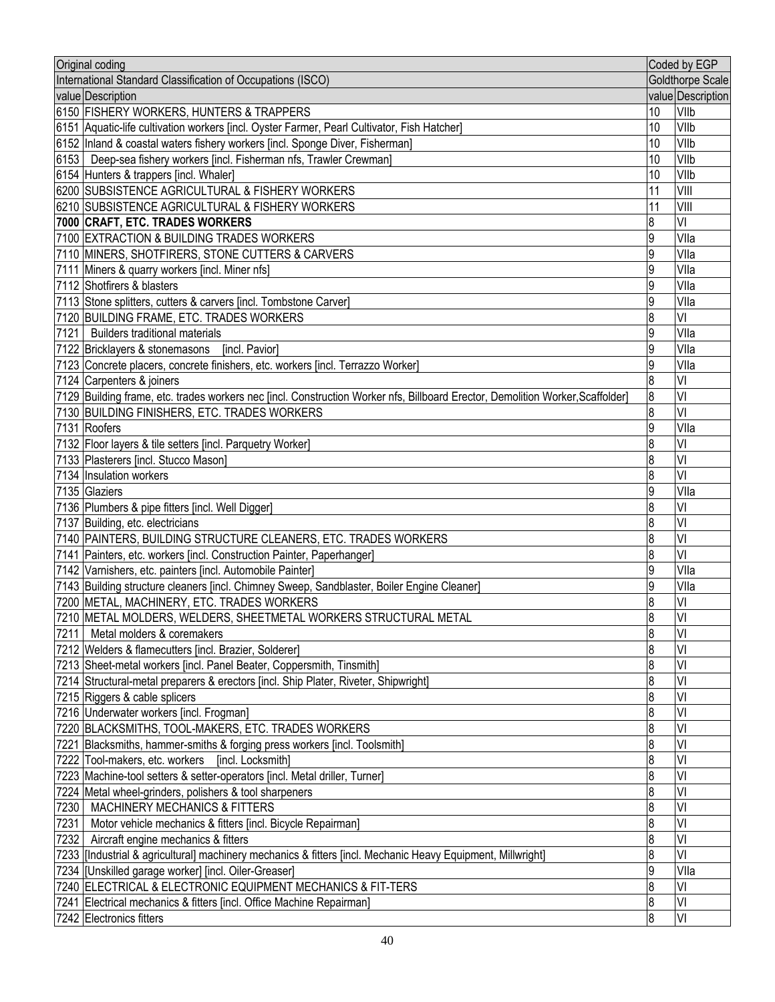| Original coding                                                                                                                                         |                       | Coded by EGP      |
|---------------------------------------------------------------------------------------------------------------------------------------------------------|-----------------------|-------------------|
| International Standard Classification of Occupations (ISCO)                                                                                             |                       | Goldthorpe Scale  |
| value Description                                                                                                                                       |                       | value Description |
| 6150 FISHERY WORKERS, HUNTERS & TRAPPERS                                                                                                                | 10                    | VIIb              |
| 6151 Aquatic-life cultivation workers [incl. Oyster Farmer, Pearl Cultivator, Fish Hatcher]                                                             | 10                    | VIIb              |
| 6152 Inland & coastal waters fishery workers [incl. Sponge Diver, Fisherman]                                                                            | 10                    | VIIb              |
| 6153   Deep-sea fishery workers [incl. Fisherman nfs, Trawler Crewman]                                                                                  | 10                    | VIIb              |
| 6154 Hunters & trappers [incl. Whaler]                                                                                                                  | 10                    | VIIb              |
| 6200 SUBSISTENCE AGRICULTURAL & FISHERY WORKERS                                                                                                         | 11                    | VIII              |
| 6210 SUBSISTENCE AGRICULTURAL & FISHERY WORKERS                                                                                                         | 11                    | VIII              |
| 7000 CRAFT, ETC. TRADES WORKERS                                                                                                                         | 8                     | VI                |
| 7100 EXTRACTION & BUILDING TRADES WORKERS                                                                                                               | 9                     | Vlla              |
| 7110 MINERS, SHOTFIRERS, STONE CUTTERS & CARVERS                                                                                                        | 9                     | Vlla              |
| 7111 Miners & quarry workers [incl. Miner nfs]                                                                                                          | 9                     | Vlla              |
| 7112 Shotfirers & blasters                                                                                                                              | 9                     | Vlla              |
| [7113 Stone splitters, cutters & carvers [incl. Tombstone Carver]                                                                                       | 9                     | Vlla              |
| 7120 BUILDING FRAME, ETC. TRADES WORKERS                                                                                                                | 8                     | VI                |
| 7121 Builders traditional materials                                                                                                                     | 9                     | Vlla              |
| 7122 Bricklayers & stonemasons [incl. Pavior]                                                                                                           | 9                     | Vlla              |
| 7123 Concrete placers, concrete finishers, etc. workers [incl. Terrazzo Worker]                                                                         | 9                     | Vlla              |
| 7124 Carpenters & joiners                                                                                                                               | 8                     | VI                |
| [7129  Building frame, etc. trades workers nec [incl. Construction Worker nfs, Billboard Erector, Demolition Worker, Scaffolder]                        | 8                     | VI                |
| 7130 BUILDING FINISHERS, ETC. TRADES WORKERS                                                                                                            | 8                     | VI                |
| 7131 Roofers                                                                                                                                            | 9                     | Vlla              |
| 7132 Floor layers & tile setters [incl. Parquetry Worker]                                                                                               | 8                     | VI                |
| 7133 Plasterers [incl. Stucco Mason]                                                                                                                    | 8                     | VI                |
| 7134 Insulation workers                                                                                                                                 | 8                     | VI                |
| 7135 Glaziers                                                                                                                                           | 9                     | Vlla              |
| 7136 Plumbers & pipe fitters [incl. Well Digger]                                                                                                        | 8                     | VI                |
| 7137 Building, etc. electricians                                                                                                                        | $\boldsymbol{8}$<br>8 | VI<br>VI          |
| 7140 PAINTERS, BUILDING STRUCTURE CLEANERS, ETC. TRADES WORKERS                                                                                         | 8                     | VI                |
| 7141   Painters, etc. workers [incl. Construction Painter, Paperhanger]                                                                                 | 9                     | Vlla              |
| 7142 Varnishers, etc. painters [incl. Automobile Painter]<br>7143 Building structure cleaners [incl. Chimney Sweep, Sandblaster, Boiler Engine Cleaner] | 9                     | VIIa              |
| 7200 METAL, MACHINERY, ETC. TRADES WORKERS                                                                                                              | 8                     | VI                |
| 7210  METAL MOLDERS, WELDERS, SHEETMETAL WORKERS STRUCTURAL METAL                                                                                       | R                     | VI                |
| 7211 Metal molders & coremakers                                                                                                                         | 8                     | VI                |
| 7212 Welders & flamecutters [incl. Brazier, Solderer]                                                                                                   | 8                     | VI                |
| 7213 Sheet-metal workers [incl. Panel Beater, Coppersmith, Tinsmith]                                                                                    | 8                     | VI                |
| 7214 Structural-metal preparers & erectors [incl. Ship Plater, Riveter, Shipwright]                                                                     | 8                     | VI                |
| 7215 Riggers & cable splicers                                                                                                                           | 8                     | VI                |
| 7216 Underwater workers [incl. Frogman]                                                                                                                 | 8                     | VI                |
| 7220 BLACKSMITHS, TOOL-MAKERS, ETC. TRADES WORKERS                                                                                                      | $\boldsymbol{8}$      | VI                |
| 7221 Blacksmiths, hammer-smiths & forging press workers [incl. Toolsmith]                                                                               | 8                     | VI                |
| 7222 Tool-makers, etc. workers<br>[incl. Locksmith]                                                                                                     | 8                     | VI                |
| 7223 Machine-tool setters & setter-operators [incl. Metal driller, Turner]                                                                              | 8                     | VI                |
| 7224 Metal wheel-grinders, polishers & tool sharpeners                                                                                                  | 8                     | VI                |
| 7230   MACHINERY MECHANICS & FITTERS                                                                                                                    | 8                     | VI                |
| 7231<br>Motor vehicle mechanics & fitters [incl. Bicycle Repairman]                                                                                     | $\boldsymbol{8}$      | VI                |
| Aircraft engine mechanics & fitters<br>7232                                                                                                             | 8                     | VI                |
| 7233 [Industrial & agricultural] machinery mechanics & fitters [incl. Mechanic Heavy Equipment, Millwright]                                             | 8                     | VI                |
| 7234 [Unskilled garage worker] [incl. Oiler-Greaser]                                                                                                    | 9                     | VIIa              |
| 7240 ELECTRICAL & ELECTRONIC EQUIPMENT MECHANICS & FIT-TERS                                                                                             | 8                     | VI                |
| 7241 Electrical mechanics & fitters [incl. Office Machine Repairman]                                                                                    | 8                     | VI                |
| 7242 Electronics fitters                                                                                                                                | 8                     | VI                |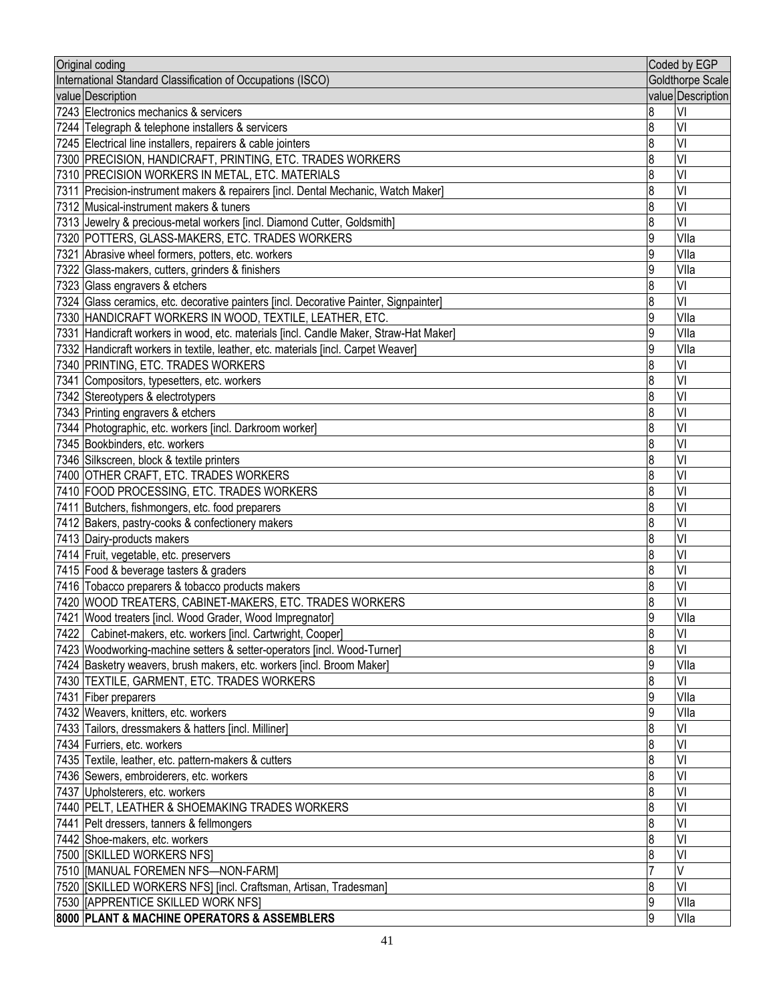| Original coding                                                                                         |        | Coded by EGP      |
|---------------------------------------------------------------------------------------------------------|--------|-------------------|
| International Standard Classification of Occupations (ISCO)                                             |        | Goldthorpe Scale  |
| value Description                                                                                       |        | value Description |
| 7243 Electronics mechanics & servicers                                                                  | 8      | VI                |
| 7244 Telegraph & telephone installers & servicers                                                       | 8      | VI                |
| 7245 Electrical line installers, repairers & cable jointers                                             | 8      | VI                |
| 7300 PRECISION, HANDICRAFT, PRINTING, ETC. TRADES WORKERS                                               | 8      | VI                |
| 7310 PRECISION WORKERS IN METAL, ETC. MATERIALS                                                         | 8      | VI                |
| 7311 Precision-instrument makers & repairers [incl. Dental Mechanic, Watch Maker]                       | 8      | VI                |
| 7312 Musical-instrument makers & tuners                                                                 | 8      | VI                |
| 7313 Jewelry & precious-metal workers [incl. Diamond Cutter, Goldsmith]                                 | 8      | VI                |
| 7320 POTTERS, GLASS-MAKERS, ETC. TRADES WORKERS                                                         | 9      | Vlla              |
| 7321 Abrasive wheel formers, potters, etc. workers                                                      | 9      | Vlla              |
| 7322 Glass-makers, cutters, grinders & finishers                                                        | 9      | Vlla              |
| 7323 Glass engravers & etchers                                                                          | 8      | VI                |
| 7324 Glass ceramics, etc. decorative painters [incl. Decorative Painter, Signpainter]                   | 8      | VI                |
| 7330 HANDICRAFT WORKERS IN WOOD, TEXTILE, LEATHER, ETC.                                                 | 9      | Vlla              |
| 7331 Handicraft workers in wood, etc. materials [incl. Candle Maker, Straw-Hat Maker]                   | 9      | Vlla              |
| 7332 Handicraft workers in textile, leather, etc. materials [incl. Carpet Weaver]                       | 9      | Vlla              |
| 7340 PRINTING, ETC. TRADES WORKERS                                                                      | 8      | VI                |
| 7341 Compositors, typesetters, etc. workers                                                             | 8      | VI                |
| 7342 Stereotypers & electrotypers                                                                       | 8      | VI                |
| 7343 Printing engravers & etchers                                                                       | 8      | VI                |
| 7344 Photographic, etc. workers [incl. Darkroom worker]                                                 | 8      | VI                |
| 7345 Bookbinders, etc. workers                                                                          | 8      | VI                |
| 7346 Silkscreen, block & textile printers                                                               | 8      | VI                |
| 7400 OTHER CRAFT, ETC. TRADES WORKERS                                                                   | 8      | VI                |
| 7410 FOOD PROCESSING, ETC. TRADES WORKERS                                                               | 8      | VI                |
| 7411 Butchers, fishmongers, etc. food preparers                                                         | 8      | VI                |
| 7412 Bakers, pastry-cooks & confectionery makers                                                        | 8      | VI                |
| 7413 Dairy-products makers                                                                              | 8      | VI                |
| 7414 Fruit, vegetable, etc. preservers                                                                  | 8      | VI                |
| 7415 Food & beverage tasters & graders                                                                  | 8      | VI                |
| 7416 Tobacco preparers & tobacco products makers                                                        | 8      | VI                |
| 7420 WOOD TREATERS, CABINET-MAKERS, ETC. TRADES WORKERS                                                 | 8      | VI                |
| 7421 Wood treaters [incl. Wood Grader, Wood Impregnator]                                                | ۱a     | Vlla              |
| 7422   Cabinet-makers, etc. workers [incl. Cartwright, Cooper]                                          | 8      | VI                |
| 7423 Woodworking-machine setters & setter-operators [incl. Wood-Turner]                                 | 8      | VI                |
| 7424 Basketry weavers, brush makers, etc. workers [incl. Broom Maker]                                   | 9      | Vlla              |
| 7430  TEXTILE, GARMENT, ETC. TRADES WORKERS                                                             | 8      | VI                |
| 7431 Fiber preparers                                                                                    | 9      | Vlla              |
| 7432 Weavers, knitters, etc. workers                                                                    | 9      | Vlla              |
| 7433 Tailors, dressmakers & hatters [incl. Milliner]                                                    | 8      | VI                |
| 7434 Furriers, etc. workers                                                                             | 8      | VI                |
| 7435 Textile, leather, etc. pattern-makers & cutters                                                    | 8      | VI                |
| 7436 Sewers, embroiderers, etc. workers                                                                 | 8      | VI                |
| 7437 Upholsterers, etc. workers                                                                         | 8      | VI                |
| 7440 PELT, LEATHER & SHOEMAKING TRADES WORKERS                                                          | 8      | VI<br>VI          |
| 7441 Pelt dressers, tanners & fellmongers<br>7442 Shoe-makers, etc. workers                             | 8<br>8 | VI                |
|                                                                                                         | 8      | VI                |
| 7500   [SKILLED WORKERS NFS]                                                                            |        | V                 |
| 7510   MANUAL FOREMEN NFS-NON-FARM]                                                                     | 8      | VI                |
| 7520 [SKILLED WORKERS NFS] [incl. Craftsman, Artisan, Tradesman]<br>7530   APPRENTICE SKILLED WORK NFS] | 9      | Vlla              |
|                                                                                                         |        | Vlla              |
| 8000 PLANT & MACHINE OPERATORS & ASSEMBLERS                                                             | 9      |                   |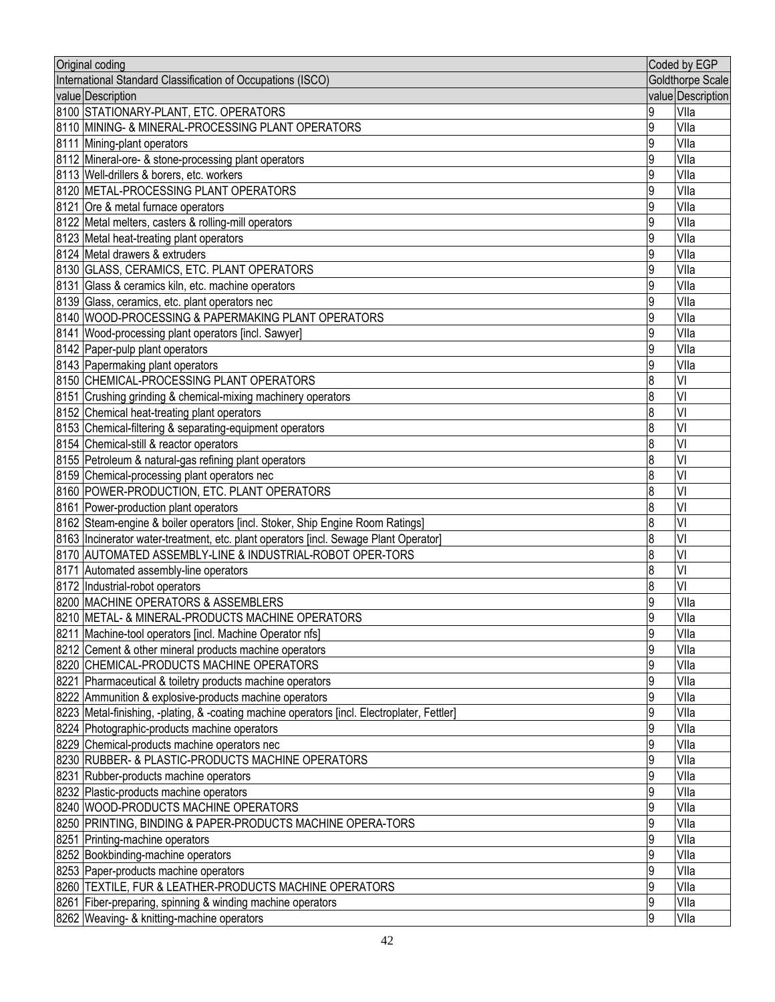| Original coding                                                                              |                  | Coded by EGP      |
|----------------------------------------------------------------------------------------------|------------------|-------------------|
| International Standard Classification of Occupations (ISCO)                                  |                  | Goldthorpe Scale  |
| value Description                                                                            |                  | value Description |
| 8100 STATIONARY-PLANT, ETC. OPERATORS                                                        | 9                | Vlla              |
| 8110 MINING- & MINERAL-PROCESSING PLANT OPERATORS                                            | 9                | Vlla              |
| 8111 Mining-plant operators                                                                  | 9                | Vlla              |
| 8112 Mineral-ore- & stone-processing plant operators                                         | 9                | Vlla              |
| 8113 Well-drillers & borers, etc. workers                                                    | 9                | Vlla              |
| 8120 METAL-PROCESSING PLANT OPERATORS                                                        | 9                | Vlla              |
| 8121 Ore & metal furnace operators                                                           | 9                | Vlla              |
| 8122 Metal melters, casters & rolling-mill operators                                         | 9                | Vlla              |
| 8123 Metal heat-treating plant operators                                                     | 9                | Vlla              |
| 8124 Metal drawers & extruders                                                               | 9                | Vlla              |
| 8130 GLASS, CERAMICS, ETC. PLANT OPERATORS                                                   | 9                | Vlla              |
| 8131 Glass & ceramics kiln, etc. machine operators                                           | 9                | Vlla              |
| 8139 Glass, ceramics, etc. plant operators nec                                               | 9                | Vlla              |
| 8140 WOOD-PROCESSING & PAPERMAKING PLANT OPERATORS                                           | 9                | Vlla              |
| 8141 Wood-processing plant operators [incl. Sawyer]                                          | 9                | Vlla              |
| 8142 Paper-pulp plant operators                                                              | 9                | Vlla              |
| 8143 Papermaking plant operators                                                             | 9                | Vlla              |
| 8150 CHEMICAL-PROCESSING PLANT OPERATORS                                                     | 8                | VI                |
| 8151 Crushing grinding & chemical-mixing machinery operators                                 | 8                | VI                |
| 8152 Chemical heat-treating plant operators                                                  | 8                | VI                |
| 8153 Chemical-filtering & separating-equipment operators                                     | 8                | VI                |
| 8154 Chemical-still & reactor operators                                                      | $\overline{8}$   | VI                |
| 8155 Petroleum & natural-gas refining plant operators                                        | $\overline{8}$   | VI                |
| 8159 Chemical-processing plant operators nec                                                 | $\boldsymbol{8}$ | VI                |
| 8160 POWER-PRODUCTION, ETC. PLANT OPERATORS                                                  | 8                | VI                |
| 8161 Power-production plant operators                                                        | 8                | VI                |
| 8162 Steam-engine & boiler operators [incl. Stoker, Ship Engine Room Ratings]                | $\boldsymbol{8}$ | VI                |
| 8163 Incinerator water-treatment, etc. plant operators [incl. Sewage Plant Operator]         | 8                | VI                |
| 8170 AUTOMATED ASSEMBLY-LINE & INDUSTRIAL-ROBOT OPER-TORS                                    | 8                | VI                |
| 8171 Automated assembly-line operators                                                       | 8                | VI                |
| 8172 Industrial-robot operators                                                              | 8                | VI                |
| 8200 MACHINE OPERATORS & ASSEMBLERS                                                          | 9                | Vlla              |
| 18210 IMETAL- & MINERAL-PRODUCTS MACHINE OPERATORS                                           | q                | Vlla              |
| 8211 Machine-tool operators [incl. Machine Operator nfs]                                     | 9                | Vlla              |
| 8212 Cement & other mineral products machine operators                                       | 9                | Vlla              |
| 8220 CHEMICAL-PRODUCTS MACHINE OPERATORS                                                     | 9                | Vlla              |
| 8221 Pharmaceutical & toiletry products machine operators                                    | 9                | Vlla              |
| 8222 Ammunition & explosive-products machine operators                                       | 9                | Vlla              |
| 8223  Metal-finishing, -plating, & -coating machine operators [incl. Electroplater, Fettler] | 9                | Vlla              |
| 8224 Photographic-products machine operators                                                 | 9                | VIIa              |
| 8229 Chemical-products machine operators nec                                                 | 9                | Vlla              |
| 8230 RUBBER- & PLASTIC-PRODUCTS MACHINE OPERATORS                                            | 9                | Vlla              |
| 8231 Rubber-products machine operators                                                       | 9                | Vlla              |
| 8232 Plastic-products machine operators                                                      | 9                | Vlla              |
| 8240 WOOD-PRODUCTS MACHINE OPERATORS                                                         | 9                | Vlla              |
| 8250 PRINTING, BINDING & PAPER-PRODUCTS MACHINE OPERA-TORS                                   | 9                | Vlla              |
| 8251 Printing-machine operators                                                              | 9                | Vlla              |
| 8252 Bookbinding-machine operators                                                           | 9                | Vlla              |
| 8253 Paper-products machine operators                                                        | 9                | Vlla              |
| 8260 TEXTILE, FUR & LEATHER-PRODUCTS MACHINE OPERATORS                                       | 9                | Vlla              |
| 8261 Fiber-preparing, spinning & winding machine operators                                   | 9                | Vlla              |
| 8262 Weaving- & knitting-machine operators                                                   | 9                | VIIa              |
|                                                                                              |                  |                   |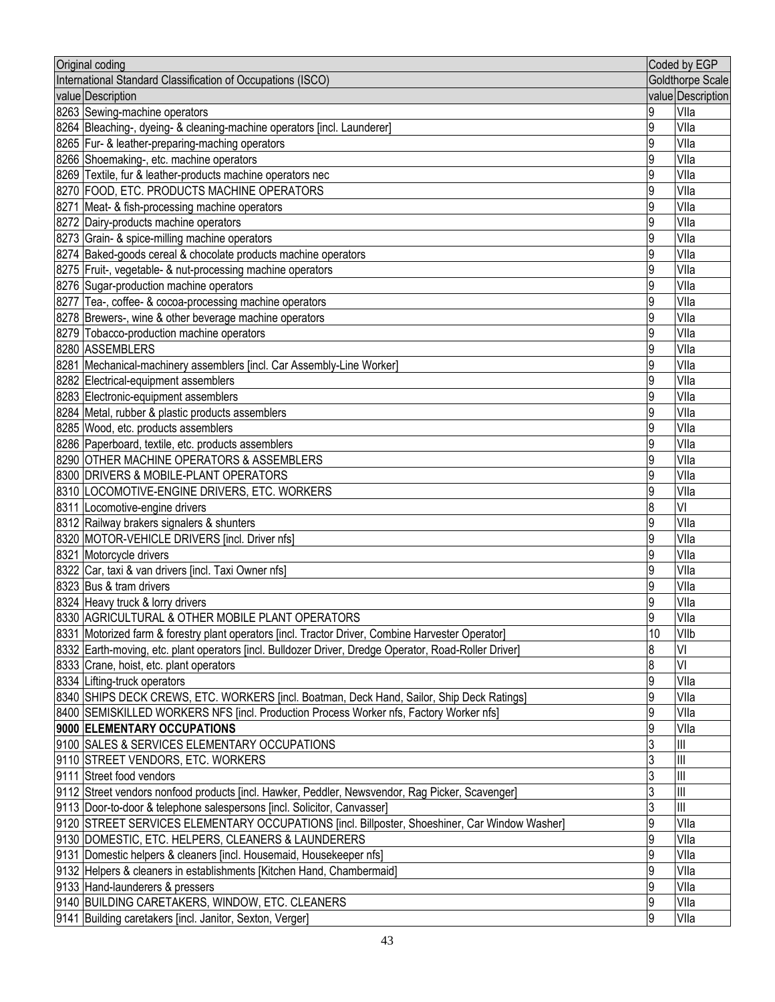| Original coding                                                                                       |    | Coded by EGP            |
|-------------------------------------------------------------------------------------------------------|----|-------------------------|
| International Standard Classification of Occupations (ISCO)                                           |    | <b>Goldthorpe Scale</b> |
| value Description                                                                                     |    | value Description       |
| 8263 Sewing-machine operators                                                                         | 9  | VIIa                    |
| 8264 Bleaching-, dyeing- & cleaning-machine operators [incl. Launderer]                               | 9  | Vlla                    |
| 8265   Fur- & leather-preparing-maching operators                                                     | 9  | Vlla                    |
| 8266 Shoemaking-, etc. machine operators                                                              | 9  | Vlla                    |
| 8269 Textile, fur & leather-products machine operators nec                                            | 9  | Vlla                    |
| 8270 FOOD, ETC. PRODUCTS MACHINE OPERATORS                                                            | 9  | Vlla                    |
| 8271 Meat- & fish-processing machine operators                                                        | 9  | Vlla                    |
| 8272 Dairy-products machine operators                                                                 | 9  | VIIa                    |
| 8273 Grain- & spice-milling machine operators                                                         | 9  | Vlla                    |
| 8274 Baked-goods cereal & chocolate products machine operators                                        | 9  | Vlla                    |
| 8275 Fruit-, vegetable- & nut-processing machine operators                                            | 9  | Vlla                    |
| 8276 Sugar-production machine operators                                                               | 9  | Vlla                    |
| 8277 Tea-, coffee- & cocoa-processing machine operators                                               | 9  | Vlla                    |
| 8278 Brewers-, wine & other beverage machine operators                                                | 9  | Vlla                    |
| 8279 Tobacco-production machine operators                                                             | 9  | Vlla                    |
| 8280 ASSEMBLERS                                                                                       | 9  | Vlla                    |
| 8281 Mechanical-machinery assemblers [incl. Car Assembly-Line Worker]                                 | 9  | Vlla                    |
| 8282 Electrical-equipment assemblers                                                                  | 9  | Vlla                    |
| 8283 Electronic-equipment assemblers                                                                  | 9  | Vlla                    |
| 8284 Metal, rubber & plastic products assemblers                                                      | 9  | Vlla                    |
| 8285 Wood, etc. products assemblers                                                                   | 9  | Vlla                    |
| 8286 Paperboard, textile, etc. products assemblers                                                    | 9  | Vlla                    |
| 8290 OTHER MACHINE OPERATORS & ASSEMBLERS                                                             | 9  | Vlla                    |
| 8300 DRIVERS & MOBILE-PLANT OPERATORS                                                                 | 9  | Vlla                    |
| 8310 LOCOMOTIVE-ENGINE DRIVERS, ETC. WORKERS                                                          | 9  | Vlla                    |
| 8311 Locomotive-engine drivers                                                                        | 8  | VI                      |
| 8312 Railway brakers signalers & shunters                                                             | 9  | Vlla                    |
| 8320 MOTOR-VEHICLE DRIVERS [incl. Driver nfs]                                                         | 9  | Vlla                    |
| 8321 Motorcycle drivers                                                                               | 9  | Vlla                    |
| 8322 Car, taxi & van drivers [incl. Taxi Owner nfs]                                                   | 9  | Vlla                    |
| 8323 Bus & tram drivers                                                                               | 9  | VIIa                    |
| 8324 Heavy truck & lorry drivers                                                                      | 9  | VIIa                    |
| 8330 AGRICULTURAL & OTHER MOBILE PLANT OPERATORS                                                      | Q  | Vlla                    |
| 8331 Motorized farm & forestry plant operators [incl. Tractor Driver, Combine Harvester Operator]     | 10 | VIIb                    |
| 8332 Earth-moving, etc. plant operators [incl. Bulldozer Driver, Dredge Operator, Road-Roller Driver] | 8  | VI                      |
| 8333 Crane, hoist, etc. plant operators                                                               | 8  | VI                      |
| 8334 Lifting-truck operators                                                                          | 9  | Vlla                    |
| 8340 SHIPS DECK CREWS, ETC. WORKERS [incl. Boatman, Deck Hand, Sailor, Ship Deck Ratings]             | 9  | Vlla                    |
| 8400 SEMISKILLED WORKERS NFS [incl. Production Process Worker nfs, Factory Worker nfs]                | 9  | Vlla                    |
| 9000 ELEMENTARY OCCUPATIONS                                                                           | 9  | VIIa                    |
| 9100 SALES & SERVICES ELEMENTARY OCCUPATIONS                                                          |    | Ш                       |
| 9110 STREET VENDORS, ETC. WORKERS                                                                     |    | Ш                       |
| 9111 Street food vendors                                                                              | 3  | Ш                       |
| 9112 Street vendors nonfood products [incl. Hawker, Peddler, Newsvendor, Rag Picker, Scavenger]       | 3  | Ш                       |
| 9113 Door-to-door & telephone salespersons [incl. Solicitor, Canvasser]                               | 3  | Ш                       |
| 9120 STREET SERVICES ELEMENTARY OCCUPATIONS [incl. Billposter, Shoeshiner, Car Window Washer]         | 9  | Vlla                    |
| 9130 DOMESTIC, ETC. HELPERS, CLEANERS & LAUNDERERS                                                    | 9  | Vlla                    |
| 9131 Domestic helpers & cleaners [incl. Housemaid, Housekeeper nfs]                                   | 9  | Vlla                    |
| 9132 Helpers & cleaners in establishments [Kitchen Hand, Chambermaid]                                 | 9  | Vlla                    |
| 9133 Hand-launderers & pressers                                                                       | 9  | VIIa                    |
| 9140 BUILDING CARETAKERS, WINDOW, ETC. CLEANERS                                                       | 9  | VIIa                    |
| [9141 Building caretakers [incl. Janitor, Sexton, Verger]                                             | 9  | VIIa                    |